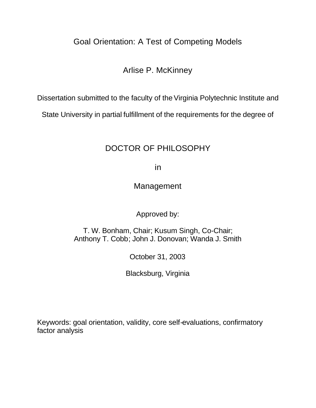## Goal Orientation: A Test of Competing Models

## Arlise P. McKinney

Dissertation submitted to the faculty of the Virginia Polytechnic Institute and

State University in partial fulfillment of the requirements for the degree of

## DOCTOR OF PHILOSOPHY

in

Management

Approved by:

T. W. Bonham, Chair; Kusum Singh, Co-Chair; Anthony T. Cobb; John J. Donovan; Wanda J. Smith

October 31, 2003

Blacksburg, Virginia

Keywords: goal orientation, validity, core self-evaluations, confirmatory factor analysis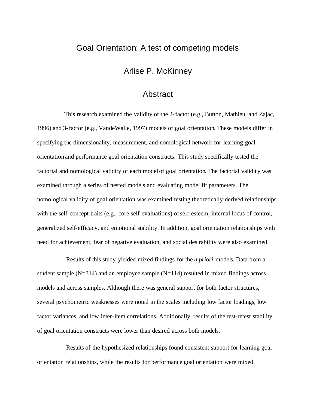### Goal Orientation: A test of competing models

Arlise P. McKinney

## Abstract

This research examined the validity of the 2-factor (e.g., Button, Mathieu, and Zajac, 1996) and 3-factor (e.g., VandeWalle, 1997) models of goal orientation. These models differ in specifying the dimensionality, measurement, and nomological network for learning goal orientation and performance goal orientation constructs. This study specifically tested the factorial and nomological validity of each model of goal orientation. The factorial validity was examined through a series of nested models and evaluating model fit parameters. The nomological validity of goal orientation was examined testing theoretically-derived relationships with the self-concept traits (e.g., core self-evaluations) of self-esteem, internal locus of control, generalized self-efficacy, and emotional stability. In addition, goal orientation relationships with need for achievement, fear of negative evaluation, and social desirability were also examined.

Results of this study yielded mixed findings for the *a priori* models. Data from a student sample  $(N=314)$  and an employee sample  $(N=114)$  resulted in mixed findings across models and across samples. Although there was general support for both factor structures, several psychometric weaknesses were noted in the scales including low factor loadings, low factor variances, and low inter-item correlations. Additionally, results of the test-retest stability of goal orientation constructs were lower than desired across both models.

Results of the hypothesized relationships found consistent support for learning goal orientation relationships, while the results for performance goal orientation were mixed.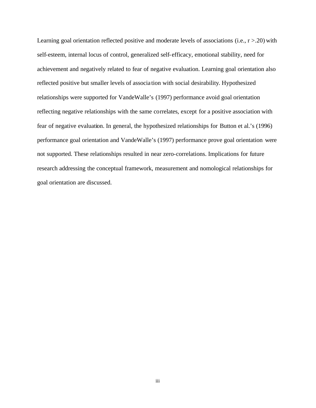Learning goal orientation reflected positive and moderate levels of associations (i.e.,  $r > .20$ ) with self-esteem, internal locus of control, generalized self-efficacy, emotional stability, need for achievement and negatively related to fear of negative evaluation. Learning goal orientation also reflected positive but smaller levels of associa tion with social desirability. Hypothesized relationships were supported for VandeWalle's (1997) performance avoid goal orientation reflecting negative relationships with the same correlates, except for a positive association with fear of negative evaluation. In general, the hypothesized relationships for Button et al.'s (1996) performance goal orientation and VandeWalle's (1997) performance prove goal orientation were not supported. These relationships resulted in near zero-correlations. Implications for future research addressing the conceptual framework, measurement and nomological relationships for goal orientation are discussed.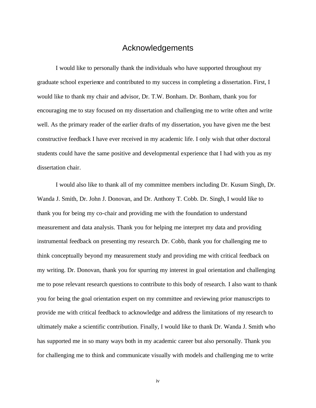### Acknowledgements

I would like to personally thank the individuals who have supported throughout my graduate school experience and contributed to my success in completing a dissertation. First, I would like to thank my chair and advisor, Dr. T.W. Bonham. Dr. Bonham, thank you for encouraging me to stay focused on my dissertation and challenging me to write often and write well. As the primary reader of the earlier drafts of my dissertation, you have given me the best constructive feedback I have ever received in my academic life. I only wish that other doctoral students could have the same positive and developmental experience that I had with you as my dissertation chair.

I would also like to thank all of my committee members including Dr. Kusum Singh, Dr. Wanda J. Smith, Dr. John J. Donovan, and Dr. Anthony T. Cobb. Dr. Singh, I would like to thank you for being my co-chair and providing me with the foundation to understand measurement and data analysis. Thank you for helping me interpret my data and providing instrumental feedback on presenting my research. Dr. Cobb, thank you for challenging me to think conceptually beyond my measurement study and providing me with critical feedback on my writing. Dr. Donovan, thank you for spurring my interest in goal orientation and challenging me to pose relevant research questions to contribute to this body of research. I also want to thank you for being the goal orientation expert on my committee and reviewing prior manuscripts to provide me with critical feedback to acknowledge and address the limitations of my research to ultimately make a scientific contribution. Finally, I would like to thank Dr. Wanda J. Smith who has supported me in so many ways both in my academic career but also personally. Thank you for challenging me to think and communicate visually with models and challenging me to write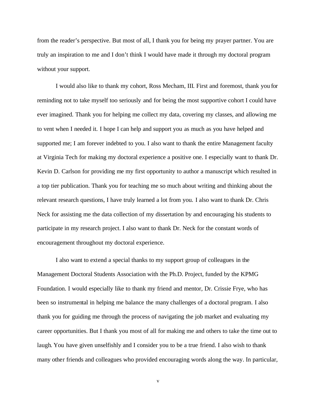from the reader's perspective. But most of all, I thank you for being my prayer partner. You are truly an inspiration to me and I don't think I would have made it through my doctoral program without your support.

I would also like to thank my cohort, Ross Mecham, III. First and foremost, thank you for reminding not to take myself too seriously and for being the most supportive cohort I could have ever imagined. Thank you for helping me collect my data, covering my classes, and allowing me to vent when I needed it. I hope I can help and support you as much as you have helped and supported me; I am forever indebted to you. I also want to thank the entire Management faculty at Virginia Tech for making my doctoral experience a positive one. I especially want to thank Dr. Kevin D. Carlson for providing me my first opportunity to author a manuscript which resulted in a top tier publication. Thank you for teaching me so much about writing and thinking about the relevant research questions, I have truly learned a lot from you. I also want to thank Dr. Chris Neck for assisting me the data collection of my dissertation by and encouraging his students to participate in my research project. I also want to thank Dr. Neck for the constant words of encouragement throughout my doctoral experience.

I also want to extend a special thanks to my support group of colleagues in the Management Doctoral Students Association with the Ph.D. Project, funded by the KPMG Foundation. I would especially like to thank my friend and mentor, Dr. Crissie Frye, who has been so instrumental in helping me balance the many challenges of a doctoral program. I also thank you for guiding me through the process of navigating the job market and evaluating my career opportunities. But I thank you most of all for making me and others to take the time out to laugh. You have given unselfishly and I consider you to be a true friend. I also wish to thank many other friends and colleagues who provided encouraging words along the way. In particular,

v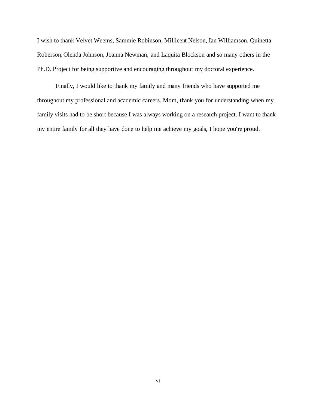I wish to thank Velvet Weems, Sammie Robinson, Millicent Nelson, Ian Williamson, Quinetta Roberson, Olenda Johnson, Joanna Newman, and Laquita Blockson and so many others in the Ph.D. Project for being supportive and encouraging throughout my doctoral experience.

Finally, I would like to thank my family and many friends who have supported me throughout my professional and academic careers. Mom, thank you for understanding when my family visits had to be short because I was always working on a research project. I want to thank my entire family for all they have done to help me achieve my goals, I hope you're proud.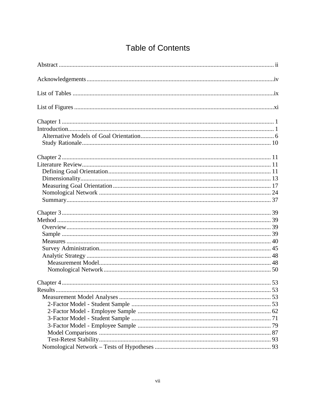## **Table of Contents**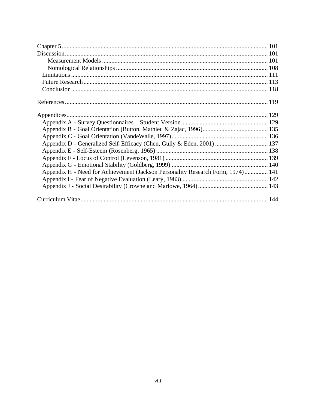| Appendix D - Generalized Self-Efficacy (Chen, Gully & Eden, 2001)  137          |  |
|---------------------------------------------------------------------------------|--|
|                                                                                 |  |
|                                                                                 |  |
|                                                                                 |  |
| Appendix H - Need for Achievement (Jackson Personality Research Form, 1974) 141 |  |
|                                                                                 |  |
|                                                                                 |  |
|                                                                                 |  |
|                                                                                 |  |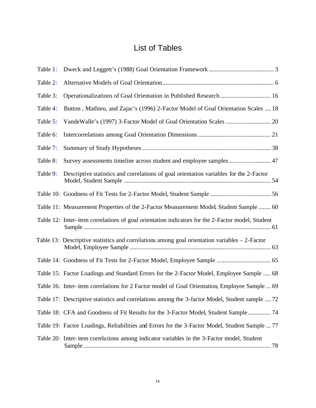## List of Tables

| Table 1: |                                                                                                  |
|----------|--------------------------------------------------------------------------------------------------|
| Table 2: |                                                                                                  |
| Table 3: | Operationalizations of Goal Orientation in Published Research 16                                 |
| Table 4: | Button, Mathieu, and Zajac's (1996) 2-Factor Model of Goal Orientation Scales  18                |
| Table 5: |                                                                                                  |
| Table 6: |                                                                                                  |
| Table 7: |                                                                                                  |
| Table 8: | Survey assessments timeline across student and employee samples  47                              |
| Table 9: | Descriptive statistics and correlations of goal orientation variables for the 2-Factor           |
|          |                                                                                                  |
|          | Table 11: Measurement Properties of the 2-Factor Measurement Model, Student Sample  60           |
|          | Table 12: Inter-item correlations of goal orientation indicators for the 2-Factor model, Student |
|          | Table 13: Descriptive statistics and correlations among goal orientation variables $-2$ -Factor  |
|          |                                                                                                  |
|          | Table 15: Factor Loadings and Standard Errors for the 2-Factor Model, Employee Sample  68        |
|          | Table 16: Inter-item correlations for 2 Factor model of Goal Orientation, Employee Sample  69    |
|          | Table 17: Descriptive statistics and correlations among the 3-factor Model, Student sample  72   |
|          | Table 18: CFA and Goodness of Fit Results for the 3-Factor Model, Student Sample 74              |
|          | Table 19: Factor Loadings, Reliabilities and Errors for the 3-Factor Model, Student Sample  77   |
|          | Table 20: Inter-item correlations among indicator variables in the 3-Factor model, Student       |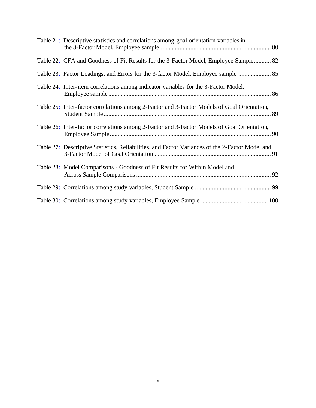| Table 21: Descriptive statistics and correlations among goal orientation variables in           |
|-------------------------------------------------------------------------------------------------|
| Table 22: CFA and Goodness of Fit Results for the 3-Factor Model, Employee Sample 82            |
|                                                                                                 |
| Table 24: Inter-item correlations among indicator variables for the 3-Factor Model,             |
| Table 25: Inter-factor correlations among 2-Factor and 3-Factor Models of Goal Orientation,     |
| Table 26: Inter-factor correlations among 2-Factor and 3-Factor Models of Goal Orientation,     |
| Table 27: Descriptive Statistics, Reliabilities, and Factor Variances of the 2-Factor Model and |
| Table 28: Model Comparisons - Goodness of Fit Results for Within Model and                      |
|                                                                                                 |
|                                                                                                 |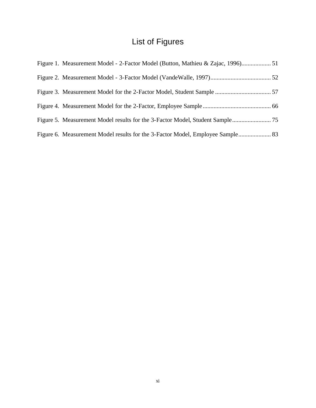# List of Figures

| Figure 1. Measurement Model - 2-Factor Model (Button, Mathieu & Zajac, 1996) 51 |  |
|---------------------------------------------------------------------------------|--|
|                                                                                 |  |
|                                                                                 |  |
|                                                                                 |  |
|                                                                                 |  |
| Figure 6. Measurement Model results for the 3-Factor Model, Employee Sample 83  |  |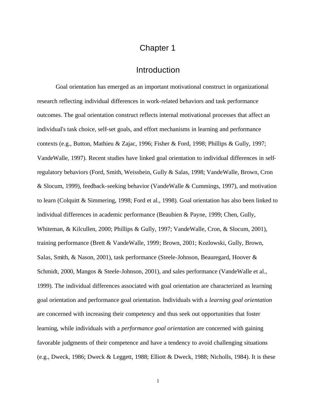## Chapter 1

#### **Introduction**

Goal orientation has emerged as an important motivational construct in organizational research reflecting individual differences in work-related behaviors and task performance outcomes. The goal orientation construct reflects internal motivational processes that affect an individual's task choice, self-set goals, and effort mechanisms in learning and performance contexts (e.g., Button, Mathieu & Zajac, 1996; Fisher & Ford, 1998; Phillips & Gully, 1997; VandeWalle, 1997). Recent studies have linked goal orientation to individual differences in selfregulatory behaviors (Ford, Smith, Weissbein, Gully & Salas, 1998; VandeWalle, Brown, Cron & Slocum, 1999), feedback-seeking behavior (VandeWalle & Cummings, 1997), and motivation to learn (Colquitt & Simmering, 1998; Ford et al., 1998). Goal orientation has also been linked to individual differences in academic performance (Beaubien & Payne, 1999; Chen, Gully, Whiteman, & Kilcullen, 2000; Phillips & Gully, 1997; VandeWalle, Cron, & Slocum, 2001), training performance (Brett & VandeWalle, 1999; Brown, 2001; Kozlowski, Gully, Brown, Salas, Smith, & Nason, 2001), task performance (Steele-Johnson, Beauregard, Hoover & Schmidt, 2000, Mangos & Steele-Johnson, 2001), and sales performance (VandeWalle et al., 1999). The individual differences associated with goal orientation are characterized as learning goal orientation and performance goal orientation. Individuals with a *learning goal orientation* are concerned with increasing their competency and thus seek out opportunities that foster learning, while individuals with a *performance goal orientation* are concerned with gaining favorable judgments of their competence and have a tendency to avoid challenging situations (e.g., Dweck, 1986; Dweck & Leggett, 1988; Elliott & Dweck, 1988; Nicholls, 1984). It is these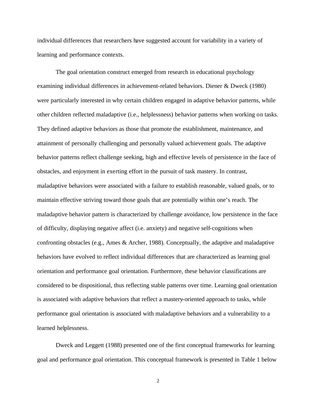individual differences that researchers have suggested account for variability in a variety of learning and performance contexts.

The goal orientation construct emerged from research in educational psychology examining individual differences in achievement-related behaviors. Diener & Dweck (1980) were particularly interested in why certain children engaged in adaptive behavior patterns, while other children reflected maladaptive (i.e., helplessness) behavior patterns when working on tasks. They defined adaptive behaviors as those that promote the establishment, maintenance, and attainment of personally challenging and personally valued achievement goals. The adaptive behavior patterns reflect challenge seeking, high and effective levels of persistence in the face of obstacles, and enjoyment in exerting effort in the pursuit of task mastery. In contrast, maladaptive behaviors were associated with a failure to establish reasonable, valued goals, or to maintain effective striving toward those goals that are potentially within one's reach. The maladaptive behavior pattern is characterized by challenge avoidance, low persistence in the face of difficulty, displaying negative affect (i.e. anxiety) and negative self-cognitions when confronting obstacles (e.g., Ames & Archer, 1988). Conceptually, the adaptive and maladaptive behaviors have evolved to reflect individual differences that are characterized as learning goal orientation and performance goal orientation. Furthermore, these behavior classifications are considered to be dispositional, thus reflecting stable patterns over time. Learning goal orientation is associated with adaptive behaviors that reflect a mastery-oriented approach to tasks, while performance goal orientation is associated with maladaptive behaviors and a vulnerability to a learned helplessness.

Dweck and Leggett (1988) presented one of the first conceptual frameworks for learning goal and performance goal orientation. This conceptual framework is presented in Table 1 below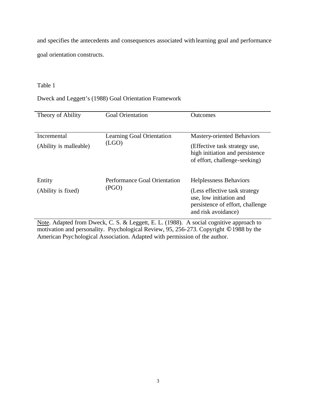and specifies the antecedents and consequences associated with learning goal and performance

goal orientation constructs.

#### Table 1

Dweck and Leggett's (1988) Goal Orientation Framework

| Theory of Ability                     | <b>Goal Orientation</b>               | Outcomes                                                                                                                                              |
|---------------------------------------|---------------------------------------|-------------------------------------------------------------------------------------------------------------------------------------------------------|
| Incremental<br>(Ability is malleable) | Learning Goal Orientation<br>(LGO)    | <b>Mastery-oriented Behaviors</b><br>(Effective task strategy use,<br>high initiation and persistence<br>of effort, challenge-seeking)                |
| Entity<br>(Ability is fixed)          | Performance Goal Orientation<br>(PGO) | <b>Helplessness Behaviors</b><br>(Less effective task strategy)<br>use, low initiation and<br>persistence of effort, challenge<br>and risk avoidance) |

Note. Adapted from Dweck, C. S. & Leggett, E. L. (1988). A social cognitive approach to motivation and personality. Psychological Review, 95, 256-273. Copyright © 1988 by the American Psychological Association. Adapted with permission of the author.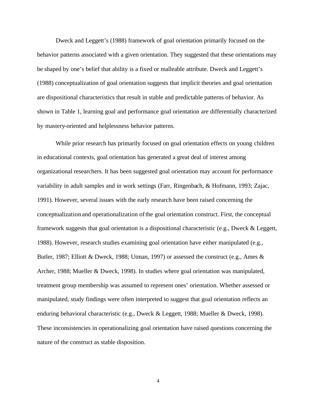Dweck and Leggett's (1988) framework of goal orientation primarily focused on the behavior patterns associated with a given orientation. They suggested that these orientations may be shaped by one's belief that ability is a fixed or malleable attribute. Dweck and Leggett's (1988) conceptualization of goal orientation suggests that implicit theories and goal orientation are dispositional characteristics that result in stable and predictable patterns of behavior. As shown in Table 1, learning goal and performance goal orientation are differentially characterized by mastery-oriented and helplessness behavior patterns.

While prior research has primarily focused on goal orientation effects on young children in educational contexts, goal orientation has generated a great deal of interest among organizational researchers. It has been suggested goal orientation may account for performance variability in adult samples and in work settings (Farr, Ringenbach, & Hofmann, 1993; Zajac, 1991). However, several issues with the early research have been raised concerning the conceptualization and operationalization of the goal orientation construct. First, the conceptual framework suggests that goal orientation is a dispositional characteristic (e.g., Dweck & Leggett, 1988). However, research studies examining goal orientation have either manipulated (e.g., Butler, 1987; Elliott & Dweck, 1988; Utman, 1997) or assessed the construct (e.g., Ames & Archer, 1988; Mueller & Dweck, 1998). In studies where goal orientation was manipulated, treatment group membership was assumed to represent ones' orientation. Whether assessed or manipulated, study findings were often interpreted to suggest that goal orientation reflects an enduring behavioral characteristic (e.g., Dweck & Leggett, 1988; Mueller & Dweck, 1998). These inconsistencies in operationalizing goal orientation have raised questions concerning the nature of the construct as stable disposition.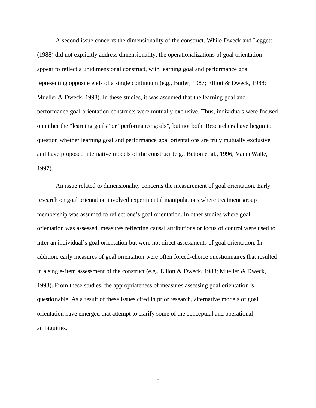A second issue concerns the dimensionality of the construct. While Dweck and Leggett (1988) did not explicitly address dimensionality, the operationalizations of goal orientation appear to reflect a unidimensional construct, with learning goal and performance goal representing opposite ends of a single continuum (e.g., Butler, 1987; Elliott & Dweck, 1988; Mueller & Dweck, 1998). In these studies, it was assumed that the learning goal and performance goal orientation constructs were mutually exclusive. Thus, individuals were focused on either the "learning goals" or "performance goals", but not both. Researchers have begun to question whether learning goal and performance goal orientations are truly mutually exclusive and have proposed alternative models of the construct (e.g., Button et al., 1996; VandeWalle, 1997).

An issue related to dimensionality concerns the measurement of goal orientation. Early research on goal orientation involved experimental manipulations where treatment group membership was assumed to reflect one's goal orientation. In other studies where goal orientation was assessed, measures reflecting causal attributions or locus of control were used to infer an individual's goal orientation but were not direct assessments of goal orientation. In addition, early measures of goal orientation were often forced-choice questionnaires that resulted in a single-item assessment of the construct (e.g., Elliott & Dweck, 1988; Mueller & Dweck, 1998). From these studies, the appropriateness of measures assessing goal orientation is questionable. As a result of these issues cited in prior research, alternative models of goal orientation have emerged that attempt to clarify some of the conceptual and operational ambiguities.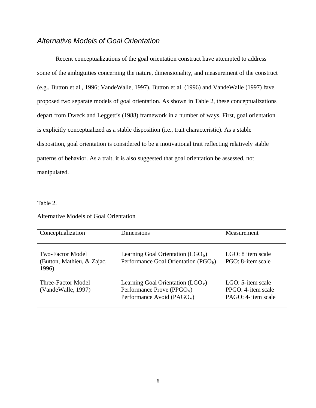### *Alternative Models of Goal Orientation*

Recent conceptualizations of the goal orientation construct have attempted to address some of the ambiguities concerning the nature, dimensionality, and measurement of the construct (e.g., Button et al., 1996; VandeWalle, 1997). Button et al. (1996) and VandeWalle (1997) have proposed two separate models of goal orientation. As shown in Table 2, these conceptualizations depart from Dweck and Leggett's (1988) framework in a number of ways. First, goal orientation is explicitly conceptualized as a stable disposition (i.e., trait characteristic). As a stable disposition, goal orientation is considered to be a motivational trait reflecting relatively stable patterns of behavior. As a trait, it is also suggested that goal orientation be assessed, not manipulated.

#### Table 2.

#### Alternative Models of Goal Orientation

| Conceptualization                                              | Dimensions                                                                                                              | Measurement                                                        |
|----------------------------------------------------------------|-------------------------------------------------------------------------------------------------------------------------|--------------------------------------------------------------------|
| <b>Two-Factor Model</b><br>(Button, Mathieu, & Zajac,<br>1996) | Learning Goal Orientation $(LGO_h)$<br>Performance Goal Orientation (PGO <sub>b</sub> )                                 | LGO: 8 item scale<br>PGO: 8-item scale                             |
| <b>Three-Factor Model</b><br>(VandeWalle, 1997)                | Learning Goal Orientation $(LGO_v)$<br>Performance Prove (PPGO <sub>v</sub> )<br>Performance Avoid (PAGO <sub>v</sub> ) | LGO: $5$ -item scale<br>PPGO: 4- item scale<br>PAGO: 4- item scale |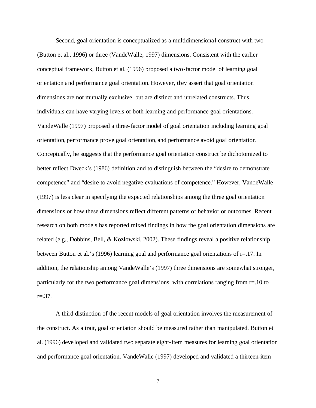Second, goal orientation is conceptualized as a multidimensiona l construct with two (Button et al., 1996) or three (VandeWalle, 1997) dimensions. Consistent with the earlier conceptual framework, Button et al. (1996) proposed a two-factor model of learning goal orientation and performance goal orientation. However, they assert that goal orientation dimensions are not mutually exclusive, but are distinct and unrelated constructs. Thus, individuals can have varying levels of both learning and performance goal orientations. VandeWalle (1997) proposed a three-factor model of goal orientation including learning goal orientation, performance prove goal orientation, and performance avoid goal orientation. Conceptually, he suggests that the performance goal orientation construct be dichotomized to better reflect Dweck's (1986) definition and to distinguish between the "desire to demonstrate competence" and "desire to avoid negative evaluations of competence." However, VandeWalle (1997) is less clear in specifying the expected relationships among the three goal orientation dimensions or how these dimensions reflect different patterns of behavior or outcomes. Recent research on both models has reported mixed findings in how the goal orientation dimensions are related (e.g., Dobbins, Bell, & Kozlowski, 2002). These findings reveal a positive relationship between Button et al.'s (1996) learning goal and performance goal orientations of r=.17. In addition, the relationship among VandeWalle's (1997) three dimensions are somewhat stronger, particularly for the two performance goal dimensions, with correlations ranging from r=.10 to  $r = .37$ .

A third distinction of the recent models of goal orientation involves the measurement of the construct. As a trait, goal orientation should be measured rather than manipulated. Button et al. (1996) deve loped and validated two separate eight-item measures for learning goal orientation and performance goal orientation. VandeWalle (1997) developed and validated a thirteen-item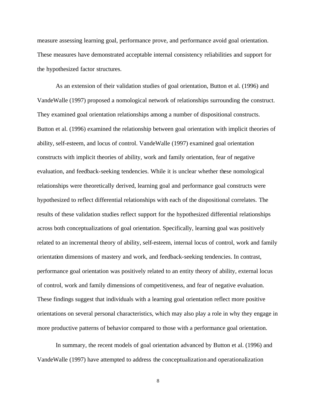measure assessing learning goal, performance prove, and performance avoid goal orientation. These measures have demonstrated acceptable internal consistency reliabilities and support for the hypothesized factor structures.

As an extension of their validation studies of goal orientation, Button et al. (1996) and VandeWalle (1997) proposed a nomological network of relationships surrounding the construct. They examined goal orientation relationships among a number of dispositional constructs. Button et al. (1996) examined the relationship between goal orientation with implicit theories of ability, self-esteem, and locus of control. VandeWalle (1997) examined goal orientation constructs with implicit theories of ability, work and family orientation, fear of negative evaluation, and feedback-seeking tendencies. While it is unclear whether these nomological relationships were theoretically derived, learning goal and performance goal constructs were hypothesized to reflect differential relationships with each of the dispositional correlates. The results of these validation studies reflect support for the hypothesized differential relationships across both conceptualizations of goal orientation. Specifically, learning goal was positively related to an incremental theory of ability, self-esteem, internal locus of control, work and family orientation dimensions of mastery and work, and feedback-seeking tendencies. In contrast, performance goal orientation was positively related to an entity theory of ability, external locus of control, work and family dimensions of competitiveness, and fear of negative evaluation. These findings suggest that individuals with a learning goal orientation reflect more positive orientations on several personal characteristics, which may also play a role in why they engage in more productive patterns of behavior compared to those with a performance goal orientation.

In summary, the recent models of goal orientation advanced by Button et al. (1996) and VandeWalle (1997) have attempted to address the conceptualization and operationalization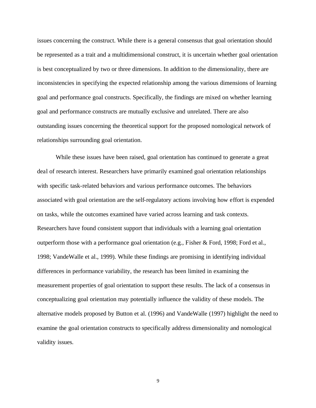issues concerning the construct. While there is a general consensus that goal orientation should be represented as a trait and a multidimensional construct, it is uncertain whether goal orientation is best conceptualized by two or three dimensions. In addition to the dimensionality, there are inconsistencies in specifying the expected relationship among the various dimensions of learning goal and performance goal constructs. Specifically, the findings are mixed on whether learning goal and performance constructs are mutually exclusive and unrelated. There are also outstanding issues concerning the theoretical support for the proposed nomological network of relationships surrounding goal orientation.

While these issues have been raised, goal orientation has continued to generate a great deal of research interest. Researchers have primarily examined goal orientation relationships with specific task-related behaviors and various performance outcomes. The behaviors associated with goal orientation are the self-regulatory actions involving how effort is expended on tasks, while the outcomes examined have varied across learning and task contexts. Researchers have found consistent support that individuals with a learning goal orientation outperform those with a performance goal orientation (e.g., Fisher & Ford, 1998; Ford et al., 1998; VandeWalle et al., 1999). While these findings are promising in identifying individual differences in performance variability, the research has been limited in examining the measurement properties of goal orientation to support these results. The lack of a consensus in conceptualizing goal orientation may potentially influence the validity of these models. The alternative models proposed by Button et al. (1996) and VandeWalle (1997) highlight the need to examine the goal orientation constructs to specifically address dimensionality and nomological validity issues.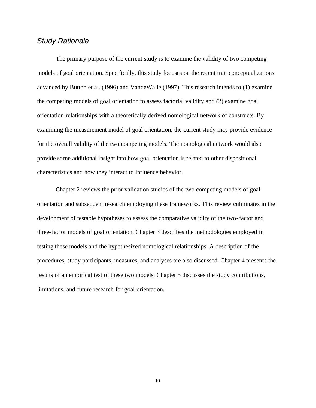#### *Study Rationale*

The primary purpose of the current study is to examine the validity of two competing models of goal orientation. Specifically, this study focuses on the recent trait conceptualizations advanced by Button et al. (1996) and VandeWalle (1997). This research intends to (1) examine the competing models of goal orientation to assess factorial validity and (2) examine goal orientation relationships with a theoretically derived nomological network of constructs. By examining the measurement model of goal orientation, the current study may provide evidence for the overall validity of the two competing models. The nomological network would also provide some additional insight into how goal orientation is related to other dispositional characteristics and how they interact to influence behavior.

Chapter 2 reviews the prior validation studies of the two competing models of goal orientation and subsequent research employing these frameworks. This review culminates in the development of testable hypotheses to assess the comparative validity of the two-factor and three-factor models of goal orientation. Chapter 3 describes the methodologies employed in testing these models and the hypothesized nomological relationships. A description of the procedures, study participants, measures, and analyses are also discussed. Chapter 4 presents the results of an empirical test of these two models. Chapter 5 discusses the study contributions, limitations, and future research for goal orientation.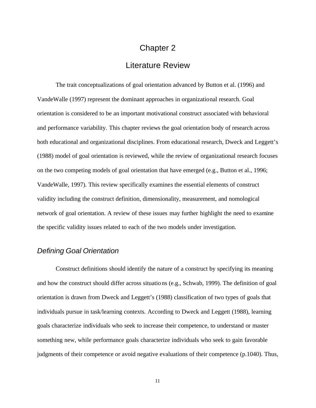### Chapter 2

### Literature Review

The trait conceptualizations of goal orientation advanced by Button et al. (1996) and VandeWalle (1997) represent the dominant approaches in organizational research. Goal orientation is considered to be an important motivational construct associated with behavioral and performance variability. This chapter reviews the goal orientation body of research across both educational and organizational disciplines. From educational research, Dweck and Leggett's (1988) model of goal orientation is reviewed, while the review of organizational research focuses on the two competing models of goal orientation that have emerged (e.g., Button et al., 1996; VandeWalle, 1997). This review specifically examines the essential elements of construct validity including the construct definition, dimensionality, measurement, and nomological network of goal orientation. A review of these issues may further highlight the need to examine the specific validity issues related to each of the two models under investigation.

#### *Defining Goal Orientation*

Construct definitions should identify the nature of a construct by specifying its meaning and how the construct should differ across situations (e.g., Schwab, 1999). The definition of goal orientation is drawn from Dweck and Leggett's (1988) classification of two types of goals that individuals pursue in task/learning contexts. According to Dweck and Leggett (1988), learning goals characterize individuals who seek to increase their competence, to understand or master something new, while performance goals characterize individuals who seek to gain favorable judgments of their competence or avoid negative evaluations of their competence (p.1040). Thus,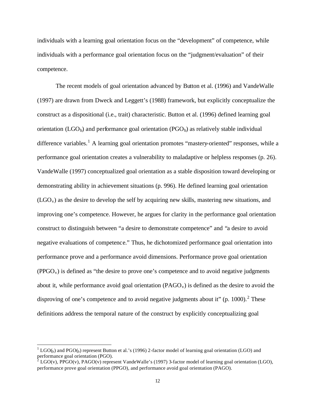individuals with a learning goal orientation focus on the "development" of competence, while individuals with a performance goal orientation focus on the "judgment/evaluation" of their competence.

The recent models of goal orientation advanced by Button et al. (1996) and VandeWalle (1997) are drawn from Dweck and Leggett's (1988) framework, but explicitly conceptualize the construct as a dispositional (i.e., trait) characteristic. Button et al. (1996) defined learning goal orientation ( $LGO<sub>b</sub>$ ) and performance goal orientation ( $PGO<sub>b</sub>$ ) as relatively stable individual difference variables.<sup>1</sup> A learning goal orientation promotes "mastery-oriented" responses, while a performance goal orientation creates a vulnerability to maladaptive or helpless responses (p. 26). VandeWalle (1997) conceptualized goal orientation as a stable disposition toward developing or demonstrating ability in achievement situations (p. 996). He defined learning goal orientation  $(LGO<sub>v</sub>)$  as the desire to develop the self by acquiring new skills, mastering new situations, and improving one's competence. However, he argues for clarity in the performance goal orientation construct to distinguish between "a desire to demonstrate competence" and "a desire to avoid negative evaluations of competence." Thus, he dichotomized performance goal orientation into performance prove and a performance avoid dimensions. Performance prove goal orientation  $(PPGO<sub>v</sub>)$  is defined as "the desire to prove one's competence and to avoid negative judgments about it, while performance avoid goal orientation  $(PAGO<sub>v</sub>)$  is defined as the desire to avoid the disproving of one's competence and to avoid negative judgments about it" (p. 1000).<sup>2</sup> These definitions address the temporal nature of the construct by explicitly conceptualizing goal

l

 $1 LGO_{(b)}$  and PGO $_{(b)}$  represent Button et al.'s (1996) 2-factor model of learning goal orientation (LGO) and performance goal orientation (PGO).<br><sup>2</sup> LGO(v), PPGO(v), PAGO(v) represent VandeWalle's (1997) 3-factor model of learning goal orientation (LGO),

performance prove goal orientation (PPGO), and performance avoid goal orientation (PAGO).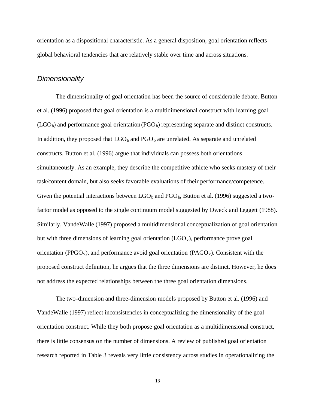orientation as a dispositional characteristic. As a general disposition, goal orientation reflects global behavioral tendencies that are relatively stable over time and across situations.

#### *Dimensionality*

The dimensionality of goal orientation has been the source of considerable debate. Button et al. (1996) proposed that goal orientation is a multidimensional construct with learning goal  $(LGO_b)$  and performance goal orientation  $(PGO_b)$  representing separate and distinct constructs. In addition, they proposed that  $LGO_b$  and  $PGO_b$  are unrelated. As separate and unrelated constructs, Button et al. (1996) argue that individuals can possess both orientations simultaneously. As an example, they describe the competitive athlete who seeks mastery of their task/content domain, but also seeks favorable evaluations of their performance/competence. Given the potential interactions between  $LGO_b$  and  $PGO_b$ , Button et al. (1996) suggested a twofactor model as opposed to the single continuum model suggested by Dweck and Leggett (1988). Similarly, VandeWalle (1997) proposed a multidimensional conceptualization of goal orientation but with three dimensions of learning goal orientation  $(LGO_v)$ , performance prove goal orientation (PPGO<sub>v</sub>), and performance avoid goal orientation (PAGO<sub>v</sub>). Consistent with the proposed construct definition, he argues that the three dimensions are distinct. However, he does not address the expected relationships between the three goal orientation dimensions.

The two-dimension and three-dimension models proposed by Button et al. (1996) and VandeWalle (1997) reflect inconsistencies in conceptualizing the dimensionality of the goal orientation construct. While they both propose goal orientation as a multidimensional construct, there is little consensus on the number of dimensions. A review of published goal orientation research reported in Table 3 reveals very little consistency across studies in operationalizing the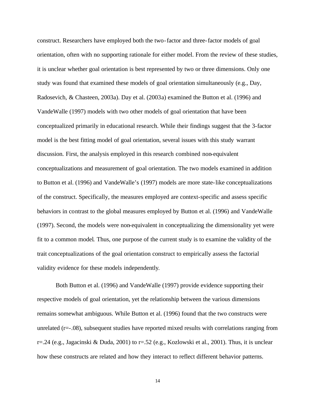construct. Researchers have employed both the two-factor and three-factor models of goal orientation, often with no supporting rationale for either model. From the review of these studies, it is unclear whether goal orientation is best represented by two or three dimensions. Only one study was found that examined these models of goal orientation simultaneously (e.g., Day, Radosevich, & Chasteen, 2003a). Day et al. (2003a) examined the Button et al. (1996) and VandeWalle (1997) models with two other models of goal orientation that have been conceptualized primarily in educational research. While their findings suggest that the 3-factor model is the best fitting model of goal orientation, several issues with this study warrant discussion. First, the analysis employed in this research combined non-equivalent conceptualizations and measurement of goal orientation. The two models examined in addition to Button et al. (1996) and VandeWalle's (1997) models are more state-like conceptualizations of the construct. Specifically, the measures employed are context-specific and assess specific behaviors in contrast to the global measures employed by Button et al. (1996) and VandeWalle (1997). Second, the models were non-equivalent in conceptualizing the dimensionality yet were fit to a common model. Thus, one purpose of the current study is to examine the validity of the trait conceptualizations of the goal orientation construct to empirically assess the factorial validity evidence for these models independently.

Both Button et al. (1996) and VandeWalle (1997) provide evidence supporting their respective models of goal orientation, yet the relationship between the various dimensions remains somewhat ambiguous. While Button et al. (1996) found that the two constructs were unrelated  $(r=-.08)$ , subsequent studies have reported mixed results with correlations ranging from r=.24 (e.g., Jagacinski & Duda, 2001) to r=.52 (e.g., Kozlowski et al., 2001). Thus, it is unclear how these constructs are related and how they interact to reflect different behavior patterns.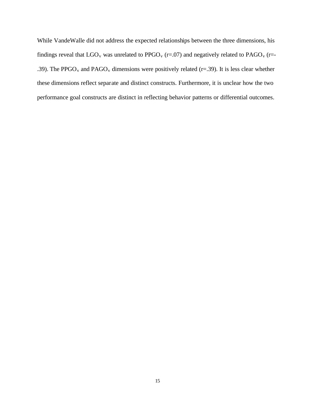While VandeWalle did not address the expected relationships between the three dimensions, his findings reveal that  $LOGO_v$  was unrelated to PPGO<sub>v</sub> (r=.07) and negatively related to PAGO<sub>v</sub> (r=-.39). The PPGO<sub>v</sub> and PAGO<sub>v</sub> dimensions were positively related (r=.39). It is less clear whether these dimensions reflect separate and distinct constructs. Furthermore, it is unclear how the two performance goal constructs are distinct in reflecting behavior patterns or differential outcomes.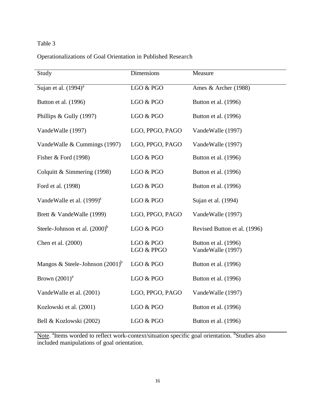### Table 3

#### Operationalizations of Goal Orientation in Published Research

| Study                                 | Dimensions              | Measure                                   |
|---------------------------------------|-------------------------|-------------------------------------------|
| Sujan et al. $(1994)^{a}$             | LGO & PGO               | Ames & Archer (1988)                      |
| Button et al. (1996)                  | LGO & PGO               | Button et al. (1996)                      |
| Phillips & Gully (1997)               | LGO & PGO               | Button et al. (1996)                      |
| VandeWalle (1997)                     | LGO, PPGO, PAGO         | VandeWalle (1997)                         |
| VandeWalle & Cummings (1997)          | LGO, PPGO, PAGO         | VandeWalle (1997)                         |
| Fisher & Ford $(1998)$                | LGO & PGO               | Button et al. (1996)                      |
| Colquitt & Simmering (1998)           | LGO & PGO               | Button et al. (1996)                      |
| Ford et al. (1998)                    | LGO & PGO               | Button et al. (1996)                      |
| VandeWalle et al. (1999) <sup>a</sup> | LGO & PGO               | Sujan et al. (1994)                       |
| Brett & VandeWalle (1999)             | LGO, PPGO, PAGO         | VandeWalle (1997)                         |
| Steele-Johnson et al. $(2000)^b$      | LGO & PGO               | Revised Button et al. (1996)              |
| Chen et al. (2000)                    | LGO & PGO<br>LGO & PPGO | Button et al. (1996)<br>VandeWalle (1997) |
| Mangos & Steele-Johnson $(2001)^b$    | LGO & PGO               | Button et al. (1996)                      |
| Brown $(2001)^a$                      | LGO & PGO               | Button et al. (1996)                      |
| VandeWalle et al. (2001)              | LGO, PPGO, PAGO         | VandeWalle (1997)                         |
| Kozlowski et al. (2001)               | LGO & PGO               | Button et al. (1996)                      |
| Bell & Kozlowski (2002)               | LGO & PGO               | Button et al. (1996)                      |

Note. <sup>a</sup>Items worded to reflect work-context/situation specific goal orientation. <sup>b</sup>Studies also included manipulations of goal orientation.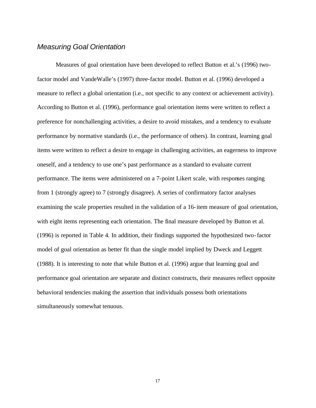#### *Measuring Goal Orientation*

Measures of goal orientation have been developed to reflect Button et al.'s (1996) twofactor model and VandeWalle's (1997) three-factor model. Button et al. (1996) developed a measure to reflect a global orientation (i.e., not specific to any context or achievement activity). According to Button et al. (1996), performance goal orientation items were written to reflect a preference for nonchallenging activities, a desire to avoid mistakes, and a tendency to evaluate performance by normative standards (i.e., the performance of others). In contrast, learning goal items were written to reflect a desire to engage in challenging activities, an eagerness to improve oneself, and a tendency to use one's past performance as a standard to evaluate current performance. The items were administered on a 7-point Likert scale, with responses ranging from 1 (strongly agree) to 7 (strongly disagree). A series of confirmatory factor analyses examining the scale properties resulted in the validation of a 16-item measure of goal orientation, with eight items representing each orientation. The final measure developed by Button et al. (1996) is reported in Table 4. In addition, their findings supported the hypothesized two-factor model of goal orientation as better fit than the single model implied by Dweck and Leggett (1988). It is interesting to note that while Button et al. (1996) argue that learning goal and performance goal orientation are separate and distinct constructs, their measures reflect opposite behavioral tendencies making the assertion that individuals possess both orientations simultaneously somewhat tenuous.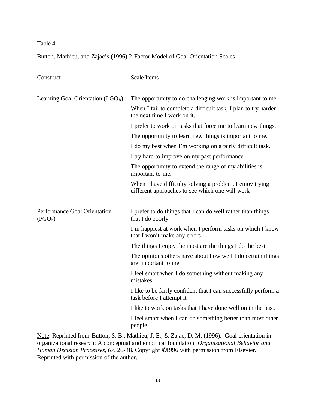#### Table 4

#### Button, Mathieu, and Zajac's (1996) 2-Factor Model of Goal Orientation Scales

| Construct                                 | Scale Items                                                                                                 |  |
|-------------------------------------------|-------------------------------------------------------------------------------------------------------------|--|
| Learning Goal Orientation $(LGO_b)$       | The opportunity to do challenging work is important to me.                                                  |  |
|                                           | When I fail to complete a difficult task, I plan to try harder<br>the next time I work on it.               |  |
|                                           | I prefer to work on tasks that force me to learn new things.                                                |  |
|                                           | The opportunity to learn new things is important to me.                                                     |  |
|                                           | I do my best when I'm working on a fairly difficult task.                                                   |  |
|                                           | I try hard to improve on my past performance.                                                               |  |
|                                           | The opportunity to extend the range of my abilities is<br>important to me.                                  |  |
|                                           | When I have difficulty solving a problem, I enjoy trying<br>different approaches to see which one will work |  |
| Performance Goal Orientation<br>$(PGO_b)$ | I prefer to do things that I can do well rather than things<br>that I do poorly                             |  |
|                                           | I'm happiest at work when I perform tasks on which I know<br>that I won't make any errors                   |  |
|                                           | The things I enjoy the most are the things I do the best                                                    |  |
|                                           | The opinions others have about how well I do certain things<br>are important to me                          |  |
|                                           | I feel smart when I do something without making any<br>mistakes.                                            |  |
|                                           | I like to be fairly confident that I can successfully perform a<br>task before I attempt it                 |  |
|                                           | I like to work on tasks that I have done well on in the past.                                               |  |
|                                           | I feel smart when I can do something better than most other<br>people.                                      |  |

Note. Reprinted from Button, S. B., Mathieu, J. E., & Zajac, D. M. (1996). Goal orientation in organizational research: A conceptual and empirical foundation. *Organizational Behavior and Human Decision Processes, 67*, 26-48. Copyright ©1996 with permission from Elsevier. Reprinted with permission of the author.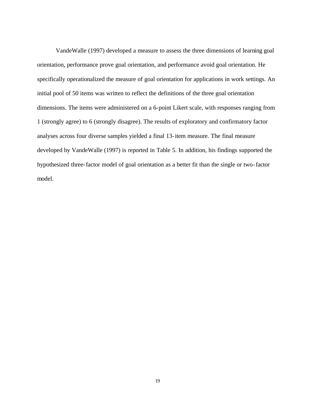VandeWalle (1997) developed a measure to assess the three dimensions of learning goal orientation, performance prove goal orientation, and performance avoid goal orientation. He specifically operationalized the measure of goal orientation for applications in work settings. An initial pool of 50 items was written to reflect the definitions of the three goal orientation dimensions. The items were administered on a 6-point Likert scale, with responses ranging from 1 (strongly agree) to 6 (strongly disagree). The results of exploratory and confirmatory factor analyses across four diverse samples yielded a final 13-item measure. The final measure developed by VandeWalle (1997) is reported in Table 5. In addition, his findings supported the hypothesized three-factor model of goal orientation as a better fit than the single or two-factor model.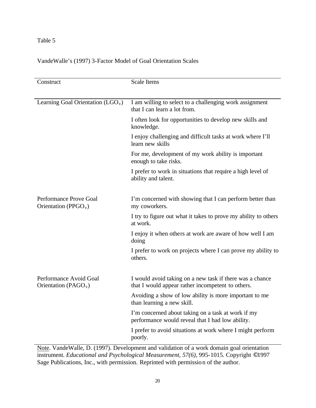#### Table 5

#### VandeWalle's (1997) 3-Factor Model of Goal Orientation Scales

| Construct                                                  | <b>Scale Items</b>                                                                                            |  |  |
|------------------------------------------------------------|---------------------------------------------------------------------------------------------------------------|--|--|
|                                                            |                                                                                                               |  |  |
| Learning Goal Orientation $(LGO_v)$                        | I am willing to select to a challenging work assignment<br>that I can learn a lot from.                       |  |  |
|                                                            | I often look for opportunities to develop new skills and<br>knowledge.                                        |  |  |
|                                                            | I enjoy challenging and difficult tasks at work where I'll<br>learn new skills                                |  |  |
|                                                            | For me, development of my work ability is important<br>enough to take risks.                                  |  |  |
|                                                            | I prefer to work in situations that require a high level of<br>ability and talent.                            |  |  |
| Performance Prove Goal<br>Orientation (PPGO <sub>v</sub> ) | I'm concerned with showing that I can perform better than<br>my coworkers.                                    |  |  |
|                                                            | I try to figure out what it takes to prove my ability to others<br>at work.                                   |  |  |
|                                                            | I enjoy it when others at work are aware of how well I am<br>doing                                            |  |  |
|                                                            | I prefer to work on projects where I can prove my ability to<br>others.                                       |  |  |
| Performance Avoid Goal<br>Orientation (PAGO <sub>v</sub> ) | I would avoid taking on a new task if there was a chance<br>that I would appear rather incompetent to others. |  |  |
|                                                            | Avoiding a show of low ability is more important to me<br>than learning a new skill.                          |  |  |
|                                                            | I'm concerned about taking on a task at work if my<br>performance would reveal that I had low ability.        |  |  |
|                                                            | I prefer to avoid situations at work where I might perform<br>poorly.                                         |  |  |

Note. VandeWalle, D. (1997). Development and validation of a work domain goal orientation instrument. *Educational and Psychological Measurement, 57(6)*, 995-1015. Copyright ©1997 Sage Publications, Inc., with permission. Reprinted with permission of the author.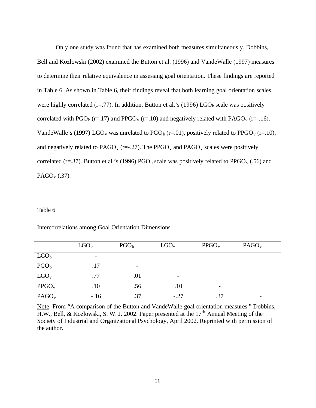Only one study was found that has examined both measures simultaneously. Dobbins, Bell and Kozlowski (2002) examined the Button et al. (1996) and VandeWalle (1997) measures to determine their relative equivalence in assessing goal orientation. These findings are reported in Table 6. As shown in Table 6, their findings reveal that both learning goal orientation scales were highly correlated ( $r = .77$ ). In addition, Button et al.'s (1996) LGO<sub>b</sub> scale was positively correlated with  $PGO<sub>b</sub>$  (r=.17) and PPGO<sub>v</sub> (r=.10) and negatively related with PAGO<sub>v</sub> (r=-.16). VandeWalle's (1997) LGO<sub>v</sub> was unrelated to  $PGO<sub>b</sub>$  (r=.01), positively related to  $PPGO<sub>v</sub>$  (r=.10), and negatively related to  $PAGO<sub>v</sub>$  (r=-.27). The  $PPGO<sub>v</sub>$  and  $PAGO<sub>v</sub>$  scales were positively correlated (r=.37). Button et al.'s (1996) PGO<sub>b</sub> scale was positively related to PPGO<sub>v</sub> (.56) and PAGO<sub>v</sub> $(.37)$ .

#### Table 6

|                   | LGO <sub>b</sub> | PGO <sub>b</sub>         | $LOGO_v$                 | PPGO <sub>v</sub>        | PAGO <sub>v</sub>        |  |
|-------------------|------------------|--------------------------|--------------------------|--------------------------|--------------------------|--|
| $LGO_b$           | -                |                          |                          |                          |                          |  |
| PGO <sub>b</sub>  | .17              | $\overline{\phantom{a}}$ |                          |                          |                          |  |
| $LGO_v$           | .77              | .01                      | $\overline{\phantom{a}}$ |                          |                          |  |
| PPGO <sub>v</sub> | .10              | .56                      | .10                      | $\overline{\phantom{a}}$ |                          |  |
| PAGO <sub>v</sub> | $-.16$           | .37                      | $-.27$                   | .37                      | $\overline{\phantom{a}}$ |  |

Intercorrelations among Goal Orientation Dimensions

Note. From "A comparison of the Button and VandeWalle goal orientation measures." Dobbins, H.W., Bell, & Kozlowski, S. W. J. 2002. Paper presented at the 17<sup>th</sup> Annual Meeting of the Society of Industrial and Organizational Psychology, April 2002. Reprinted with permission of the author.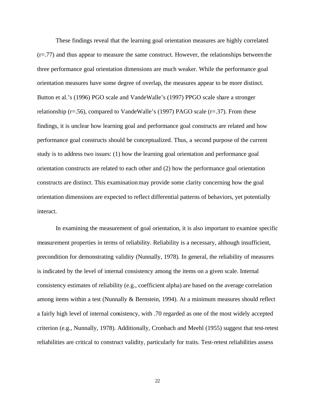These findings reveal that the learning goal orientation measures are highly correlated  $(r=.77)$  and thus appear to measure the same construct. However, the relationships between the three performance goal orientation dimensions are much weaker. While the performance goal orientation measures have some degree of overlap, the measures appear to be more distinct. Button et al.'s (1996) PGO scale and VandeWalle's (1997) PPGO scale share a stronger relationship (r=.56), compared to VandeWalle's (1997) PAGO scale (r=.37). From these findings, it is unclear how learning goal and performance goal constructs are related and how performance goal constructs should be conceptualized. Thus, a second purpose of the current study is to address two issues: (1) how the learning goal orientation and performance goal orientation constructs are related to each other and (2) how the performance goal orientation constructs are distinct. This examination may provide some clarity concerning how the goal orientation dimensions are expected to reflect differential patterns of behaviors, yet potentially interact.

In examining the measurement of goal orientation, it is also important to examine specific measurement properties in terms of reliability. Reliability is a necessary, although insufficient, precondition for demonstrating validity (Nunnally, 1978). In general, the reliability of measures is indicated by the level of internal consistency among the items on a given scale. Internal consistency estimates of reliability (e.g., coefficient alpha) are based on the average correlation among items within a test (Nunnally  $&$  Bernstein, 1994). At a minimum measures should reflect a fairly high level of internal consistency, with .70 regarded as one of the most widely accepted criterion (e.g., Nunnally, 1978). Additionally, Cronbach and Meehl (1955) suggest that test-retest reliabilities are critical to construct validity, particularly for traits. Test-retest reliabilities assess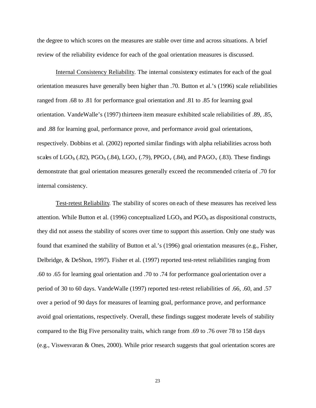the degree to which scores on the measures are stable over time and across situations. A brief review of the reliability evidence for each of the goal orientation measures is discussed.

Internal Consistency Reliability. The internal consistency estimates for each of the goal orientation measures have generally been higher than .70. Button et al.'s (1996) scale reliabilities ranged from .68 to .81 for performance goal orientation and .81 to .85 for learning goal orientation. VandeWalle's (1997) thirteen-item measure exhibited scale reliabilities of .89, .85, and .88 for learning goal, performance prove, and performance avoid goal orientations, respectively. Dobbins et al. (2002) reported similar findings with alpha reliabilities across both scales of  $LGO_b$  (.82),  $PGO_b$  (.84),  $LGO_v$  (.79),  $PPGO_v$  (.84), and  $PAGO_v$  (.83). These findings demonstrate that goal orientation measures generally exceed the recommended criteria of .70 for internal consistency.

Test-retest Reliability. The stability of scores on each of these measures has received less attention. While Button et al. (1996) conceptualized  $LGO_b$  and  $PGO_b$  as dispositional constructs, they did not assess the stability of scores over time to support this assertion. Only one study was found that examined the stability of Button et al.'s (1996) goal orientation measures (e.g., Fisher, Delbridge, & DeShon, 1997). Fisher et al. (1997) reported test-retest reliabilities ranging from .60 to .65 for learning goal orientation and .70 to .74 for performance goal orientation over a period of 30 to 60 days. VandeWalle (1997) reported test-retest reliabilities of .66, .60, and .57 over a period of 90 days for measures of learning goal, performance prove, and performance avoid goal orientations, respectively. Overall, these findings suggest moderate levels of stability compared to the Big Five personality traits, which range from .69 to .76 over 78 to 158 days (e.g., Viswesvaran & Ones, 2000). While prior research suggests that goal orientation scores are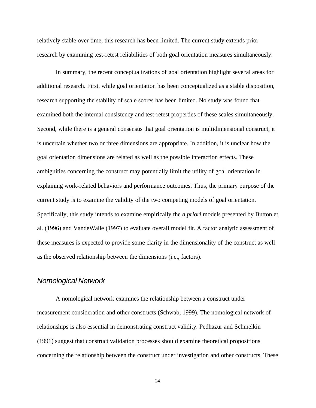relatively stable over time, this research has been limited. The current study extends prior research by examining test-retest reliabilities of both goal orientation measures simultaneously.

In summary, the recent conceptualizations of goal orientation highlight seve ral areas for additional research. First, while goal orientation has been conceptualized as a stable disposition, research supporting the stability of scale scores has been limited. No study was found that examined both the internal consistency and test-retest properties of these scales simultaneously. Second, while there is a general consensus that goal orientation is multidimensional construct, it is uncertain whether two or three dimensions are appropriate. In addition, it is unclear how the goal orientation dimensions are related as well as the possible interaction effects. These ambiguities concerning the construct may potentially limit the utility of goal orientation in explaining work-related behaviors and performance outcomes. Thus, the primary purpose of the current study is to examine the validity of the two competing models of goal orientation. Specifically, this study intends to examine empirically the *a priori* models presented by Button et al. (1996) and VandeWalle (1997) to evaluate overall model fit. A factor analytic assessment of these measures is expected to provide some clarity in the dimensionality of the construct as well as the observed relationship between the dimensions (i.e., factors).

#### *Nomological Network*

A nomological network examines the relationship between a construct under measurement consideration and other constructs (Schwab, 1999). The nomological network of relationships is also essential in demonstrating construct validity. Pedhazur and Schmelkin (1991) suggest that construct validation processes should examine theoretical propositions concerning the relationship between the construct under investigation and other constructs. These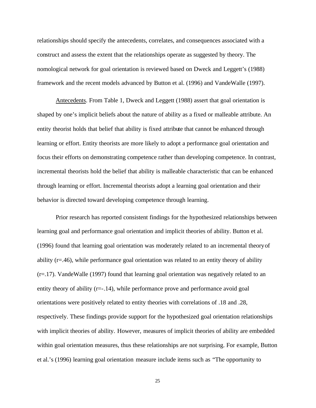relationships should specify the antecedents, correlates, and consequences associated with a construct and assess the extent that the relationships operate as suggested by theory. The nomological network for goal orientation is reviewed based on Dweck and Leggett's (1988) framework and the recent models advanced by Button et al. (1996) and VandeWalle (1997).

Antecedents. From Table 1, Dweck and Leggett (1988) assert that goal orientation is shaped by one's implicit beliefs about the nature of ability as a fixed or malleable attribute. An entity theorist holds that belief that ability is fixed attribute that cannot be enhanced through learning or effort. Entity theorists are more likely to adopt a performance goal orientation and focus their efforts on demonstrating competence rather than developing competence. In contrast, incremental theorists hold the belief that ability is malleable characteristic that can be enhanced through learning or effort. Incremental theorists adopt a learning goal orientation and their behavior is directed toward developing competence through learning.

Prior research has reported consistent findings for the hypothesized relationships between learning goal and performance goal orientation and implicit theories of ability. Button et al. (1996) found that learning goal orientation was moderately related to an incremental theory of ability (r=.46), while performance goal orientation was related to an entity theory of ability (r=.17). VandeWalle (1997) found that learning goal orientation was negatively related to an entity theory of ability (r=-.14), while performance prove and performance avoid goal orientations were positively related to entity theories with correlations of .18 and .28, respectively. These findings provide support for the hypothesized goal orientation relationships with implicit theories of ability. However, measures of implicit theories of ability are embedded within goal orientation measures, thus these relationships are not surprising. For example, Button et al.'s (1996) learning goal orientation measure include items such as "The opportunity to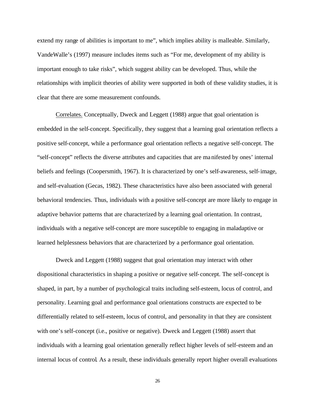extend my range of abilities is important to me", which implies ability is malleable. Similarly, VandeWalle's (1997) measure includes items such as "For me, development of my ability is important enough to take risks", which suggest ability can be developed. Thus, while the relationships with implicit theories of ability were supported in both of these validity studies, it is clear that there are some measurement confounds.

Correlates. Conceptually, Dweck and Leggett (1988) argue that goal orientation is embedded in the self-concept. Specifically, they suggest that a learning goal orientation reflects a positive self-concept, while a performance goal orientation reflects a negative self-concept. The "self-concept" reflects the diverse attributes and capacities that are manifested by ones' internal beliefs and feelings (Coopersmith, 1967). It is characterized by one's self-awareness, self-image, and self-evaluation (Gecas, 1982). These characteristics have also been associated with general behavioral tendencies. Thus, individuals with a positive self-concept are more likely to engage in adaptive behavior patterns that are characterized by a learning goal orientation. In contrast, individuals with a negative self-concept are more susceptible to engaging in maladaptive or learned helplessness behaviors that are characterized by a performance goal orientation.

Dweck and Leggett (1988) suggest that goal orientation may interact with other dispositional characteristics in shaping a positive or negative self-concept. The self-concept is shaped, in part, by a number of psychological traits including self-esteem, locus of control, and personality. Learning goal and performance goal orientations constructs are expected to be differentially related to self-esteem, locus of control, and personality in that they are consistent with one's self-concept (i.e., positive or negative). Dweck and Leggett (1988) assert that individuals with a learning goal orientation generally reflect higher levels of self-esteem and an internal locus of control. As a result, these individuals generally report higher overall evaluations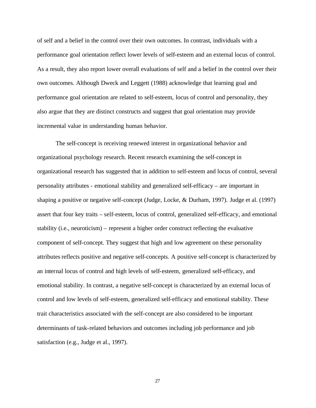of self and a belief in the control over their own outcomes. In contrast, individuals with a performance goal orientation reflect lower levels of self-esteem and an external locus of control. As a result, they also report lower overall evaluations of self and a belief in the control over their own outcomes. Although Dweck and Leggett (1988) acknowledge that learning goal and performance goal orientation are related to self-esteem, locus of control and personality, they also argue that they are distinct constructs and suggest that goal orientation may provide incremental value in understanding human behavior.

The self-concept is receiving renewed interest in organizational behavior and organizational psychology research. Recent research examining the self-concept in organizational research has suggested that in addition to self-esteem and locus of control, several personality attributes - emotional stability and generalized self-efficacy – are important in shaping a positive or negative self-concept (Judge, Locke, & Durham, 1997). Judge et al. (1997) assert that four key traits – self-esteem, locus of control, generalized self-efficacy, and emotional stability (i.e., neuroticism) – represent a higher order construct reflecting the evaluative component of self-concept. They suggest that high and low agreement on these personality attributesreflects positive and negative self-concepts. A positive self-concept is characterized by an internal locus of control and high levels of self-esteem, generalized self-efficacy, and emotional stability. In contrast, a negative self-concept is characterized by an external locus of control and low levels of self-esteem, generalized self-efficacy and emotional stability. These trait characteristics associated with the self-concept are also considered to be important determinants of task-related behaviors and outcomes including job performance and job satisfaction (e.g., Judge et al., 1997).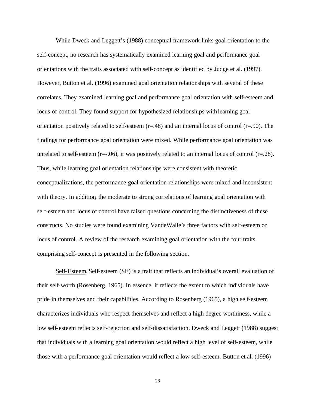While Dweck and Leggett's (1988) conceptual framework links goal orientation to the self-concept, no research has systematically examined learning goal and performance goal orientations with the traits associated with self-concept as identified by Judge et al. (1997). However, Button et al. (1996) examined goal orientation relationships with several of these correlates. They examined learning goal and performance goal orientation with self-esteem and locus of control. They found support for hypothesized relationships with learning goal orientation positively related to self-esteem  $(r=.48)$  and an internal locus of control  $(r=.90)$ . The findings for performance goal orientation were mixed. While performance goal orientation was unrelated to self-esteem ( $r=-.06$ ), it was positively related to an internal locus of control ( $r=-.28$ ). Thus, while learning goal orientation relationships were consistent with theoretic conceptualizations, the performance goal orientation relationships were mixed and inconsistent with theory. In addition, the moderate to strong correlations of learning goal orientation with self-esteem and locus of control have raised questions concerning the distinctiveness of these constructs. No studies were found examining VandeWalle's three factors with self-esteem or locus of control. A review of the research examining goal orientation with the four traits comprising self-concept is presented in the following section.

Self-Esteem. Self-esteem (SE) is a trait that reflects an individual's overall evaluation of their self-worth (Rosenberg, 1965). In essence, it reflects the extent to which individuals have pride in themselves and their capabilities. According to Rosenberg (1965), a high self-esteem characterizes individuals who respect themselves and reflect a high degree worthiness, while a low self-esteem reflects self-rejection and self-dissatisfaction. Dweck and Leggett (1988) suggest that individuals with a learning goal orientation would reflect a high level of self-esteem, while those with a performance goal orientation would reflect a low self-esteem. Button et al. (1996)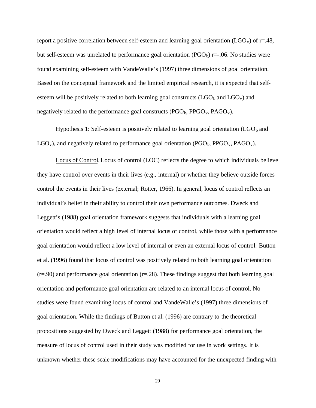report a positive correlation between self-esteem and learning goal orientation (LGO<sub>v</sub>) of r=.48, but self-esteem was unrelated to performance goal orientation ( $PGO<sub>b</sub>$ ) r=-.06. No studies were found examining self-esteem with VandeWalle's (1997) three dimensions of goal orientation. Based on the conceptual framework and the limited empirical research, it is expected that selfesteem will be positively related to both learning goal constructs  $(LGO_b$  and  $LGO_v)$  and negatively related to the performance goal constructs ( $PGO<sub>b</sub>$ ,  $PPGO<sub>v</sub>$ ,  $PAGO<sub>v</sub>$ ).

Hypothesis 1: Self-esteem is positively related to learning goal orientation  $(LGO_b$  and  $LGO_v$ ), and negatively related to performance goal orientation (PGO<sub>b</sub>, PPGO<sub>v</sub>, PAGO<sub>v</sub>).

Locus of Control. Locus of control (LOC) reflects the degree to which individuals believe they have control over events in their lives (e.g., internal) or whether they believe outside forces control the events in their lives (external; Rotter, 1966). In general, locus of control reflects an individual's belief in their ability to control their own performance outcomes. Dweck and Leggett's (1988) goal orientation framework suggests that individuals with a learning goal orientation would reflect a high level of internal locus of control, while those with a performance goal orientation would reflect a low level of internal or even an external locus of control. Button et al. (1996) found that locus of control was positively related to both learning goal orientation  $(r=.90)$  and performance goal orientation  $(r=.28)$ . These findings suggest that both learning goal orientation and performance goal orientation are related to an internal locus of control. No studies were found examining locus of control and VandeWalle's (1997) three dimensions of goal orientation. While the findings of Button et al. (1996) are contrary to the theoretical propositions suggested by Dweck and Leggett (1988) for performance goal orientation, the measure of locus of control used in their study was modified for use in work settings. It is unknown whether these scale modifications may have accounted for the unexpected finding with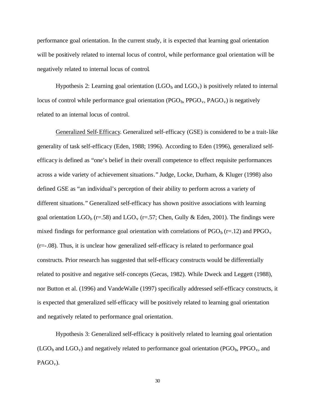performance goal orientation. In the current study, it is expected that learning goal orientation will be positively related to internal locus of control, while performance goal orientation will be negatively related to internal locus of control.

Hypothesis 2: Learning goal orientation  $(LGO_b)$  and  $LGO_v$ ) is positively related to internal locus of control while performance goal orientation ( $PGO<sub>b</sub>$ ,  $PGO<sub>v</sub>$ ,  $PAGO<sub>v</sub>$ ) is negatively related to an internal locus of control.

Generalized Self-Efficacy. Generalized self-efficacy (GSE) is considered to be a trait-like generality of task self-efficacy (Eden, 1988; 1996). According to Eden (1996), generalized selfefficacy is defined as "one's belief in their overall competence to effect requisite performances across a wide variety of achievement situations." Judge, Locke, Durham, & Kluger (1998) also defined GSE as "an individual's perception of their ability to perform across a variety of different situations." Generalized self-efficacy has shown positive associations with learning goal orientation LGO<sub>b</sub> (r=.58) and LGO<sub>v</sub> (r=.57; Chen, Gully & Eden, 2001). The findings were mixed findings for performance goal orientation with correlations of  $PGO<sub>b</sub>$  (r=.12) and PPGO<sub>v</sub> (r=-.08). Thus, it is unclear how generalized self-efficacy is related to performance goal constructs. Prior research has suggested that self-efficacy constructs would be differentially related to positive and negative self-concepts (Gecas, 1982). While Dweck and Leggett (1988), nor Button et al. (1996) and VandeWalle (1997) specifically addressed self-efficacy constructs, it is expected that generalized self-efficacy will be positively related to learning goal orientation and negatively related to performance goal orientation.

Hypothesis 3: Generalized self-efficacy is positively related to learning goal orientation  $(LGO_b \text{ and } LGO_v)$  and negatively related to performance goal orientation (PGO<sub>b</sub>, PPGO<sub>v</sub>, and  $PAGO_v$ ).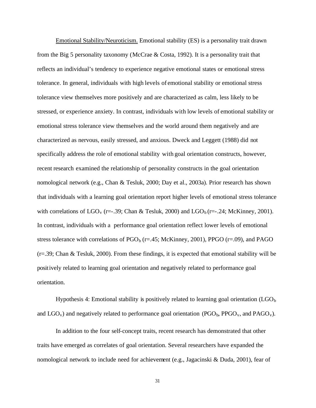Emotional Stability/Neuroticism. Emotional stability (ES) is a personality trait drawn from the Big 5 personality taxonomy (McCrae & Costa, 1992). It is a personality trait that reflects an individual's tendency to experience negative emotional states or emotional stress tolerance. In general, individuals with high levels of emotional stability or emotional stress tolerance view themselves more positively and are characterized as calm, less likely to be stressed, or experience anxiety. In contrast, individuals with low levels of emotional stability or emotional stress tolerance view themselves and the world around them negatively and are characterized as nervous, easily stressed, and anxious. Dweck and Leggett (1988) did not specifically address the role of emotional stability with goal orientation constructs, however, recent research examined the relationship of personality constructs in the goal orientation nomological network (e.g., Chan & Tesluk, 2000; Day et al., 2003a). Prior research has shown that individuals with a learning goal orientation report higher levels of emotional stress tolerance with correlations of  $LGO_v$  (r=-.39; Chan & Tesluk, 2000) and  $LGO_b$  (r=-.24; McKinney, 2001). In contrast, individuals with a performance goal orientation reflect lower levels of emotional stress tolerance with correlations of  $PGO<sub>b</sub>$  (r=.45; McKinney, 2001), PPGO (r=.09), and PAGO (r=.39; Chan & Tesluk, 2000). From these findings, it is expected that emotional stability will be positively related to learning goal orientation and negatively related to performance goal orientation.

Hypothesis 4: Emotional stability is positively related to learning goal orientation  $(LGO_b)$ and  $LGO_v$ ) and negatively related to performance goal orientation (PGO<sub>b</sub>, PPGO<sub>v</sub>, and PAGO<sub>v</sub>).

In addition to the four self-concept traits, recent research has demonstrated that other traits have emerged as correlates of goal orientation. Several researchers have expanded the nomological network to include need for achievement (e.g., Jagacinski & Duda, 2001), fear of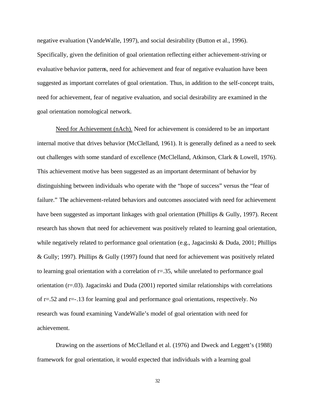negative evaluation (VandeWalle, 1997), and social desirability (Button et al., 1996). Specifically, given the definition of goal orientation reflecting either achievement-striving or evaluative behavior patterns, need for achievement and fear of negative evaluation have been suggested as important correlates of goal orientation. Thus, in addition to the self-concept traits, need for achievement, fear of negative evaluation, and social desirability are examined in the goal orientation nomological network.

Need for Achievement (nAch). Need for achievement is considered to be an important internal motive that drives behavior (McClelland, 1961). It is generally defined as a need to seek out challenges with some standard of excellence (McClelland, Atkinson, Clark & Lowell, 1976). This achievement motive has been suggested as an important determinant of behavior by distinguishing between individuals who operate with the "hope of success" versus the "fear of failure." The achievement-related behaviors and outcomes associated with need for achievement have been suggested as important linkages with goal orientation (Phillips & Gully, 1997). Recent research has shown that need for achievement was positively related to learning goal orientation, while negatively related to performance goal orientation (e.g., Jagacinski & Duda, 2001; Phillips & Gully; 1997). Phillips & Gully (1997) found that need for achievement was positively related to learning goal orientation with a correlation of  $r = 0.35$ , while unrelated to performance goal orientation (r=.03). Jagacinski and Duda (2001) reported similar relationships with correlations of  $r=.52$  and  $r=.13$  for learning goal and performance goal orientations, respectively. No research was found examining VandeWalle's model of goal orientation with need for achievement.

Drawing on the assertions of McClelland et al. (1976) and Dweck and Leggett's (1988) framework for goal orientation, it would expected that individuals with a learning goal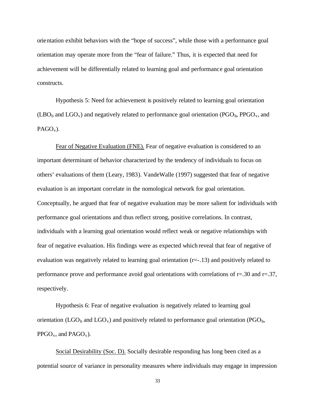orientation exhibit behaviors with the "hope of success", while those with a performance goal orientation may operate more from the "fear of failure." Thus, it is expected that need for achievement will be differentially related to learning goal and performance goal orientation constructs.

Hypothesis 5: Need for achievement is positively related to learning goal orientation  $(LBO<sub>b</sub>$  and  $LGO<sub>v</sub>$ ) and negatively related to performance goal orientation (PGO<sub>b</sub>, PPGO<sub>v</sub>, and  $PAGO_v$ ).

Fear of Negative Evaluation (FNE). Fear of negative evaluation is considered to an important determinant of behavior characterized by the tendency of individuals to focus on others' evaluations of them (Leary, 1983). VandeWalle (1997) suggested that fear of negative evaluation is an important correlate in the nomological network for goal orientation. Conceptually, he argued that fear of negative evaluation may be more salient for individuals with performance goal orientations and thus reflect strong, positive correlations. In contrast, individuals with a learning goal orientation would reflect weak or negative relationships with fear of negative evaluation. His findings were as expected which reveal that fear of negative of evaluation was negatively related to learning goal orientation (r=-.13) and positively related to performance prove and performance avoid goal orientations with correlations of r=.30 and r=.37, respectively.

Hypothesis 6: Fear of negative evaluation is negatively related to learning goal orientation (LGO<sub>b</sub> and LGO<sub>v</sub>) and positively related to performance goal orientation (PGO<sub>b</sub>,  $PROO<sub>v</sub>$ , and  $PAGO<sub>v</sub>$ ).

Social Desirability (Soc. D). Socially desirable responding has long been cited as a potential source of variance in personality measures where individuals may engage in impression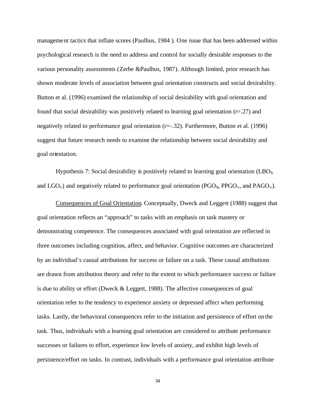management tactics that inflate scores (Paulhus, 1984 ). One issue that has been addressed within psychological research is the need to address and control for socially desirable responses to the various personality assessments (Zerbe &Paulhus, 1987). Although limited, prior research has shown moderate levels of association between goal orientation constructs and social desirability. Button et al. (1996) examined the relationship of social desirability with goal orientation and found that social desirability was positively related to learning goal orientation  $(r=.27)$  and negatively related to performance goal orientation (r=-.32). Furthermore, Button et al. (1996) suggest that future research needs to examine the relationship between social desirability and goal orientation.

Hypothesis 7: Social desirability is positively related to learning goal orientation  $(LBO<sub>b</sub>)$ and  $LGO_v$ ) and negatively related to performance goal orientation (PGO<sub>b</sub>, PPGO<sub>v</sub>, and PAGO<sub>v</sub>).

Consequences of Goal Orientation. Conceptually, Dweck and Leggett (1988) suggest that goal orientation reflects an "approach" to tasks with an emphasis on task mastery or demonstrating competence. The consequences associated with goal orientation are reflected in three outcomes including cognition, affect, and behavior. Cognitive outcomes are characterized by an individual's causal attributions for success or failure on a task. These causal attributions are drawn from attribution theory and refer to the extent to which performance success or failure is due to ability or effort (Dweck & Leggett, 1988). The affective consequences of goal orientation refer to the tendency to experience anxiety or depressed affect when performing tasks. Lastly, the behavioral consequences refer to the initiation and persistence of effort on the task. Thus, individuals with a learning goal orientation are considered to attribute performance successes or failures to effort, experience low levels of anxiety, and exhibit high levels of persistence/effort on tasks. In contrast, individuals with a performance goal orientation attribute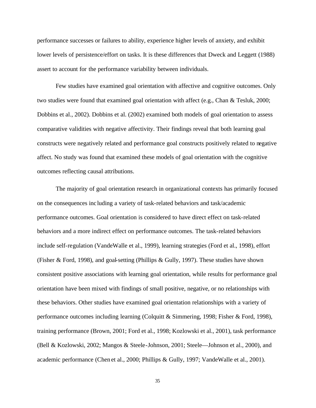performance successes or failures to ability, experience higher levels of anxiety, and exhibit lower levels of persistence/effort on tasks. It is these differences that Dweck and Leggett (1988) assert to account for the performance variability between individuals.

Few studies have examined goal orientation with affective and cognitive outcomes. Only two studies were found that examined goal orientation with affect (e.g., Chan & Tesluk, 2000; Dobbins et al., 2002). Dobbins et al. (2002) examined both models of goal orientation to assess comparative validities with negative affectivity. Their findings reveal that both learning goal constructs were negatively related and performance goal constructs positively related to negative affect. No study was found that examined these models of goal orientation with the cognitive outcomes reflecting causal attributions.

The majority of goal orientation research in organizational contexts has primarily focused on the consequences inc luding a variety of task-related behaviors and task/academic performance outcomes. Goal orientation is considered to have direct effect on task-related behaviors and a more indirect effect on performance outcomes. The task-related behaviors include self-regulation (VandeWalle et al., 1999), learning strategies (Ford et al., 1998), effort (Fisher & Ford, 1998), and goal-setting (Phillips & Gully, 1997). These studies have shown consistent positive associations with learning goal orientation, while results for performance goal orientation have been mixed with findings of small positive, negative, or no relationships with these behaviors. Other studies have examined goal orientation relationships with a variety of performance outcomes including learning (Colquitt & Simmering, 1998; Fisher & Ford, 1998), training performance (Brown, 2001; Ford et al., 1998; Kozlowski et al., 2001), task performance (Bell & Kozlowski, 2002; Mangos & Steele-Johnson, 2001; Steele—Johnson et al., 2000), and academic performance (Chen et al., 2000; Phillips & Gully, 1997; VandeWalle et al., 2001).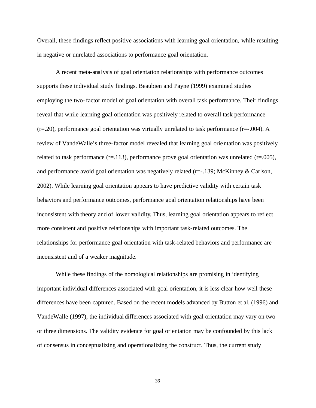Overall, these findings reflect positive associations with learning goal orientation, while resulting in negative or unrelated associations to performance goal orientation.

A recent meta-analysis of goal orientation relationships with performance outcomes supports these individual study findings. Beaubien and Payne (1999) examined studies employing the two-factor model of goal orientation with overall task performance. Their findings reveal that while learning goal orientation was positively related to overall task performance  $(r=0.20)$ , performance goal orientation was virtually unrelated to task performance  $(r=-0.04)$ . A review of VandeWalle's three-factor model revealed that learning goal orientation was positively related to task performance (r=.113), performance prove goal orientation was unrelated (r=.005), and performance avoid goal orientation was negatively related (r=-.139; McKinney & Carlson, 2002). While learning goal orientation appears to have predictive validity with certain task behaviors and performance outcomes, performance goal orientation relationships have been inconsistent with theory and of lower validity. Thus, learning goal orientation appears to reflect more consistent and positive relationships with important task-related outcomes. The relationships for performance goal orientation with task-related behaviors and performance are inconsistent and of a weaker magnitude.

While these findings of the nomological relationships are promising in identifying important individual differences associated with goal orientation, it is less clear how well these differences have been captured. Based on the recent models advanced by Button et al. (1996) and VandeWalle (1997), the individual differences associated with goal orientation may vary on two or three dimensions. The validity evidence for goal orientation may be confounded by this lack of consensus in conceptualizing and operationalizing the construct. Thus, the current study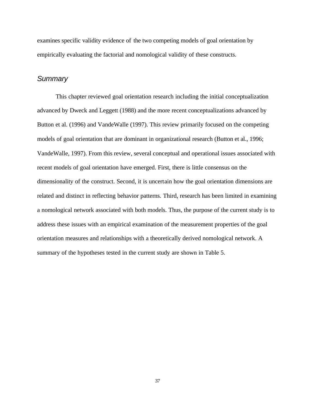examines specific validity evidence of the two competing models of goal orientation by empirically evaluating the factorial and nomological validity of these constructs.

### *Summary*

This chapter reviewed goal orientation research including the initial conceptualization advanced by Dweck and Leggett (1988) and the more recent conceptualizations advanced by Button et al. (1996) and VandeWalle (1997). This review primarily focused on the competing models of goal orientation that are dominant in organizational research (Button et al., 1996; VandeWalle, 1997). From this review, several conceptual and operational issues associated with recent models of goal orientation have emerged. First, there is little consensus on the dimensionality of the construct. Second, it is uncertain how the goal orientation dimensions are related and distinct in reflecting behavior patterns. Third, research has been limited in examining a nomological network associated with both models. Thus, the purpose of the current study is to address these issues with an empirical examination of the measurement properties of the goal orientation measures and relationships with a theoretically derived nomological network. A summary of the hypotheses tested in the current study are shown in Table 5.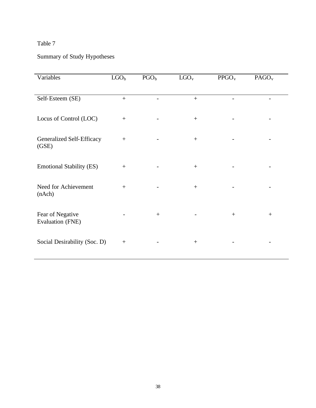## Table 7

# Summary of Study Hypotheses

| Variables                            | $LGO_b$ | PGO <sub>b</sub> | $LGO_v$ | PPGO <sub>v</sub> | PAGO <sub>v</sub> |
|--------------------------------------|---------|------------------|---------|-------------------|-------------------|
|                                      |         |                  |         |                   |                   |
| Self-Esteem (SE)                     | $+$     |                  | $+$     |                   |                   |
| Locus of Control (LOC)               | $+$     |                  | $+$     |                   |                   |
| Generalized Self-Efficacy<br>(GSE)   | $+$     |                  | $+$     |                   |                   |
| <b>Emotional Stability (ES)</b>      | $+$     |                  | $+$     |                   |                   |
| Need for Achievement<br>(nAch)       | $+$     |                  | $+$     |                   |                   |
| Fear of Negative<br>Evaluation (FNE) |         | $+$              |         | $\boldsymbol{+}$  | $+$               |
| Social Desirability (Soc. D)         | $+$     |                  | $+$     |                   |                   |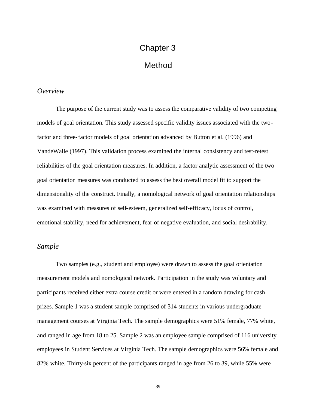# Chapter 3 Method

# *Overview*

The purpose of the current study was to assess the comparative validity of two competing models of goal orientation. This study assessed specific validity issues associated with the twofactor and three-factor models of goal orientation advanced by Button et al. (1996) and VandeWalle (1997). This validation process examined the internal consistency and test-retest reliabilities of the goal orientation measures. In addition, a factor analytic assessment of the two goal orientation measures was conducted to assess the best overall model fit to support the dimensionality of the construct. Finally, a nomological network of goal orientation relationships was examined with measures of self-esteem, generalized self-efficacy, locus of control, emotional stability, need for achievement, fear of negative evaluation, and social desirability.

#### *Sample*

Two samples (e.g., student and employee) were drawn to assess the goal orientation measurement models and nomological network. Participation in the study was voluntary and participants received either extra course credit or were entered in a random drawing for cash prizes. Sample 1 was a student sample comprised of 314 students in various undergraduate management courses at Virginia Tech. The sample demographics were 51% female, 77% white, and ranged in age from 18 to 25. Sample 2 was an employee sample comprised of 116 university employees in Student Services at Virginia Tech. The sample demographics were 56% female and 82% white. Thirty-six percent of the participants ranged in age from 26 to 39, while 55% were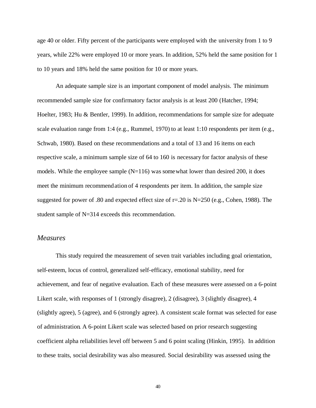age 40 or older. Fifty percent of the participants were employed with the university from 1 to 9 years, while 22% were employed 10 or more years. In addition, 52% held the same position for 1 to 10 years and 18% held the same position for 10 or more years.

An adequate sample size is an important component of model analysis. The minimum recommended sample size for confirmatory factor analysis is at least 200 (Hatcher, 1994; Hoelter, 1983; Hu & Bentler, 1999). In addition, recommendations for sample size for adequate scale evaluation range from 1:4 (e.g., Rummel, 1970) to at least 1:10 respondents per item (e.g., Schwab, 1980). Based on these recommendations and a total of 13 and 16 items on each respective scale, a minimum sample size of 64 to 160 is necessary for factor analysis of these models. While the employee sample  $(N=116)$  was somewhat lower than desired 200, it does meet the minimum recommendation of 4 respondents per item. In addition, the sample size suggested for power of .80 and expected effect size of  $r=20$  is N=250 (e.g., Cohen, 1988). The student sample of N=314 exceeds this recommendation.

#### *Measures*

This study required the measurement of seven trait variables including goal orientation, self-esteem, locus of control, generalized self-efficacy, emotional stability, need for achievement, and fear of negative evaluation. Each of these measures were assessed on a 6-point Likert scale, with responses of 1 (strongly disagree), 2 (disagree), 3 (slightly disagree), 4 (slightly agree), 5 (agree), and 6 (strongly agree). A consistent scale format was selected for ease of administration. A 6-point Likert scale was selected based on prior research suggesting coefficient alpha reliabilities level off between 5 and 6 point scaling (Hinkin, 1995). In addition to these traits, social desirability was also measured. Social desirability was assessed using the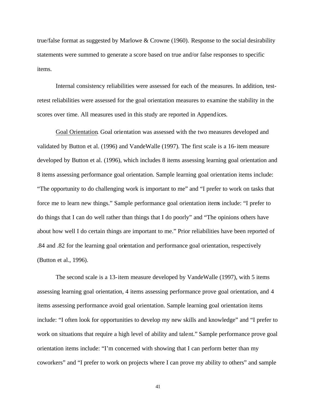true/false format as suggested by Marlowe & Crowne (1960). Response to the social desirability statements were summed to generate a score based on true and/or false responses to specific items.

Internal consistency reliabilities were assessed for each of the measures. In addition, testretest reliabilities were assessed for the goal orientation measures to examine the stability in the scores over time. All measures used in this study are reported in Appendices.

Goal Orientation. Goal orientation was assessed with the two measures developed and validated by Button et al. (1996) and VandeWalle (1997). The first scale is a 16-item measure developed by Button et al. (1996), which includes 8 items assessing learning goal orientation and 8 items assessing performance goal orientation. Sample learning goal orientation items include: "The opportunity to do challenging work is important to me" and "I prefer to work on tasks that force me to learn new things." Sample performance goal orientation items include: "I prefer to do things that I can do well rather than things that I do poorly" and "The opinions others have about how well I do certain things are important to me." Prior reliabilities have been reported of .84 and .82 for the learning goal orientation and performance goal orientation, respectively (Button et al., 1996).

The second scale is a 13-item measure developed by VandeWalle (1997), with 5 items assessing learning goal orientation, 4 items assessing performance prove goal orientation, and 4 items assessing performance avoid goal orientation. Sample learning goal orientation items include: "I often look for opportunities to develop my new skills and knowledge" and "I prefer to work on situations that require a high level of ability and talent." Sample performance prove goal orientation items include: "I'm concerned with showing that I can perform better than my coworkers" and "I prefer to work on projects where I can prove my ability to others" and sample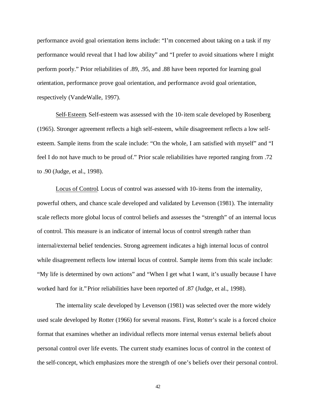performance avoid goal orientation items include: "I'm concerned about taking on a task if my performance would reveal that I had low ability" and "I prefer to avoid situations where I might perform poorly." Prior reliabilities of .89, .95, and .88 have been reported for learning goal orientation, performance prove goal orientation, and performance avoid goal orientation, respectively (VandeWalle, 1997).

Self-Esteem. Self-esteem was assessed with the 10-item scale developed by Rosenberg (1965). Stronger agreement reflects a high self-esteem, while disagreement reflects a low selfesteem. Sample items from the scale include: "On the whole, I am satisfied with myself" and "I feel I do not have much to be proud of." Prior scale reliabilities have reported ranging from .72 to .90 (Judge, et al., 1998).

Locus of Control. Locus of control was assessed with 10-items from the internality, powerful others, and chance scale developed and validated by Levenson (1981). The internality scale reflects more global locus of control beliefs and assesses the "strength" of an internal locus of control. This measure is an indicator of internal locus of control strength rather than internal/external belief tendencies. Strong agreement indicates a high internal locus of control while disagreement reflects low internal locus of control. Sample items from this scale include: "My life is determined by own actions" and "When I get what I want, it's usually because I have worked hard for it."Prior reliabilities have been reported of .87 (Judge, et al., 1998).

The internality scale developed by Levenson (1981) was selected over the more widely used scale developed by Rotter (1966) for several reasons. First, Rotter's scale is a forced choice format that examines whether an individual reflects more internal versus external beliefs about personal control over life events. The current study examines locus of control in the context of the self-concept, which emphasizes more the strength of one's beliefs over their personal control.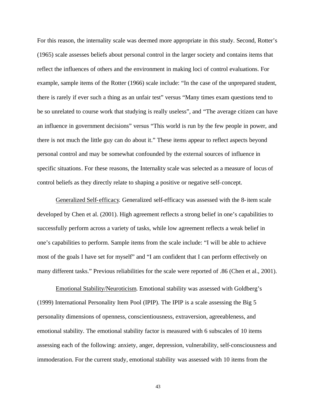For this reason, the internality scale was deemed more appropriate in this study. Second, Rotter's (1965) scale assesses beliefs about personal control in the larger society and contains items that reflect the influences of others and the environment in making loci of control evaluations. For example, sample items of the Rotter (1966) scale include: "In the case of the unprepared student, there is rarely if ever such a thing as an unfair test" versus "Many times exam questions tend to be so unrelated to course work that studying is really useless", and "The average citizen can have an influence in government decisions" versus "This world is run by the few people in power, and there is not much the little guy can do about it." These items appear to reflect aspects beyond personal control and may be somewhat confounded by the external sources of influence in specific situations. For these reasons, the Internality scale was selected as a measure of locus of control beliefs as they directly relate to shaping a positive or negative self-concept.

Generalized Self-efficacy. Generalized self-efficacy was assessed with the 8-item scale developed by Chen et al. (2001). High agreement reflects a strong belief in one's capabilities to successfully perform across a variety of tasks, while low agreement reflects a weak belief in one's capabilities to perform. Sample items from the scale include: "I will be able to achieve most of the goals I have set for myself" and "I am confident that I can perform effectively on many different tasks." Previous reliabilities for the scale were reported of .86 (Chen et al., 2001).

Emotional Stability/Neuroticism. Emotional stability was assessed with Goldberg's (1999) International Personality Item Pool (IPIP). The IPIP is a scale assessing the Big 5 personality dimensions of openness, conscientiousness, extraversion, agreeableness, and emotional stability. The emotional stability factor is measured with 6 subscales of 10 items assessing each of the following: anxiety, anger, depression, vulnerability, self-consciousness and immoderation. For the current study, emotional stability was assessed with 10 items from the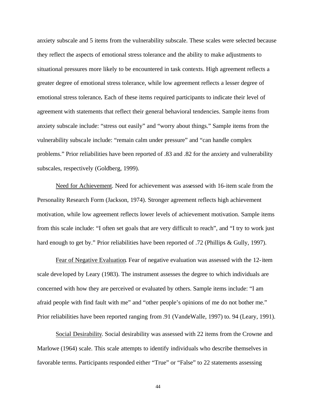anxiety subscale and 5 items from the vulnerability subscale. These scales were selected because they reflect the aspects of emotional stress tolerance and the ability to make adjustments to situational pressures more likely to be encountered in task contexts. High agreement reflects a greater degree of emotional stress tolerance, while low agreement reflects a lesser degree of emotional stress tolerance*.* Each of these items required participants to indicate their level of agreement with statements that reflect their general behavioral tendencies. Sample items from anxiety subscale include: "stress out easily" and "worry about things." Sample items from the vulnerability subscale include: "remain calm under pressure" and "can handle complex problems." Prior reliabilities have been reported of .83 and .82 for the anxiety and vulnerability subscales, respectively (Goldberg, 1999).

Need for Achievement. Need for achievement was assessed with 16-item scale from the Personality Research Form (Jackson, 1974). Stronger agreement reflects high achievement motivation, while low agreement reflects lower levels of achievement motivation. Sample items from this scale include: "I often set goals that are very difficult to reach", and "I try to work just hard enough to get by." Prior reliabilities have been reported of .72 (Phillips & Gully, 1997).

Fear of Negative Evaluation. Fear of negative evaluation was assessed with the 12-item scale developed by Leary (1983). The instrument assesses the degree to which individuals are concerned with how they are perceived or evaluated by others. Sample items include: "I am afraid people with find fault with me" and "other people's opinions of me do not bother me." Prior reliabilities have been reported ranging from .91 (VandeWalle, 1997) to. 94 (Leary, 1991).

Social Desirability. Social desirability was assessed with 22 items from the Crowne and Marlowe (1964) scale. This scale attempts to identify individuals who describe themselves in favorable terms. Participants responded either "True" or "False" to 22 statements assessing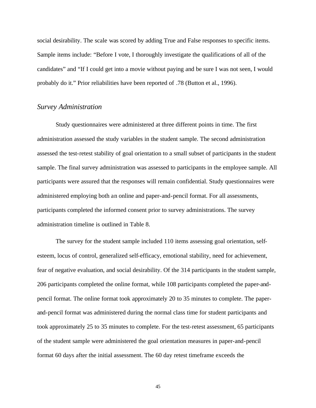social desirability. The scale was scored by adding True and False responses to specific items. Sample items include: "Before I vote, I thoroughly investigate the qualifications of all of the candidates" and "If I could get into a movie without paying and be sure I was not seen, I would probably do it." Prior reliabilities have been reported of .78 (Button et al., 1996).

#### *Survey Administration*

Study questionnaires were administered at three different points in time. The first administration assessed the study variables in the student sample. The second administration assessed the test-retest stability of goal orientation to a small subset of participants in the student sample. The final survey administration was assessed to participants in the employee sample. All participants were assured that the responses will remain confidential. Study questionnaires were administered employing both an online and paper-and-pencil format. For all assessments, participants completed the informed consent prior to survey administrations. The survey administration timeline is outlined in Table 8.

The survey for the student sample included 110 items assessing goal orientation, selfesteem, locus of control, generalized self-efficacy, emotional stability, need for achievement, fear of negative evaluation, and social desirability. Of the 314 participants in the student sample, 206 participants completed the online format, while 108 participants completed the paper-andpencil format. The online format took approximately 20 to 35 minutes to complete. The paperand-pencil format was administered during the normal class time for student participants and took approximately 25 to 35 minutes to complete. For the test-retest assessment, 65 participants of the student sample were administered the goal orientation measures in paper-and-pencil format 60 days after the initial assessment. The 60 day retest timeframe exceeds the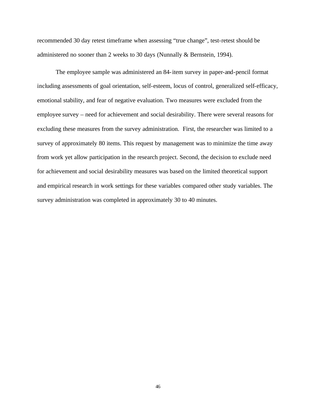recommended 30 day retest timeframe when assessing "true change", test-retest should be administered no sooner than 2 weeks to 30 days (Nunnally & Bernstein, 1994).

The employee sample was administered an 84-item survey in paper-and-pencil format including assessments of goal orientation, self-esteem, locus of control, generalized self-efficacy, emotional stability, and fear of negative evaluation. Two measures were excluded from the employee survey – need for achievement and social desirability. There were several reasons for excluding these measures from the survey administration. First, the researcher was limited to a survey of approximately 80 items. This request by management was to minimize the time away from work yet allow participation in the research project. Second, the decision to exclude need for achievement and social desirability measures was based on the limited theoretical support and empirical research in work settings for these variables compared other study variables. The survey administration was completed in approximately 30 to 40 minutes.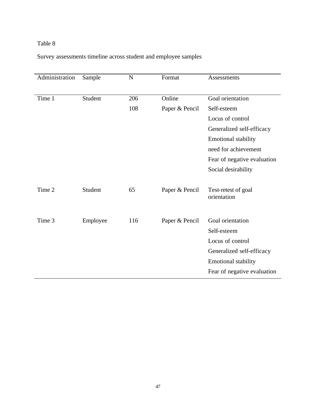## Table 8

# Survey assessments timeline across student and employee samples

| Administration | Sample   | $\mathbf N$ | Format         | Assessments                        |
|----------------|----------|-------------|----------------|------------------------------------|
|                |          |             |                |                                    |
| Time 1         | Student  | 206         | Online         | Goal orientation                   |
|                |          | 108         | Paper & Pencil | Self-esteem                        |
|                |          |             |                | Locus of control                   |
|                |          |             |                | Generalized self-efficacy          |
|                |          |             |                | <b>Emotional stability</b>         |
|                |          |             |                | need for achievement               |
|                |          |             |                | Fear of negative evaluation        |
|                |          |             |                | Social desirability                |
|                |          |             |                |                                    |
| Time 2         | Student  | 65          | Paper & Pencil | Test-retest of goal<br>orientation |
|                |          |             |                |                                    |
| Time 3         | Employee | 116         | Paper & Pencil | Goal orientation                   |
|                |          |             |                | Self-esteem                        |
|                |          |             |                | Locus of control                   |
|                |          |             |                | Generalized self-efficacy          |
|                |          |             |                | Emotional stability                |
|                |          |             |                | Fear of negative evaluation        |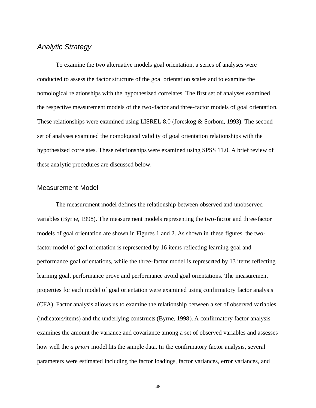## *Analytic Strategy*

To examine the two alternative models goal orientation, a series of analyses were conducted to assess the factor structure of the goal orientation scales and to examine the nomological relationships with the hypothesized correlates. The first set of analyses examined the respective measurement models of the two-factor and three-factor models of goal orientation. These relationships were examined using LISREL 8.0 (Joreskog & Sorbom, 1993). The second set of analyses examined the nomological validity of goal orientation relationships with the hypothesized correlates. These relationships were examined using SPSS 11.0. A brief review of these analytic procedures are discussed below.

#### Measurement Model

The measurement model defines the relationship between observed and unobserved variables (Byrne, 1998). The measurement models representing the two-factor and three-factor models of goal orientation are shown in Figures 1 and 2. As shown in these figures, the twofactor model of goal orientation is represented by 16 items reflecting learning goal and performance goal orientations, while the three-factor model is represented by 13 items reflecting learning goal, performance prove and performance avoid goal orientations. The measurement properties for each model of goal orientation were examined using confirmatory factor analysis (CFA). Factor analysis allows us to examine the relationship between a set of observed variables (indicators/items) and the underlying constructs (Byrne, 1998). A confirmatory factor analysis examines the amount the variance and covariance among a set of observed variables and assesses how well the *a priori* model fits the sample data. In the confirmatory factor analysis, several parameters were estimated including the factor loadings, factor variances, error variances, and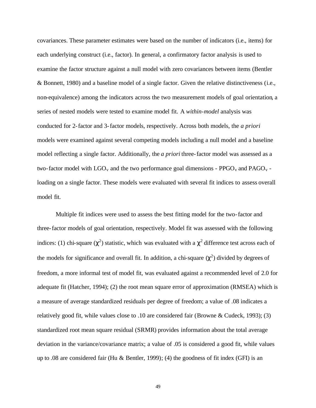covariances. These parameter estimates were based on the number of indicators (i.e., items) for each underlying construct (i.e., factor). In general, a confirmatory factor analysis is used to examine the factor structure against a null model with zero covariances between items (Bentler & Bonnett, 1980) and a baseline model of a single factor. Given the relative distinctiveness (i.e., non-equivalence) among the indicators across the two measurement models of goal orientation, a series of nested models were tested to examine model fit. A *within*-*model* analysis was conducted for 2-factor and 3-factor models, respectively. Across both models, the *a priori* models were examined against several competing models including a null model and a baseline model reflecting a single factor. Additionally, the *a priori* three-factor model was assessed as a two-factor model with  $LGO_v$  and the two performance goal dimensions - PPGO<sub>v</sub> and PAGO<sub>v</sub> loading on a single factor. These models were evaluated with several fit indices to assess overall model fit.

Multiple fit indices were used to assess the best fitting model for the two-factor and three-factor models of goal orientation, respectively. Model fit was assessed with the following indices: (1) chi-square ( $\chi^2$ ) statistic, which was evaluated with a  $\chi^2$  difference test across each of the models for significance and overall fit. In addition, a chi-square  $(\chi^2)$  divided by degrees of freedom, a more informal test of model fit, was evaluated against a recommended level of 2.0 for adequate fit (Hatcher, 1994); (2) the root mean square error of approximation (RMSEA) which is a measure of average standardized residuals per degree of freedom; a value of .08 indicates a relatively good fit, while values close to .10 are considered fair (Browne & Cudeck, 1993); (3) standardized root mean square residual (SRMR) provides information about the total average deviation in the variance/covariance matrix; a value of .05 is considered a good fit, while values up to .08 are considered fair (Hu & Bentler, 1999); (4) the goodness of fit index (GFI) is an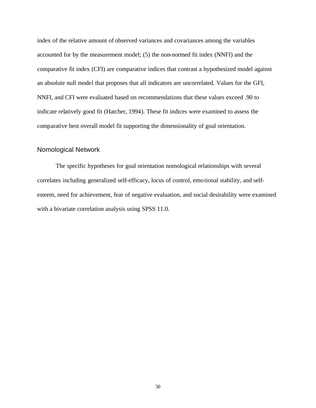index of the relative amount of observed variances and covariances among the variables accounted for by the measurement model; (5) the non-normed fit index (NNFI) and the comparative fit index (CFI) are comparative indices that contrast a hypothesized model against an absolute null model that proposes that all indicators are uncorrelated. Values for the GFI, NNFI, and CFI were evaluated based on recommendations that these values exceed .90 to indicate relatively good fit (Hatcher, 1994). These fit indices were examined to assess the comparative best overall model fit supporting the dimensionality of goal orientation.

#### Nomological Network

The specific hypotheses for goal orientation nomological relationships with several correlates including generalized self-efficacy, locus of control, emotional stability, and selfesteem, need for achievement, fear of negative evaluation, and social desirability were examined with a bivariate correlation analysis using SPSS 11.0.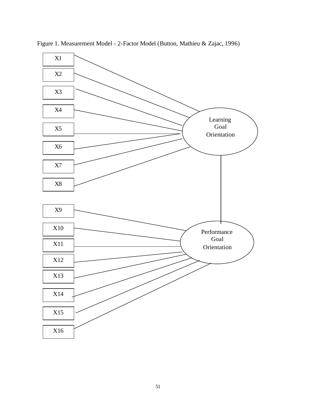

Figure 1. Measurement Model - 2-Factor Model (Button, Mathieu & Zajac, 1996)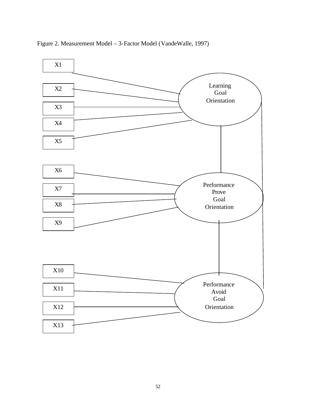

Figure 2. Measurement Model – 3-Factor Model (VandeWalle, 1997)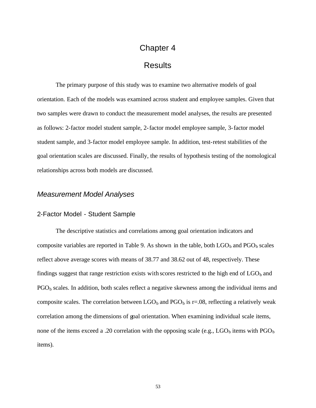# Chapter 4

# **Results**

The primary purpose of this study was to examine two alternative models of goal orientation. Each of the models was examined across student and employee samples. Given that two samples were drawn to conduct the measurement model analyses, the results are presented as follows: 2-factor model student sample, 2-factor model employee sample, 3-factor model student sample, and 3-factor model employee sample. In addition, test-retest stabilities of the goal orientation scales are discussed. Finally, the results of hypothesis testing of the nomological relationships across both models are discussed.

### *Measurement Model Analyses*

#### 2-Factor Model - Student Sample

The descriptive statistics and correlations among goal orientation indicators and composite variables are reported in Table 9. As shown in the table, both  $\text{LGO}_b$  and  $\text{PGO}_b$  scales reflect above average scores with means of 38.77 and 38.62 out of 48, respectively. These findings suggest that range restriction exists with scores restricted to the high end of  $\text{LGO}_b$  and PGO<sub>b</sub> scales. In addition, both scales reflect a negative skewness among the individual items and composite scales. The correlation between  $LGO_b$  and  $PGO<sub>b</sub>$  is r=.08, reflecting a relatively weak correlation among the dimensions of goal orientation. When examining individual scale items, none of the items exceed a .20 correlation with the opposing scale (e.g.,  $\text{LGO}_b$  items with PGO<sub>b</sub> items).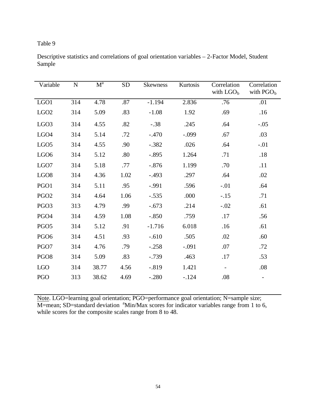### Table 9

| Variable         | $\mathbf N$ | $\mathbf{M}^{\text{a}}$ | <b>SD</b> | <b>Skewness</b> | Kurtosis | Correlation<br>with $LOGOb$ | Correlation<br>with $PGOb$ |
|------------------|-------------|-------------------------|-----------|-----------------|----------|-----------------------------|----------------------------|
| LGO1             | 314         | 4.78                    | .87       | $-1.194$        | 2.836    | .76                         | .01                        |
| LGO <sub>2</sub> | 314         | 5.09                    | .83       | $-1.08$         | 1.92     | .69                         | .16                        |
| LGO <sub>3</sub> | 314         | 4.55                    | .82       | $-.38$          | .245     | .64                         | $-.05$                     |
| LGO <sub>4</sub> | 314         | 5.14                    | .72       | $-.470$         | $-.099$  | .67                         | .03                        |
| LGO <sub>5</sub> | 314         | 4.55                    | .90       | $-.382$         | .026     | .64                         | $-.01$                     |
| LGO <sub>6</sub> | 314         | 5.12                    | .80       | $-.895$         | 1.264    | .71                         | .18                        |
| LGO7             | 314         | 5.18                    | .77       | $-.876$         | 1.199    | .70                         | .11                        |
| LGO <sub>8</sub> | 314         | 4.36                    | 1.02      | $-.493$         | .297     | .64                         | .02                        |
| PGO1             | 314         | 5.11                    | .95       | $-.991$         | .596     | $-.01$                      | .64                        |
| PGO <sub>2</sub> | 314         | 4.64                    | 1.06      | $-.535$         | .000     | $-.15$                      | .71                        |
| PGO <sub>3</sub> | 313         | 4.79                    | .99       | $-.673$         | .214     | $-.02$                      | .61                        |
| PGO <sub>4</sub> | 314         | 4.59                    | 1.08      | $-.850$         | .759     | .17                         | .56                        |
| PGO <sub>5</sub> | 314         | 5.12                    | .91       | $-1.716$        | 6.018    | .16                         | .61                        |
| PGO <sub>6</sub> | 314         | 4.51                    | .93       | $-.610$         | .505     | .02                         | .60                        |
| PGO7             | 314         | 4.76                    | .79       | $-.258$         | $-.091$  | .07                         | .72                        |
| PGO <sub>8</sub> | 314         | 5.09                    | .83       | $-.739$         | .463     | .17                         | .53                        |
| <b>LGO</b>       | 314         | 38.77                   | 4.56      | $-.819$         | 1.421    |                             | .08                        |
| PGO              | 313         | 38.62                   | 4.69      | $-.280$         | $-.124$  | .08                         |                            |

Descriptive statistics and correlations of goal orientation variables – 2-Factor Model, Student Sample

Note. LGO=learning goal orientation; PGO=performance goal orientation; N=sample size;  $\overline{M}$ =mean; SD=standard deviation <sup>a</sup>Min/Max scores for indicator variables range from 1 to 6, while scores for the composite scales range from 8 to 48.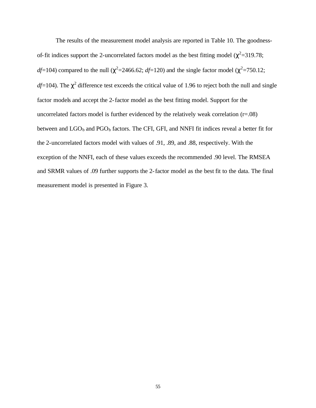The results of the measurement model analysis are reported in Table 10. The goodnessof-fit indices support the 2-uncorrelated factors model as the best fitting model ( $\chi^2$ =319.78; *df*=104) compared to the null ( $\chi^2$ =2466.62; *df*=120) and the single factor model ( $\chi^2$ =750.12;  $df=104$ ). The  $\chi^2$  difference test exceeds the critical value of 1.96 to reject both the null and single factor models and accept the 2-factor model as the best fitting model. Support for the uncorrelated factors model is further evidenced by the relatively weak correlation  $(r=.08)$ between and  $LGO_b$  and  $PGO_b$  factors. The CFI, GFI, and NNFI fit indices reveal a better fit for the 2-uncorrelated factors model with values of .91, .89, and .88, respectively. With the exception of the NNFI, each of these values exceeds the recommended .90 level. The RMSEA and SRMR values of .09 further supports the 2-factor model as the best fit to the data. The final measurement model is presented in Figure 3.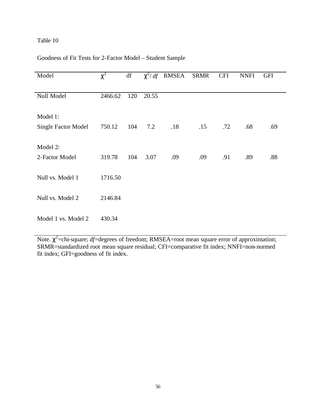#### Table 10

| Goodness of Fit Tests for 2-Factor Model – Student Sample |
|-----------------------------------------------------------|
|-----------------------------------------------------------|

| Model                      | $\chi^2$ | df  | $\chi^2$ df | <b>RMSEA</b> | <b>SRMR</b> | <b>CFI</b> | <b>NNFI</b> | <b>GFI</b> |
|----------------------------|----------|-----|-------------|--------------|-------------|------------|-------------|------------|
| Null Model                 | 2466.62  | 120 | 20.55       |              |             |            |             |            |
|                            |          |     |             |              |             |            |             |            |
| Model 1:                   |          |     |             |              |             |            |             |            |
| <b>Single Factor Model</b> | 750.12   | 104 | 7.2         | .18          | .15         | .72        | .68         | .69        |
| Model 2:                   |          |     |             |              |             |            |             |            |
| 2-Factor Model             | 319.78   | 104 | 3.07        | .09          | .09         | .91        | .89         | .88        |
|                            |          |     |             |              |             |            |             |            |
| Null vs. Model 1           | 1716.50  |     |             |              |             |            |             |            |
| Null vs. Model 2           | 2146.84  |     |             |              |             |            |             |            |
|                            |          |     |             |              |             |            |             |            |
| Model 1 vs. Model 2        | 430.34   |     |             |              |             |            |             |            |

Note.  $\chi^2$ =chi-square; *df*=degrees of freedom; RMSEA=root mean square error of approximation; SRMR=standardized root mean square residual; CFI=comparative fit index; NNFI=non-normed fit index; GFI=goodness of fit index.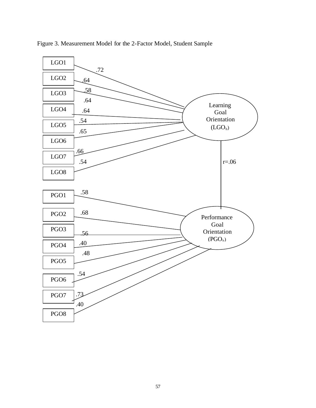

Figure 3. Measurement Model for the 2-Factor Model, Student Sample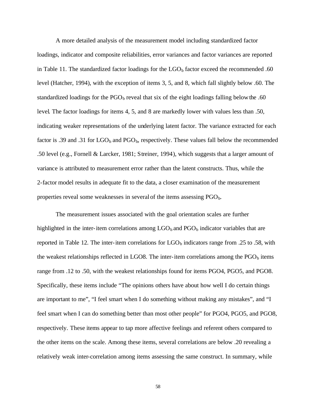A more detailed analysis of the measurement model including standardized factor loadings, indicator and composite reliabilities, error variances and factor variances are reported in Table 11. The standardized factor loadings for the  $LGO<sub>b</sub>$  factor exceed the recommended .60 level (Hatcher, 1994), with the exception of items 3, 5, and 8, which fall slightly below .60. The standardized loadings for the  $PGO<sub>b</sub>$  reveal that six of the eight loadings falling below the .60 level. The factor loadings for items 4, 5, and 8 are markedly lower with values less than .50, indicating weaker representations of the underlying latent factor. The variance extracted for each factor is .39 and .31 for  $LOGO<sub>b</sub>$  and  $PGO<sub>b</sub>$ , respectively. These values fall below the recommended .50 level (e.g., Fornell & Larcker, 1981; Streiner, 1994), which suggests that a larger amount of variance is attributed to measurement error rather than the latent constructs. Thus, while the 2-factor model results in adequate fit to the data, a closer examination of the measurement properties reveal some weaknesses in several of the items assessing  $PGO<sub>b</sub>$ .

The measurement issues associated with the goal orientation scales are further highlighted in the inter-item correlations among  $LGO_b$  and  $PGO_b$  indicator variables that are reported in Table 12. The inter-item correlations for  $LGO_b$  indicators range from .25 to .58, with the weakest relationships reflected in LGO8. The inter-item correlations among the  $PGO<sub>b</sub>$  items range from .12 to .50, with the weakest relationships found for items PGO4, PGO5, and PGO8. Specifically, these items include "The opinions others have about how well I do certain things are important to me", "I feel smart when I do something without making any mistakes", and "I feel smart when I can do something better than most other people" for PGO4, PGO5, and PGO8, respectively. These items appear to tap more affective feelings and referent others compared to the other items on the scale. Among these items, several correlations are below .20 revealing a relatively weak inter-correlation among items assessing the same construct. In summary, while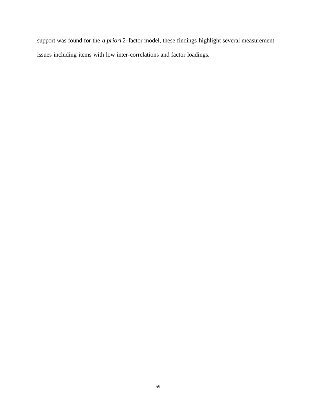support was found for the *a priori* 2-factor model, these findings highlight several measurement issues including items with low inter-correlations and factor loadings.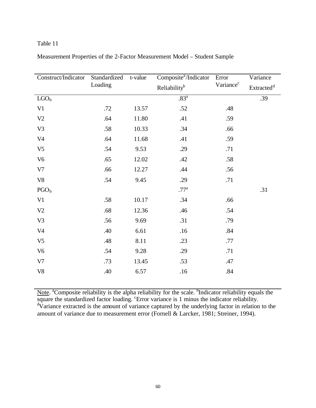#### Table 11

| Construct/Indicator | Standardized<br>t-value |                          | Composite <sup>a</sup> /Indicator | Error                 | Variance               |
|---------------------|-------------------------|--------------------------|-----------------------------------|-----------------------|------------------------|
|                     | Loading                 | Reliability <sup>b</sup> |                                   | Variance <sup>c</sup> | Extracted <sup>d</sup> |
| $LGO_b$             |                         |                          | .83 <sup>a</sup>                  |                       | .39                    |
| V <sub>1</sub>      | .72                     | 13.57                    | .52                               | .48                   |                        |
| V <sub>2</sub>      | .64                     | 11.80                    | .41                               | .59                   |                        |
| V <sub>3</sub>      | .58                     | 10.33                    | .34                               | .66                   |                        |
| V <sub>4</sub>      | .64                     | 11.68                    | .41                               | .59                   |                        |
| V <sub>5</sub>      | .54                     | 9.53                     | .29                               | .71                   |                        |
| V <sub>6</sub>      | .65                     | 12.02                    | .42                               | .58                   |                        |
| V7                  | .66                     | 12.27                    | .44                               | .56                   |                        |
| ${\rm V8}$          | .54                     | 9.45                     | .29                               | .71                   |                        |
| PGO <sub>b</sub>    |                         |                          | .77 <sup>a</sup>                  |                       | .31                    |
| V <sub>1</sub>      | .58                     | 10.17                    | .34                               | .66                   |                        |
| V2                  | .68                     | 12.36                    | .46                               | .54                   |                        |
| V <sub>3</sub>      | .56                     | 9.69                     | .31                               | .79                   |                        |
| V <sub>4</sub>      | .40                     | 6.61                     | .16                               | $.84\,$               |                        |
| V <sub>5</sub>      | .48                     | 8.11                     | .23                               | .77                   |                        |
| V <sub>6</sub>      | .54                     | 9.28                     | .29                               | .71                   |                        |
| V7                  | .73                     | 13.45                    | .53                               | .47                   |                        |
| V <sub>8</sub>      | .40                     | 6.57                     | .16                               | .84                   |                        |
|                     |                         |                          |                                   |                       |                        |

Measurement Properties of the 2-Factor Measurement Model – Student Sample

Note. <sup>a</sup>Composite reliability is the alpha reliability for the scale. <sup>b</sup>Indicator reliability equals the square the standardized factor loading. <sup>c</sup>Error variance is 1 minus the indicator reliability.  $\overrightarrow{v}$  d $\overrightarrow{v}$  ariance extracted is the amount of variance captured by the underlying factor in relation to the amount of variance due to measurement error (Fornell & Larcker, 1981; Streiner, 1994).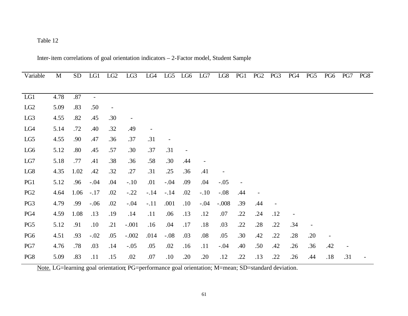# Table 12

## Inter-item correlations of goal orientation indicators – 2-Factor model, Student Sample

| Variable        | $\mathbf{M}$ | ${\rm SD}$ | LG1                      | LG2                      | LG3     | LG4            | LG5                      | LG6 | LG7    | LG8     | PG1 | PG <sub>2</sub> | PG3                      | PG4                      | PG5                      | PG <sub>6</sub> | PG7 | PG8 |
|-----------------|--------------|------------|--------------------------|--------------------------|---------|----------------|--------------------------|-----|--------|---------|-----|-----------------|--------------------------|--------------------------|--------------------------|-----------------|-----|-----|
|                 |              |            |                          |                          |         |                |                          |     |        |         |     |                 |                          |                          |                          |                 |     |     |
| LG1             | 4.78         | .87        | $\overline{\phantom{a}}$ |                          |         |                |                          |     |        |         |     |                 |                          |                          |                          |                 |     |     |
| LG <sub>2</sub> | 5.09         | .83        | .50                      | $\overline{\phantom{0}}$ |         |                |                          |     |        |         |     |                 |                          |                          |                          |                 |     |     |
| LG3             | 4.55         | .82        | .45                      | .30                      | -       |                |                          |     |        |         |     |                 |                          |                          |                          |                 |     |     |
| LG4             | 5.14         | .72        | .40                      | .32                      | .49     | $\overline{a}$ |                          |     |        |         |     |                 |                          |                          |                          |                 |     |     |
| LG5             | 4.55         | .90        | .47                      | .36                      | .37     | .31            | $\overline{\phantom{a}}$ |     |        |         |     |                 |                          |                          |                          |                 |     |     |
| LG <sub>6</sub> | 5.12         | .80        | .45                      | .57                      | .30     | .37            | .31                      |     |        |         |     |                 |                          |                          |                          |                 |     |     |
| LG7             | 5.18         | .77        | .41                      | .38                      | .36     | .58            | .30                      | .44 |        |         |     |                 |                          |                          |                          |                 |     |     |
| LG8             | 4.35         | 1.02       | .42                      | .32                      | .27     | .31            | .25                      | .36 | .41    |         |     |                 |                          |                          |                          |                 |     |     |
| PG1             | 5.12         | .96        | $-.04$                   | .04                      | $-.10$  | .01            | $-.04$                   | .09 | .04    | $-.05$  |     |                 |                          |                          |                          |                 |     |     |
| PG <sub>2</sub> | 4.64         | 1.06       | $-.17$                   | .02                      | $-.22$  | $-.14$         | $-.14$                   | .02 | $-.10$ | $-.08$  | .44 |                 |                          |                          |                          |                 |     |     |
| PG3             | 4.79         | .99        | $-.06$                   | .02                      | $-.04$  | $-.11$         | .001                     | .10 | $-.04$ | $-.008$ | .39 | .44             | $\overline{\phantom{a}}$ |                          |                          |                 |     |     |
| PG4             | 4.59         | 1.08       | .13                      | .19                      | .14     | .11            | .06                      | .13 | .12    | .07     | .22 | .24             | .12                      | $\overline{\phantom{a}}$ |                          |                 |     |     |
| PG5             | 5.12         | .91        | .10                      | .21                      | $-.001$ | .16            | .04                      | .17 | .18    | .03     | .22 | .28             | .22                      | .34                      | $\overline{\phantom{a}}$ |                 |     |     |
| PG <sub>6</sub> | 4.51         | .93        | $-.02$                   | .05                      | $-.002$ | .014           | $-.08$                   | .03 | .08    | .05     | .30 | .42             | .22                      | .28                      | .20                      |                 |     |     |
| PG7             | 4.76         | .78        | .03                      | .14                      | $-.05$  | .05            | .02                      | .16 | .11    | $-.04$  | .40 | .50             | .42                      | .26                      | .36                      | .42             |     |     |
| PG8             | 5.09         | .83        | .11                      | .15                      | .02     | .07            | .10                      | .20 | .20    | .12     | .22 | .13             | .22                      | .26                      | .44                      | .18             | .31 |     |

Note. LG=learning goal orientation; PG=performance goal orientation; M=mean; SD=standard deviation.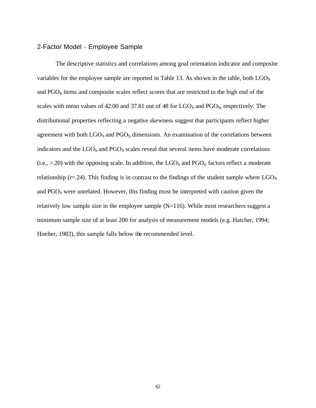#### 2-Factor Model - Employee Sample

The descriptive statistics and correlations among goal orientation indicator and composite variables for the employee sample are reported in Table 13. As shown in the table, both  $LGO<sub>b</sub>$ and  $PGO<sub>b</sub>$  items and composite scales reflect scores that are restricted to the high end of the scales with mean values of 42.00 and 37.81 out of 48 for  $LGO_b$  and  $PGO_b$ , respectively. The distributional properties reflecting a negative skewness suggest that participants reflect higher agreement with both  $LGO_b$  and  $PGO_b$  dimensions. An examination of the correlations between indicators and the  $LGO_b$  and  $PGO_b$  scales reveal that several items have moderate correlations  $(i.e., > 20)$  with the opposing scale. In addition, the  $LGO_b$  and  $PGO<sub>b</sub>$  factors reflect a moderate relationship ( $r=0.24$ ). This finding is in contrast to the findings of the student sample where  $LGO_b$ and  $PGO<sub>b</sub>$  were unrelated. However, this finding must be interpreted with caution given the relatively low sample size in the employee sample  $(N=116)$ . While most researchers suggest a minimum sample size of at least 200 for analysis of measurement models (e.g. Hatcher, 1994; Hoelter, 1983), this sample falls below the recommended level.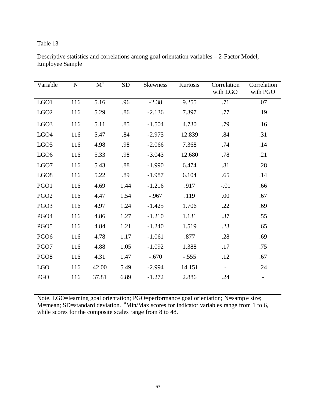| Variable         | ${\bf N}$ | $M^a$ | <b>SD</b> | <b>Skewness</b> | Kurtosis | Correlation<br>with LGO | Correlation<br>with PGO  |
|------------------|-----------|-------|-----------|-----------------|----------|-------------------------|--------------------------|
| LGO1             | 116       | 5.16  | .96       | $-2.38$         | 9.255    | .71                     | .07                      |
| LGO <sub>2</sub> | 116       | 5.29  | .86       | $-2.136$        | 7.397    | .77                     | .19                      |
| LGO <sub>3</sub> | 116       | 5.11  | .85       | $-1.504$        | 4.730    | .79                     | .16                      |
| LGO <sub>4</sub> | 116       | 5.47  | .84       | $-2.975$        | 12.839   | .84                     | .31                      |
| LGO <sub>5</sub> | 116       | 4.98  | .98       | $-2.066$        | 7.368    | .74                     | .14                      |
| LGO <sub>6</sub> | 116       | 5.33  | .98       | $-3.043$        | 12.680   | .78                     | .21                      |
| LGO7             | 116       | 5.43  | .88       | $-1.990$        | 6.474    | .81                     | .28                      |
| LGO <sub>8</sub> | 116       | 5.22  | .89       | $-1.987$        | 6.104    | .65                     | .14                      |
| PGO1             | 116       | 4.69  | 1.44      | $-1.216$        | .917     | $-.01$                  | .66                      |
| PGO <sub>2</sub> | 116       | 4.47  | 1.54      | $-.967$         | .119     | .00                     | .67                      |
| PGO <sub>3</sub> | 116       | 4.97  | 1.24      | $-1.425$        | 1.706    | .22                     | .69                      |
| PGO <sub>4</sub> | 116       | 4.86  | 1.27      | $-1.210$        | 1.131    | .37                     | .55                      |
| PGO <sub>5</sub> | 116       | 4.84  | 1.21      | $-1.240$        | 1.519    | .23                     | .65                      |
| PGO <sub>6</sub> | 116       | 4.78  | 1.17      | $-1.061$        | .877     | .28                     | .69                      |
| PGO7             | 116       | 4.88  | 1.05      | $-1.092$        | 1.388    | .17                     | .75                      |
| PGO <sub>8</sub> | 116       | 4.31  | 1.47      | $-.670$         | $-.555$  | .12                     | .67                      |
| <b>LGO</b>       | 116       | 42.00 | 5.49      | $-2.994$        | 14.151   |                         | .24                      |
| PGO              | 116       | 37.81 | 6.89      | $-1.272$        | 2.886    | .24                     | $\overline{\phantom{a}}$ |

Descriptive statistics and correlations among goal orientation variables – 2-Factor Model, Employee Sample

Note. LGO=learning goal orientation; PGO=performance goal orientation; N=sample size;  $\overline{M}$ =mean; SD=standard deviation. <sup>a</sup>Min/Max scores for indicator variables range from 1 to 6, while scores for the composite scales range from 8 to 48.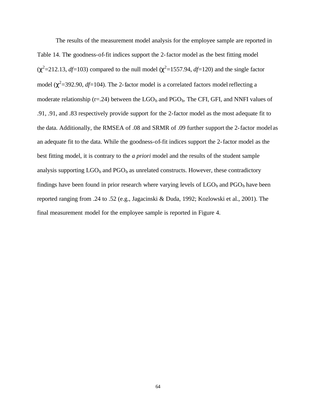The results of the measurement model analysis for the employee sample are reported in Table 14. The goodness-of-fit indices support the 2-factor model as the best fitting model  $(\chi^2=212.13, df=103)$  compared to the null model  $(\chi^2=1557.94, df=120)$  and the single factor model  $(\chi^2 = 392.90, df = 104)$ . The 2-factor model is a correlated factors model reflecting a moderate relationship ( $r=0.24$ ) between the LGO<sub>b</sub> and PGO<sub>b</sub>. The CFI, GFI, and NNFI values of .91, .91, and .83 respectively provide support for the 2-factor model as the most adequate fit to the data. Additionally, the RMSEA of .08 and SRMR of .09 further support the 2-factor model as an adequate fit to the data. While the goodness-of-fit indices support the 2-factor model as the best fitting model, it is contrary to the *a priori* model and the results of the student sample analysis supporting  $LGO_b$  and  $PGO_b$  as unrelated constructs. However, these contradictory findings have been found in prior research where varying levels of  $LGO_b$  and  $PGO_b$  have been reported ranging from .24 to .52 (e.g., Jagacinski & Duda, 1992; Kozlowski et al., 2001). The final measurement model for the employee sample is reported in Figure 4.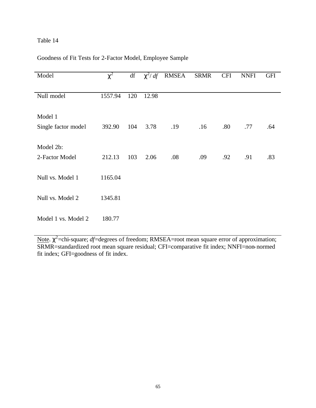## Goodness of Fit Tests for 2-Factor Model, Employee Sample

| Model               | $\chi^2$ | $\mathrm{d}\mathrm{f}$ | $\chi^2$ df | <b>RMSEA</b> | <b>SRMR</b> | <b>CFI</b> | <b>NNFI</b> | <b>GFI</b> |
|---------------------|----------|------------------------|-------------|--------------|-------------|------------|-------------|------------|
|                     |          |                        |             |              |             |            |             |            |
| Null model          | 1557.94  | 120                    | 12.98       |              |             |            |             |            |
|                     |          |                        |             |              |             |            |             |            |
| Model 1             |          |                        |             |              |             |            |             |            |
| Single factor model | 392.90   | 104                    | 3.78        | .19          | .16         | .80        | .77         | .64        |
|                     |          |                        |             |              |             |            |             |            |
| Model 2b:           |          |                        |             |              |             |            |             |            |
| 2-Factor Model      | 212.13   | 103                    | 2.06        | .08          | .09         | .92        | .91         | .83        |
|                     |          |                        |             |              |             |            |             |            |
| Null vs. Model 1    | 1165.04  |                        |             |              |             |            |             |            |
|                     |          |                        |             |              |             |            |             |            |
| Null vs. Model 2    | 1345.81  |                        |             |              |             |            |             |            |
|                     |          |                        |             |              |             |            |             |            |
| Model 1 vs. Model 2 | 180.77   |                        |             |              |             |            |             |            |

Note.  $\chi^2$ =chi-square; *df*=degrees of freedom; RMSEA=root mean square error of approximation; SRMR=standardized root mean square residual; CFI=comparative fit index; NNFI=non-normed fit index; GFI=goodness of fit index.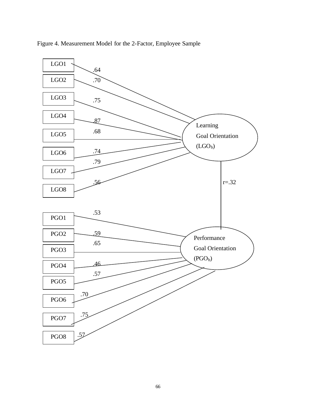

Figure 4. Measurement Model for the 2-Factor, Employee Sample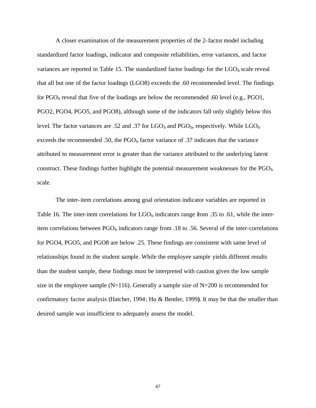A closer examination of the measurement properties of the 2-factor model including standardized factor loadings, indicator and composite reliabilities, error variances, and factor variances are reported in Table 15. The standardized factor loadings for the  $\text{LGO}_b$  scale reveal that all but one of the factor loadings (LGO8) exceeds the .60 recommended level. The findings for  $PGO<sub>b</sub>$  reveal that five of the loadings are below the recommended .60 level (e.g.,  $PGO1$ , PGO2, PGO4, PGO5, and PGO8), although some of the indicators fall only slightly below this level. The factor variances are .52 and .37 for  $LGO_b$  and  $PGO_b$ , respectively. While  $LGO_b$ exceeds the recommended .50, the  $PGO<sub>b</sub>$  factor variance of .37 indicates that the variance attributed to measurement error is greater than the variance attributed to the underlying latent construct. These findings further highlight the potential measurement weaknesses for the  $PGO<sub>b</sub>$ scale.

The inter-item correlations among goal orientation indicator variables are reported in Table 16. The inter-item correlations for  $LGO_b$  indicators range from .35 to .61, while the interitem correlations between  $PGO<sub>b</sub>$  indicators range from .18 to .56. Several of the inter-correlations for PGO4, PGO5, and PGO8 are below .25. These findings are consistent with same level of relationships found in the student sample. While the employee sample yields different results than the student sample, these findings must be interpreted with caution given the low sample size in the employee sample  $(N=116)$ . Generally a sample size of  $N=200$  is recommended for confirmatory factor analysis (Hatcher, 1994; Hu & Bentler, 1999**)**. It may be that the smaller than desired sample was insufficient to adequately assess the model.

67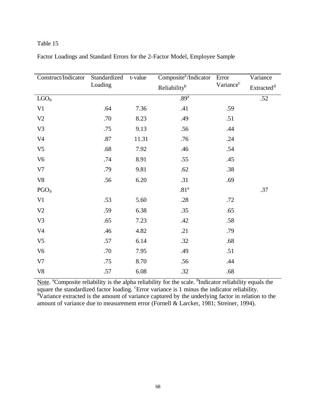| Construct/Indicator | Standardized | t-value | Composite <sup>a</sup> /Indicator | Error                 | Variance               |
|---------------------|--------------|---------|-----------------------------------|-----------------------|------------------------|
|                     | Loading      |         | Reliability <sup>b</sup>          | Variance <sup>c</sup> | Extracted <sup>d</sup> |
| $LGO_b$             |              |         | .89 <sup>a</sup>                  |                       | .52                    |
| V <sub>1</sub>      | .64          | 7.36    | .41                               | .59                   |                        |
| V2                  | .70          | 8.23    | .49                               | .51                   |                        |
| V <sub>3</sub>      | .75          | 9.13    | .56                               | .44                   |                        |
| V <sub>4</sub>      | .87          | 11.31   | .76                               | .24                   |                        |
| V <sub>5</sub>      | .68          | 7.92    | .46                               | .54                   |                        |
| V <sub>6</sub>      | .74          | 8.91    | .55                               | .45                   |                        |
| V7                  | .79          | 9.81    | .62                               | .38                   |                        |
| ${\rm V8}$          | .56          | 6.20    | .31                               | .69                   |                        |
| PGO <sub>b</sub>    |              |         | .81 <sup>a</sup>                  |                       | .37                    |
| V <sub>1</sub>      | .53          | 5.60    | .28                               | .72                   |                        |
| V2                  | .59          | 6.38    | .35                               | .65                   |                        |
| V <sub>3</sub>      | .65          | 7.23    | .42                               | .58                   |                        |
| V <sub>4</sub>      | .46          | 4.82    | .21                               | .79                   |                        |
| V <sub>5</sub>      | .57          | 6.14    | .32                               | .68                   |                        |
| V <sub>6</sub>      | .70          | 7.95    | .49                               | .51                   |                        |
| V7                  | .75          | 8.70    | .56                               | .44                   |                        |
| ${\rm V}8$          | .57          | 6.08    | .32                               | .68                   |                        |

Factor Loadings and Standard Errors for the 2-Factor Model, Employee Sample

Note. <sup>a</sup>Composite reliability is the alpha reliability for the scale. <sup>b</sup>Indicator reliability equals the square the standardized factor loading. <sup>c</sup>Error variance is 1 minus the indicator reliability. <sup>d</sup>Variance extracted is the amount of variance captured by the underlying factor in relation to the amount of variance due to measurement error (Fornell & Larcker, 1981; Streiner, 1994).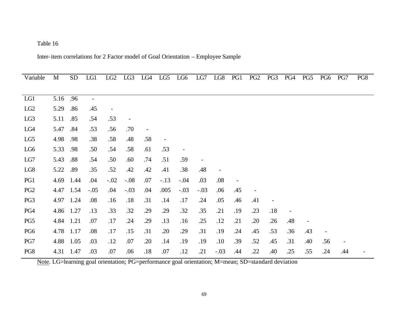Inter-item correlations for 2 Factor model of Goal Orientation – Employee Sample

| Variable        | M    | <b>SD</b> | LG1                      | LG <sub>2</sub> | LG3    | LG4 | LG <sub>5</sub>          | LG6    | LG7    | LG8    | PG1 | PG <sub>2</sub>          | PG <sub>3</sub> | PG4 | PG5 | PG <sub>6</sub> | PG7 | PG8 |
|-----------------|------|-----------|--------------------------|-----------------|--------|-----|--------------------------|--------|--------|--------|-----|--------------------------|-----------------|-----|-----|-----------------|-----|-----|
|                 |      |           |                          |                 |        |     |                          |        |        |        |     |                          |                 |     |     |                 |     |     |
| LG1             | 5.16 | .96       | $\overline{\phantom{a}}$ |                 |        |     |                          |        |        |        |     |                          |                 |     |     |                 |     |     |
| LG <sub>2</sub> | 5.29 | .86       | .45                      |                 |        |     |                          |        |        |        |     |                          |                 |     |     |                 |     |     |
| LG3             | 5.11 | .85       | .54                      | .53             |        |     |                          |        |        |        |     |                          |                 |     |     |                 |     |     |
| LG4             | 5.47 | .84       | .53                      | .56             | .70    |     |                          |        |        |        |     |                          |                 |     |     |                 |     |     |
| LG5             | 4.98 | .98       | .38                      | .58             | .48    | .58 | $\overline{\phantom{0}}$ |        |        |        |     |                          |                 |     |     |                 |     |     |
| LG <sub>6</sub> | 5.33 | .98       | .50                      | .54             | .58    | .61 | .53                      |        |        |        |     |                          |                 |     |     |                 |     |     |
| LG7             | 5.43 | .88       | .54                      | .50             | .60    | .74 | .51                      | .59    |        |        |     |                          |                 |     |     |                 |     |     |
| LG8             | 5.22 | .89       | .35                      | .52             | .42    | .42 | .41                      | .38    | .48    |        |     |                          |                 |     |     |                 |     |     |
| PG1             | 4.69 | 1.44      | .04                      | $-.02$          | $-.08$ | .07 | $-.13$                   | $-.04$ | .03    | .08    |     |                          |                 |     |     |                 |     |     |
| PG <sub>2</sub> |      | 4.47 1.54 | $-.05$                   | .04             | $-.03$ | .04 | .005                     | $-.03$ | $-.03$ | .06    | .45 | $\overline{\phantom{a}}$ |                 |     |     |                 |     |     |
| PG3             |      | 4.97 1.24 | .08                      | .16             | .18    | .31 | .14                      | .17    | .24    | .05    | .46 | .41                      |                 |     |     |                 |     |     |
| PG4             | 4.86 | 1.27      | .13                      | .33             | .32    | .29 | .29                      | .32    | .35    | .21    | .19 | .23                      | .18             |     |     |                 |     |     |
| PG5             | 4.84 | 1.21      | .07                      | .17             | .24    | .29 | .13                      | .16    | .25    | .12    | .21 | .20                      | .26             | .48 |     |                 |     |     |
| PG <sub>6</sub> |      | 4.78 1.17 | .08                      | .17             | .15    | .31 | .20                      | .29    | .31    | .19    | .24 | .45                      | .53             | .36 | .43 |                 |     |     |
| PG7             | 4.88 | 1.05      | .03                      | .12             | .07    | .20 | .14                      | .19    | .19    | .10    | .39 | .52                      | .45             | .31 | .40 | .56             |     |     |
| PG8             |      | 4.31 1.47 | .03                      | .07             | .06    | .18 | .07                      | .12    | .21    | $-.03$ | .44 | .22                      | .40             | .25 | .55 | .24             | .44 |     |

Note. LG=learning goal orientation; PG=performance goal orientation; M=mean; SD=standard deviation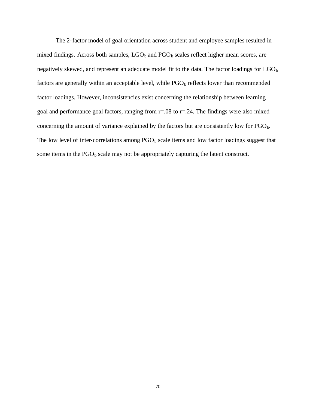The 2-factor model of goal orientation across student and employee samples resulted in mixed findings. Across both samples,  $LGO_b$  and  $PGO_b$  scales reflect higher mean scores, are negatively skewed, and represent an adequate model fit to the data. The factor loadings for  $LGO_b$ factors are generally within an acceptable level, while  $PGO<sub>b</sub>$  reflects lower than recommended factor loadings. However, inconsistencies exist concerning the relationship between learning goal and performance goal factors, ranging from  $r=0.08$  to  $r=.24$ . The findings were also mixed concerning the amount of variance explained by the factors but are consistently low for  $PGO<sub>b</sub>$ . The low level of inter-correlations among  $PGO<sub>b</sub>$  scale items and low factor loadings suggest that some items in the  $PGO<sub>b</sub>$  scale may not be appropriately capturing the latent construct.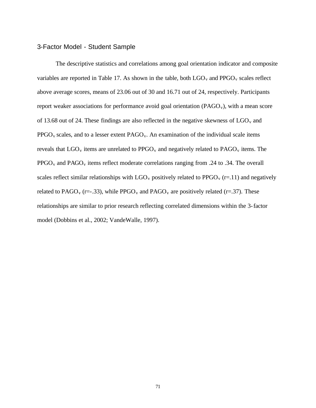#### 3-Factor Model - Student Sample

The descriptive statistics and correlations among goal orientation indicator and composite variables are reported in Table 17. As shown in the table, both  $LGO_v$  and  $PPGO_v$  scales reflect above average scores, means of 23.06 out of 30 and 16.71 out of 24, respectively. Participants report weaker associations for performance avoid goal orientation  $(PAGO<sub>v</sub>)$ , with a mean score of 13.68 out of 24. These findings are also reflected in the negative skewness of  $\text{LGO}_v$  and  $PPGO<sub>v</sub>$  scales, and to a lesser extent  $PAGO<sub>v</sub>$ . An examination of the individual scale items reveals that  $LOGO<sub>v</sub>$  items are unrelated to  $PROO<sub>v</sub>$  and negatively related to  $PAGO<sub>v</sub>$  items. The  $PPGO<sub>v</sub>$  and  $PAGO<sub>v</sub>$  items reflect moderate correlations ranging from .24 to .34. The overall scales reflect similar relationships with  $LGO_v$  positively related to PPGO<sub>v</sub> (r=.11) and negatively related to PAGO<sub>v</sub> (r=-.33), while PPGO<sub>v</sub> and PAGO<sub>v</sub> are positively related (r=.37). These relationships are similar to prior research reflecting correlated dimensions within the 3-factor model (Dobbins et al., 2002; VandeWalle, 1997).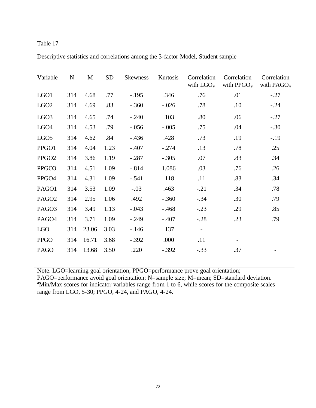| Variable          | $\mathbf N$ | $\mathbf M$ | <b>SD</b> | <b>Skewness</b> | Kurtosis | Correlation<br>with $LGO_v$ | Correlation<br>with $PPGO_{v}$ | Correlation<br>with $PAGO_v$ |
|-------------------|-------------|-------------|-----------|-----------------|----------|-----------------------------|--------------------------------|------------------------------|
| LGO1              | 314         | 4.68        | .77       | $-.195$         | .346     | .76                         | .01                            | $-.27$                       |
| LGO <sub>2</sub>  | 314         | 4.69        | .83       | $-.360$         | $-.026$  | .78                         | .10                            | $-.24$                       |
| LGO <sub>3</sub>  | 314         | 4.65        | .74       | $-.240$         | .103     | .80                         | .06                            | $-.27$                       |
| LGO <sub>4</sub>  | 314         | 4.53        | .79       | $-.056$         | $-.005$  | .75                         | .04                            | $-.30$                       |
| LGO <sub>5</sub>  | 314         | 4.62        | .84       | $-.436$         | .428     | .73                         | .19                            | $-.19$                       |
| PPGO1             | 314         | 4.04        | 1.23      | $-.407$         | $-.274$  | .13                         | .78                            | .25                          |
| PPGO <sub>2</sub> | 314         | 3.86        | 1.19      | $-.287$         | $-.305$  | .07                         | .83                            | .34                          |
| PPGO3             | 314         | 4.51        | 1.09      | $-.814$         | 1.086    | .03                         | .76                            | .26                          |
| PPGO4             | 314         | 4.31        | 1.09      | $-.541$         | .118     | .11                         | .83                            | .34                          |
| PAGO1             | 314         | 3.53        | 1.09      | $-.03$          | .463     | $-.21$                      | .34                            | .78                          |
| PAGO <sub>2</sub> | 314         | 2.95        | 1.06      | .492            | $-.360$  | $-.34$                      | .30                            | .79                          |
| PAGO <sub>3</sub> | 314         | 3.49        | 1.13      | $-.043$         | $-.468$  | $-.23$                      | .29                            | .85                          |
| PAGO <sub>4</sub> | 314         | 3.71        | 1.09      | $-.249$         | $-.407$  | $-.28$                      | .23                            | .79                          |
| LGO               | 314         | 23.06       | 3.03      | $-.146$         | .137     | $\overline{\phantom{a}}$    |                                |                              |
| <b>PPGO</b>       | 314         | 16.71       | 3.68      | $-.392$         | .000     | .11                         |                                |                              |
| PAGO              | 314         | 13.68       | 3.50      | .220            | $-.392$  | $-.33$                      | .37                            |                              |

Descriptive statistics and correlations among the 3-factor Model, Student sample

Note. LGO=learning goal orientation; PPGO=performance prove goal orientation;

PAGO=performance avoid goal orientation; N=sample size; M=mean; SD=standard deviation. <sup>a</sup>Min/Max scores for indicator variables range from 1 to 6, while scores for the composite scales range from LGO, 5-30; PPGO, 4-24, and PAGO, 4-24.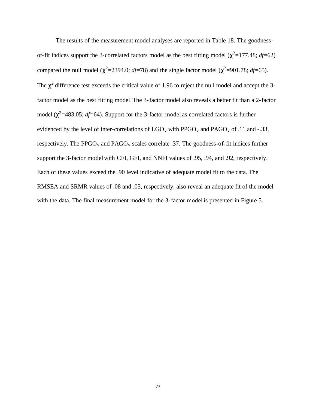The results of the measurement model analyses are reported in Table 18. The goodnessof-fit indices support the 3-correlated factors model as the best fitting model  $(\chi^2=177.48; df=62)$ compared the null model ( $\chi^2$ =2394.0; *df*=78) and the single factor model ( $\chi^2$ =901.78; *df*=65). The  $\chi^2$  difference test exceeds the critical value of 1.96 to reject the null model and accept the 3factor model as the best fitting model. The 3-factor model also reveals a better fit than a 2-factor model ( $\chi^2$ =483.05; *df*=64). Support for the 3-factor model as correlated factors is further evidenced by the level of inter-correlations of  $LGO_v$  with  $PPGO_v$  and  $PAGO_v$  of .11 and -.33, respectively. The PPGO<sub>v</sub> and PAGO<sub>v</sub> scales correlate .37. The goodness-of-fit indices further support the 3-factor model with CFI, GFI, and NNFI values of .95, .94, and .92, respectively. Each of these values exceed the .90 level indicative of adequate model fit to the data. The RMSEA and SRMR values of .08 and .05, respectively, also reveal an adequate fit of the model with the data. The final measurement model for the 3-factor model is presented in Figure 5.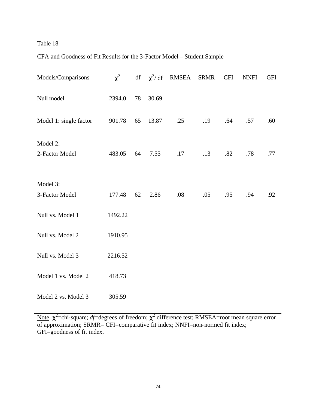### CFA and Goodness of Fit Results for the 3-Factor Model – Student Sample

| Models/Comparisons     | $\chi^2$ |    |       | df $\chi^2$ df RMSEA | <b>SRMR</b> | <b>CFI</b> | <b>NNFI</b> | <b>GFI</b> |
|------------------------|----------|----|-------|----------------------|-------------|------------|-------------|------------|
|                        |          |    |       |                      |             |            |             |            |
| Null model             | 2394.0   | 78 | 30.69 |                      |             |            |             |            |
|                        |          |    |       |                      |             |            |             |            |
| Model 1: single factor | 901.78   | 65 | 13.87 | .25                  | .19         | .64        | .57         | .60        |
|                        |          |    |       |                      |             |            |             |            |
| Model 2:               |          |    |       |                      |             |            |             |            |
| 2-Factor Model         | 483.05   | 64 | 7.55  | .17                  | .13         | .82        | .78         | .77        |
|                        |          |    |       |                      |             |            |             |            |
|                        |          |    |       |                      |             |            |             |            |
| Model 3:               |          |    |       |                      |             |            |             |            |
| 3-Factor Model         | 177.48   | 62 | 2.86  | .08                  | .05         | .95        | .94         | .92        |
| Null vs. Model 1       | 1492.22  |    |       |                      |             |            |             |            |
|                        |          |    |       |                      |             |            |             |            |
| Null vs. Model 2       | 1910.95  |    |       |                      |             |            |             |            |
|                        |          |    |       |                      |             |            |             |            |
| Null vs. Model 3       | 2216.52  |    |       |                      |             |            |             |            |
|                        |          |    |       |                      |             |            |             |            |
| Model 1 vs. Model 2    | 418.73   |    |       |                      |             |            |             |            |
|                        |          |    |       |                      |             |            |             |            |
| Model 2 vs. Model 3    | 305.59   |    |       |                      |             |            |             |            |

Note.  $\chi^2$ =chi-square; *df*=degrees of freedom;  $\chi^2$  difference test; RMSEA=root mean square error of approximation; SRMR= CFI=comparative fit index; NNFI=non-normed fit index; GFI=goodness of fit index.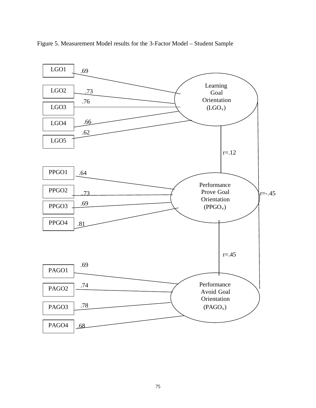

Figure 5. Measurement Model results for the 3-Factor Model – Student Sample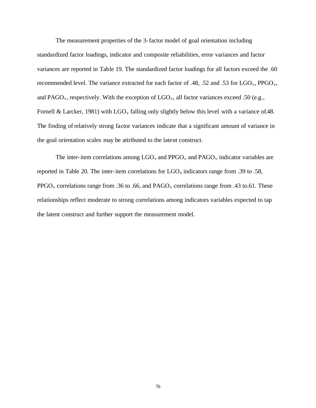The measurement properties of the 3-factor model of goal orientation including standardized factor loadings, indicator and composite reliabilities, error variances and factor variances are reported in Table 19. The standardized factor loadings for all factors exceed the .60 recommended level. The variance extracted for each factor of .48, .52 and .53 for  $LGO_v$ , PPGO<sub>v</sub>, and PAGO<sub>v</sub>, respectively. With the exception of  $LGO_v$ , all factor variances exceed .50 (e.g., Fornell & Larcker, 1981) with  $LGO_v$  falling only slightly below this level with a variance of 48. The finding of relatively strong factor variances indicate that a significant amount of variance in the goal orientation scales may be attributed to the latent construct.

The inter-item correlations among  $LGO_v$  and  $PPGO_v$  and  $PAGO_v$  indicator variables are reported in Table 20. The inter-item correlations for  $LGO<sub>v</sub>$  indicators range from .39 to .58, PPGO<sub>v</sub> correlations range from .36 to .66, and  $PAGO<sub>v</sub>$  correlations range from .43 to.61. These relationships reflect moderate to strong correlations among indicators variables expected to tap the latent construct and further support the measurement model.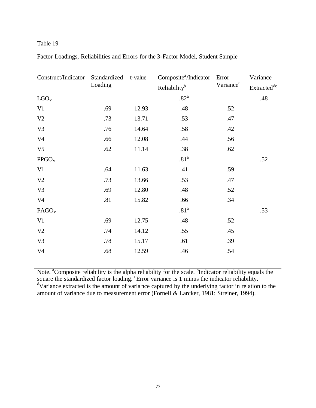| Construct/Indicator | Standardized | t-value | Composite <sup>a</sup> /Indicator | Error                 | Variance                |
|---------------------|--------------|---------|-----------------------------------|-----------------------|-------------------------|
|                     | Loading      |         | Reliability <sup>b</sup>          | Variance <sup>c</sup> | Extracted <sup>dc</sup> |
| $LGO_v$             |              |         | .82 <sup>a</sup>                  |                       | .48                     |
| V <sub>1</sub>      | .69          | 12.93   | .48                               | .52                   |                         |
| V <sub>2</sub>      | .73          | 13.71   | .53                               | .47                   |                         |
| V <sub>3</sub>      | .76          | 14.64   | .58                               | .42                   |                         |
| V <sub>4</sub>      | .66          | 12.08   | .44                               | .56                   |                         |
| V <sub>5</sub>      | .62          | 11.14   | .38                               | .62                   |                         |
| PPGO <sub>v</sub>   |              |         | .81 <sup>a</sup>                  |                       | .52                     |
| V <sub>1</sub>      | .64          | 11.63   | .41                               | .59                   |                         |
| V <sub>2</sub>      | .73          | 13.66   | .53                               | .47                   |                         |
| V <sub>3</sub>      | .69          | 12.80   | .48                               | .52                   |                         |
| V <sub>4</sub>      | .81          | 15.82   | .66                               | .34                   |                         |
| PAGO <sub>v</sub>   |              |         | .81 <sup>a</sup>                  |                       | .53                     |
| V <sub>1</sub>      | .69          | 12.75   | .48                               | .52                   |                         |
| V <sub>2</sub>      | .74          | 14.12   | .55                               | .45                   |                         |
| V <sub>3</sub>      | .78          | 15.17   | .61                               | .39                   |                         |
| V <sub>4</sub>      | .68          | 12.59   | .46                               | .54                   |                         |

Factor Loadings, Reliabilities and Errors for the 3-Factor Model, Student Sample

Note. <sup>a</sup>Composite reliability is the alpha reliability for the scale. <sup>b</sup>Indicator reliability equals the square the standardized factor loading. <sup>c</sup>Error variance is 1 minus the indicator reliability. dVariance extracted is the amount of variance captured by the underlying factor in relation to the amount of variance due to measurement error (Fornell & Larcker, 1981; Streiner, 1994).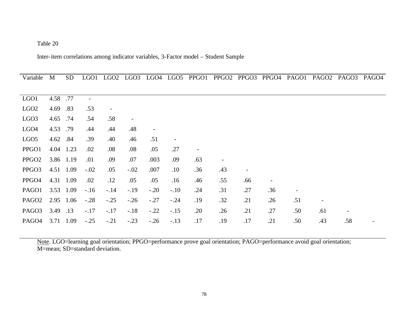Inter-item correlations among indicator variables, 3-Factor model – Student Sample

| Variable          | M        | SD        | LGO <sub>1</sub> | LGO <sub>2</sub> | LGO <sub>3</sub> | LGO4   | LGO <sub>5</sub>         | PPGO1 | PPGO <sub>2</sub> | PPGO3                    | PPGO <sub>4</sub> | PAGO1 | PAGO <sub>2</sub> | PAGO3 | PAGO <sub>4</sub> |
|-------------------|----------|-----------|------------------|------------------|------------------|--------|--------------------------|-------|-------------------|--------------------------|-------------------|-------|-------------------|-------|-------------------|
|                   |          |           |                  |                  |                  |        |                          |       |                   |                          |                   |       |                   |       |                   |
| LGO1              | 4.58     | .77       | $\blacksquare$   |                  |                  |        |                          |       |                   |                          |                   |       |                   |       |                   |
| LGO <sub>2</sub>  | 4.69     | .83       | .53              |                  |                  |        |                          |       |                   |                          |                   |       |                   |       |                   |
| LGO <sub>3</sub>  | 4.65     | .74       | .54              | .58              |                  |        |                          |       |                   |                          |                   |       |                   |       |                   |
| LGO <sub>4</sub>  | 4.53 .79 |           | .44              | .44              | .48              |        |                          |       |                   |                          |                   |       |                   |       |                   |
| LGO <sub>5</sub>  | 4.62 .84 |           | .39              | .40              | .46              | .51    | $\overline{\phantom{a}}$ |       |                   |                          |                   |       |                   |       |                   |
| PPGO1             |          | 4.04 1.23 | .02              | .08              | .08              | .05    | .27                      |       |                   |                          |                   |       |                   |       |                   |
| PPGO <sub>2</sub> |          | 3.86 1.19 | .01              | .09              | .07              | .003   | .09                      | .63   |                   |                          |                   |       |                   |       |                   |
| PPGO <sub>3</sub> |          | 4.51 1.09 | $-.02$           | .05              | $-.02$           | .007   | .10                      | .36   | .43               | $\overline{\phantom{a}}$ |                   |       |                   |       |                   |
| PPGO4             |          | 4.31 1.09 | .02              | .12              | .05              | .05    | .16                      | .46   | .55               | .66                      |                   |       |                   |       |                   |
| PAGO1             |          | 3.53 1.09 | $-.16$           | $-.14$           | $-.19$           | $-.20$ | $-.10$                   | .24   | .31               | .27                      | .36               |       |                   |       |                   |
| PAGO <sub>2</sub> |          | 2.95 1.06 | $-.28$           | $-.25$           | $-.26$           | $-.27$ | $-.24$                   | .19   | .32               | .21                      | .26               | .51   |                   |       |                   |
| PAGO <sub>3</sub> | 3.49 .13 |           | $-.17$           | $-.17$           | $-.18$           | $-.22$ | $-.15$                   | .20   | .26               | .21                      | .27               | .50   | .61               |       |                   |
| PAGO <sub>4</sub> |          | 3.71 1.09 | $-.25$           | $-.21$           | $-.23$           | $-.26$ | $-.13$                   | .17   | .19               | .17                      | .21               | .50   | .43               | .58   |                   |

Note. LGO=learning goal orientation; PPGO=performance prove goal orientation; PAGO=performance avoid goal orientation; M=mean; SD=standard deviation.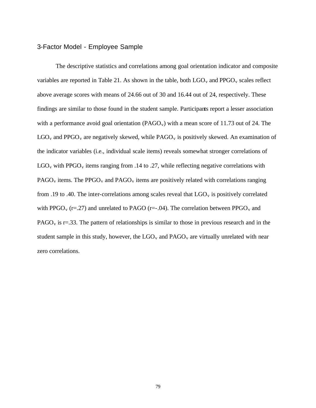#### 3-Factor Model - Employee Sample

The descriptive statistics and correlations among goal orientation indicator and composite variables are reported in Table 21. As shown in the table, both  $\text{LGO}_v$  and  $\text{PPGO}_v$  scales reflect above average scores with means of 24.66 out of 30 and 16.44 out of 24, respectively. These findings are similar to those found in the student sample. Participants report a lesser association with a performance avoid goal orientation  $(PAGO<sub>v</sub>)$  with a mean score of 11.73 out of 24. The  $LGO<sub>v</sub>$  and PPGO<sub>v</sub> are negatively skewed, while PAGO<sub>v</sub> is positively skewed. An examination of the indicator variables (i.e., individual scale items) reveals somewhat stronger correlations of  $LGO<sub>v</sub>$  with PPGO<sub>v</sub> items ranging from .14 to .27, while reflecting negative correlations with  $PAGO<sub>v</sub>$  items. The PPGO<sub>v</sub> and PAGO<sub>v</sub> items are positively related with correlations ranging from .19 to .40. The inter-correlations among scales reveal that  $LGO<sub>v</sub>$  is positively correlated with PPGO<sub>v</sub> (r=.27) and unrelated to PAGO (r=-.04). The correlation between PPGO<sub>v</sub> and  $PAGO<sub>v</sub>$  is r=.33. The pattern of relationships is similar to those in previous research and in the student sample in this study, however, the  $LOGO_v$  and  $PAGO_v$  are virtually unrelated with near zero correlations.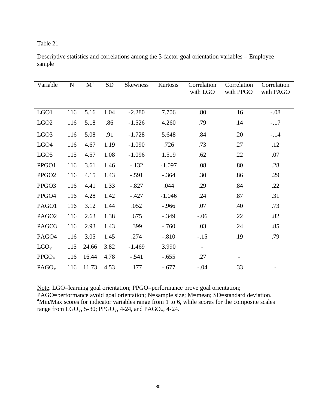Descriptive statistics and correlations among the 3-factor goal orientation variables – Employee sample

| Variable          | $\mathbf N$ | $M^a$ | <b>SD</b> | <b>Skewness</b> | Kurtosis | Correlation<br>with LGO | Correlation<br>with PPGO | Correlation<br>with PAGO |
|-------------------|-------------|-------|-----------|-----------------|----------|-------------------------|--------------------------|--------------------------|
|                   |             |       |           |                 |          |                         |                          |                          |
| LGO1              | 116         | 5.16  | 1.04      | $-2.280$        | 7.706    | .80                     | .16                      | $-.08$                   |
| LGO <sub>2</sub>  | 116         | 5.18  | .86       | $-1.526$        | 4.260    | .79                     | .14                      | $-.17$                   |
| LGO <sub>3</sub>  | 116         | 5.08  | .91       | $-1.728$        | 5.648    | .84                     | .20                      | $-.14$                   |
| LGO <sub>4</sub>  | 116         | 4.67  | 1.19      | $-1.090$        | .726     | .73                     | .27                      | .12                      |
| LGO <sub>5</sub>  | 115         | 4.57  | 1.08      | $-1.096$        | 1.519    | .62                     | .22                      | .07                      |
| PPGO1             | 116         | 3.61  | 1.46      | $-.132$         | $-1.097$ | .08                     | .80                      | .28                      |
| PPGO <sub>2</sub> | 116         | 4.15  | 1.43      | $-.591$         | $-.364$  | .30                     | .86                      | .29                      |
| PPGO3             | 116         | 4.41  | 1.33      | $-.827$         | .044     | .29                     | .84                      | .22                      |
| PPGO <sub>4</sub> | 116         | 4.28  | 1.42      | $-.427$         | $-1.046$ | .24                     | .87                      | .31                      |
| PAGO1             | 116         | 3.12  | 1.44      | .052            | $-.966$  | .07                     | .40                      | .73                      |
| PAGO <sub>2</sub> | 116         | 2.63  | 1.38      | .675            | $-.349$  | $-.06$                  | .22                      | .82                      |
| PAGO <sub>3</sub> | 116         | 2.93  | 1.43      | .399            | $-.760$  | .03                     | .24                      | .85                      |
| PAGO <sub>4</sub> | 116         | 3.05  | 1.45      | .274            | $-.810$  | $-.15$                  | .19                      | .79                      |
| $LGO_v$           | 115         | 24.66 | 3.82      | $-1.469$        | 3.990    |                         |                          |                          |
| PPGO <sub>v</sub> | 116         | 16.44 | 4.78      | $-.541$         | $-.655$  | .27                     |                          |                          |
| PAGO <sub>v</sub> | 116         | 11.73 | 4.53      | .177            | $-.677$  | $-.04$                  | .33                      |                          |

Note. LGO=learning goal orientation; PPGO=performance prove goal orientation; PAGO=performance avoid goal orientation; N=sample size; M=mean; SD=standard deviation. <sup>a</sup>Min/Max scores for indicator variables range from 1 to 6, while scores for the composite scales range from  $LGO_v$ , 5-30; PPGO<sub>v</sub>, 4-24, and PAGO<sub>v</sub>, 4-24.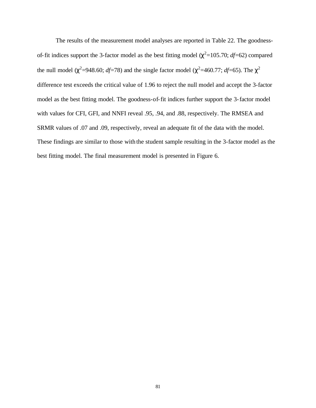The results of the measurement model analyses are reported in Table 22. The goodnessof-fit indices support the 3-factor model as the best fitting model  $(\chi^2=105.70; df=62)$  compared the null model ( $\chi^2$ =948.60; *df*=78) and the single factor model ( $\chi^2$ =460.77; *df*=65). The  $\chi^2$ difference test exceeds the critical value of 1.96 to reject the null model and accept the 3-factor model as the best fitting model. The goodness-of-fit indices further support the 3-factor model with values for CFI, GFI, and NNFI reveal .95, .94, and .88, respectively. The RMSEA and SRMR values of .07 and .09, respectively, reveal an adequate fit of the data with the model. These findings are similar to those with the student sample resulting in the 3-factor model as the best fitting model. The final measurement model is presented in Figure 6.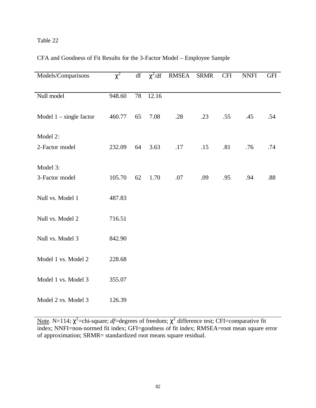### CFA and Goodness of Fit Results for the 3-Factor Model – Employee Sample

| Models/Comparisons        | $\chi^2$ | df | $\chi^2/df$ | <b>RMSEA</b> | <b>SRMR</b> | <b>CFI</b> | <b>NNFI</b> | <b>GFI</b> |
|---------------------------|----------|----|-------------|--------------|-------------|------------|-------------|------------|
|                           |          |    |             |              |             |            |             |            |
| Null model                | 948.60   | 78 | 12.16       |              |             |            |             |            |
| Model $1 -$ single factor | 460.77   | 65 | 7.08        | .28          | .23         | .55        | .45         | .54        |
| Model 2:                  |          |    |             |              |             |            |             |            |
| 2-Factor model            | 232.09   | 64 | 3.63        | .17          | .15         | .81        | .76         | .74        |
|                           |          |    |             |              |             |            |             |            |
| Model 3:                  |          |    |             |              |             |            |             |            |
| 3-Factor model            | 105.70   | 62 | 1.70        | .07          | .09         | .95        | .94         | .88        |
| Null vs. Model 1          | 487.83   |    |             |              |             |            |             |            |
| Null vs. Model 2          | 716.51   |    |             |              |             |            |             |            |
| Null vs. Model 3          | 842.90   |    |             |              |             |            |             |            |
| Model 1 vs. Model 2       | 228.68   |    |             |              |             |            |             |            |
| Model 1 vs. Model 3       | 355.07   |    |             |              |             |            |             |            |
| Model 2 vs. Model 3       | 126.39   |    |             |              |             |            |             |            |

Note. N=114;  $\chi^2$ =chi-square; *df*=degrees of freedom;  $\chi^2$  difference test; CFI=comparative fit index; NNFI=non-normed fit index; GFI=goodness of fit index; RMSEA=root mean square error of approximation; SRMR= standardized root means square residual.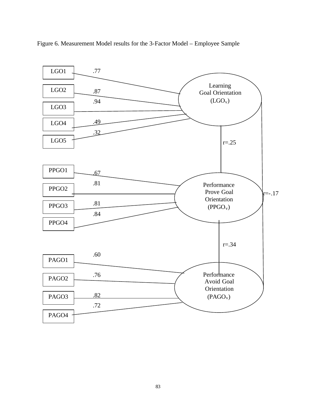

Figure 6. Measurement Model results for the 3-Factor Model – Employee Sample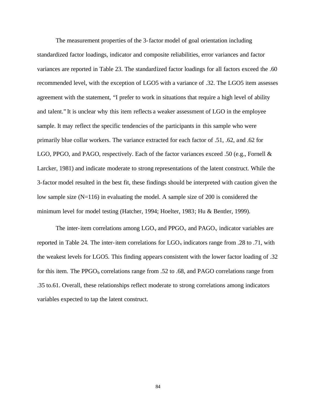The measurement properties of the 3-factor model of goal orientation including standardized factor loadings, indicator and composite reliabilities, error variances and factor variances are reported in Table 23. The standardized factor loadings for all factors exceed the .60 recommended level, with the exception of LGO5 with a variance of .32. The LGO5 item assesses agreement with the statement, "I prefer to work in situations that require a high level of ability and talent." It is unclear why this item reflects a weaker assessment of LGO in the employee sample. It may reflect the specific tendencies of the participants in this sample who were primarily blue collar workers. The variance extracted for each factor of .51, .62, and .62 for LGO, PPGO, and PAGO, respectively. Each of the factor variances exceed .50 (e.g., Fornell & Larcker, 1981) and indicate moderate to strong representations of the latent construct. While the 3-factor model resulted in the best fit, these findings should be interpreted with caution given the low sample size (N=116) in evaluating the model. A sample size of 200 is considered the minimum level for model testing (Hatcher, 1994; Hoelter, 1983; Hu & Bentler, 1999).

The inter-item correlations among  $LGO_v$  and  $PPGO_v$  and  $PAGO_v$  indicator variables are reported in Table 24. The inter-item correlations for  $LGO_v$  indicators range from .28 to .71, with the weakest levels for LGO5. This finding appears consistent with the lower factor loading of .32 for this item. The PPGO<sub>b</sub> correlations range from .52 to .68, and PAGO correlations range from .35 to.61. Overall, these relationships reflect moderate to strong correlations among indicators variables expected to tap the latent construct.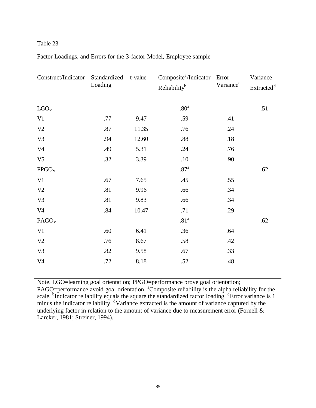| Factor Loadings, and Errors for the 3-factor Model, Employee sample |  |
|---------------------------------------------------------------------|--|
|---------------------------------------------------------------------|--|

| Construct/Indicator | Standardized | t-value | Composite <sup>a</sup> /Indicator | Error                 | Variance               |
|---------------------|--------------|---------|-----------------------------------|-----------------------|------------------------|
|                     | Loading      |         | Reliability <sup>b</sup>          | Variance <sup>c</sup> | Extracted <sup>d</sup> |
|                     |              |         |                                   |                       |                        |
| $LGO_v$             |              |         | .80 <sup>a</sup>                  |                       | .51                    |
| V <sub>1</sub>      | .77          | 9.47    | .59                               | .41                   |                        |
| V2                  | .87          | 11.35   | .76                               | .24                   |                        |
| V <sub>3</sub>      | .94          | 12.60   | .88                               | .18                   |                        |
| V <sub>4</sub>      | .49          | 5.31    | .24                               | .76                   |                        |
| V <sub>5</sub>      | .32          | 3.39    | .10                               | .90                   |                        |
| PPGO <sub>v</sub>   |              |         | .87 <sup>a</sup>                  |                       | .62                    |
| V <sub>1</sub>      | .67          | 7.65    | .45                               | .55                   |                        |
| V <sub>2</sub>      | .81          | 9.96    | .66                               | .34                   |                        |
| V <sub>3</sub>      | .81          | 9.83    | .66                               | .34                   |                        |
| V <sub>4</sub>      | .84          | 10.47   | .71                               | .29                   |                        |
| PAGO <sub>v</sub>   |              |         | .81 <sup>a</sup>                  |                       | .62                    |
| V <sub>1</sub>      | .60          | 6.41    | .36                               | .64                   |                        |
| V <sub>2</sub>      | .76          | 8.67    | .58                               | .42                   |                        |
| V <sub>3</sub>      | .82          | 9.58    | .67                               | .33                   |                        |
| V <sub>4</sub>      | .72          | 8.18    | .52                               | .48                   |                        |

Note. LGO=learning goal orientation; PPGO=performance prove goal orientation;

PAGO=performance avoid goal orientation. <sup>a</sup>Composite reliability is the alpha reliability for the scale. <sup>b</sup>Indicator reliability equals the square the standardized factor loading. <sup>c</sup>Error variance is 1 minus the indicator reliability. <sup>d</sup>Variance extracted is the amount of variance captured by the underlying factor in relation to the amount of variance due to measurement error (Fornell & Larcker, 1981; Streiner, 1994).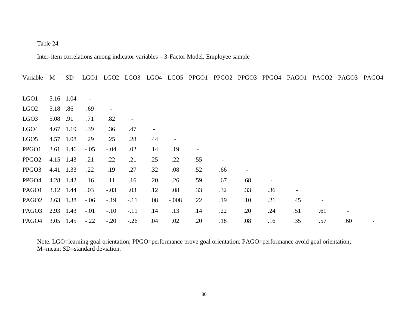Inter-item correlations among indicator variables – 3-Factor Model, Employee sample

| Variable          | M        | <b>SD</b> | LGO <sub>1</sub>         | LGO <sub>2</sub> | LGO <sub>3</sub> | LGO4 | LGO <sub>5</sub>         | PPGO1 | PPGO <sub>2</sub> | PPGO3 | PPGO <sub>4</sub> | PAGO1 | PAGO <sub>2</sub> | PAGO3 | PAGO <sub>4</sub> |
|-------------------|----------|-----------|--------------------------|------------------|------------------|------|--------------------------|-------|-------------------|-------|-------------------|-------|-------------------|-------|-------------------|
|                   |          |           |                          |                  |                  |      |                          |       |                   |       |                   |       |                   |       |                   |
| LGO1              |          | 5.16 1.04 | $\overline{\phantom{a}}$ |                  |                  |      |                          |       |                   |       |                   |       |                   |       |                   |
| LGO <sub>2</sub>  | 5.18 .86 |           | .69                      |                  |                  |      |                          |       |                   |       |                   |       |                   |       |                   |
| LGO <sub>3</sub>  | 5.08     | .91       | .71                      | .82              |                  |      |                          |       |                   |       |                   |       |                   |       |                   |
| LGO <sub>4</sub>  |          | 4.67 1.19 | .39                      | .36              | .47              |      |                          |       |                   |       |                   |       |                   |       |                   |
| LGO <sub>5</sub>  |          | 4.57 1.08 | .29                      | .25              | .28              | .44  | $\overline{\phantom{a}}$ |       |                   |       |                   |       |                   |       |                   |
| PPGO1             |          | 3.61 1.46 | $-.05$                   | $-.04$           | .02              | .14  | .19                      |       |                   |       |                   |       |                   |       |                   |
| PPGO <sub>2</sub> |          | 4.15 1.43 | .21                      | .22              | .21              | .25  | .22                      | .55   |                   |       |                   |       |                   |       |                   |
| PPGO <sub>3</sub> |          | 4.41 1.33 | .22                      | .19              | .27              | .32  | .08                      | .52   | .66               |       |                   |       |                   |       |                   |
| PPGO4             |          | 4.28 1.42 | .16                      | .11              | .16              | .20  | .26                      | .59   | .67               | .68   |                   |       |                   |       |                   |
| PAGO1             |          | 3.12 1.44 | .03                      | $-.03$           | .03              | .12  | .08                      | .33   | .32               | .33   | .36               |       |                   |       |                   |
| PAGO <sub>2</sub> |          | 2.63 1.38 | $-.06$                   | $-.19$           | $-.11$           | .08  | $-.008$                  | .22   | .19               | .10   | .21               | .45   |                   |       |                   |
| PAGO <sub>3</sub> |          | 2.93 1.43 | $-.01$                   | $-.10$           | $-.11$           | .14  | .13                      | .14   | .22               | .20   | .24               | .51   | .61               |       |                   |
| PAGO <sub>4</sub> |          | 3.05 1.45 | $-.22$                   | $-.20$           | $-.26$           | .04  | .02                      | .20   | .18               | .08   | .16               | .35   | .57               | .60   |                   |

Note. LGO=learning goal orientation; PPGO=performance prove goal orientation; PAGO=performance avoid goal orientation; M=mean; SD=standard deviation.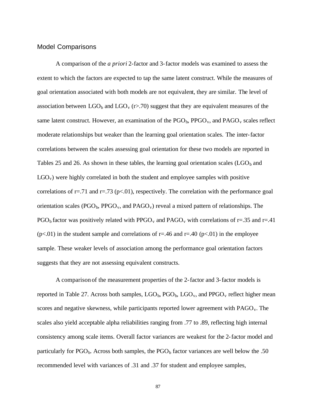#### Model Comparisons

A comparison of the *a priori* 2-factor and 3-factor models was examined to assess the extent to which the factors are expected to tap the same latent construct. While the measures of goal orientation associated with both models are not equivalent, they are similar. The level of association between  $LGO_b$  and  $LGO_v$  (r>.70) suggest that they are equivalent measures of the same latent construct. However, an examination of the  $PGO<sub>b</sub>$ ,  $PPGO<sub>v</sub>$ , and  $PAGO<sub>v</sub>$  scales reflect moderate relationships but weaker than the learning goal orientation scales. The inter-factor correlations between the scales assessing goal orientation for these two models are reported in Tables 25 and 26. As shown in these tables, the learning goal orientation scales  $(LGO_b$  and  $LGO<sub>v</sub>$ ) were highly correlated in both the student and employee samples with positive correlations of r=.71 and r=.73 (p<.01), respectively. The correlation with the performance goal orientation scales ( $PGO<sub>b</sub>$ ,  $PPGO<sub>v</sub>$ , and  $PAGO<sub>v</sub>$ ) reveal a mixed pattern of relationships. The  $PGO<sub>b</sub>$  factor was positively related with PPGO<sub>v</sub> and PAGO<sub>v</sub> with correlations of r=.35 and r=.41  $(p<.01)$  in the student sample and correlations of r=.46 and r=.40 (p<.01) in the employee sample. These weaker levels of association among the performance goal orientation factors suggests that they are not assessing equivalent constructs.

A comparison of the measurement properties of the 2-factor and 3-factor models is reported in Table 27. Across both samples,  $\text{LGO}_b$ ,  $\text{PGO}_b$ ,  $\text{LGO}_v$ , and PPGO<sub>v</sub> reflect higher mean scores and negative skewness, while participants reported lower agreement with  $PAGO<sub>v</sub>$ . The scales also yield acceptable alpha reliabilities ranging from .77 to .89, reflecting high internal consistency among scale items. Overall factor variances are weakest for the 2-factor model and particularly for  $PGO<sub>b</sub>$ . Across both samples, the  $PGO<sub>b</sub>$  factor variances are well below the .50 recommended level with variances of .31 and .37 for student and employee samples,

87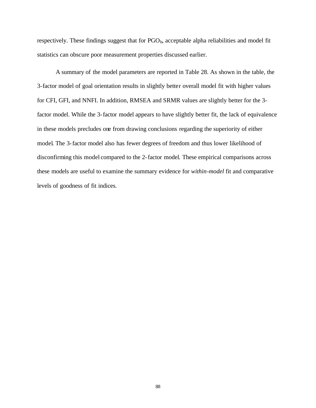respectively. These findings suggest that for  $PGO<sub>b</sub>$ , acceptable alpha reliabilities and model fit statistics can obscure poor measurement properties discussed earlier.

A summary of the model parameters are reported in Table 28. As shown in the table, the 3-factor model of goal orientation results in slightly better overall model fit with higher values for CFI, GFI, and NNFI. In addition, RMSEA and SRMR values are slightly better for the 3 factor model. While the 3-factor model appears to have slightly better fit, the lack of equivalence in these models precludes one from drawing conclusions regarding the superiority of either model. The 3-factor model also has fewer degrees of freedom and thus lower likelihood of disconfirming this model compared to the 2-factor model. These empirical comparisons across these models are useful to examine the summary evidence for *within-model* fit and comparative levels of goodness of fit indices.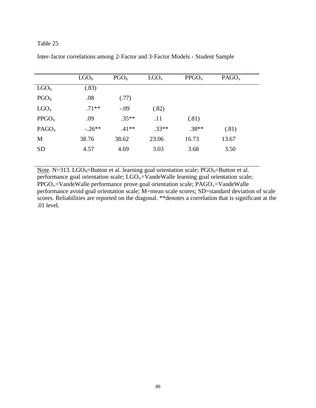| LGO <sub>b</sub> | PGO <sub>b</sub> | $LOGO_v$ | PPGO <sub>v</sub> | PAGO <sub>v</sub> |
|------------------|------------------|----------|-------------------|-------------------|
| (.83)            |                  |          |                   |                   |
| .08              | (.77)            |          |                   |                   |
| $.71**$          | $-.09$           | (.82)    |                   |                   |
| .09              | $.35**$          | .11      | (.81)             |                   |
| $-.26**$         | $.41**$          | $.33**$  | $.38**$           | (.81)             |
| 38.76            | 38.62            | 23.06    | 16.73             | 13.67             |
| 4.57             | 4.69             | 3.03     | 3.68              | 3.50              |
|                  |                  |          |                   |                   |

Inter-factor correlations among 2-Factor and 3-Factor Models - Student Sample

Note. N=313. LGO<sub>b</sub>=Button et al. learning goal orientation scale;  $PGO<sub>b</sub>=B$ utton et al.  $\overline{\text{performance}}$  goal orientation scale; LGO<sub>v</sub>=VandeWalle learning goal orientation scale;  $PPGO_v=V$ andeWalle performance prove goal orientation scale;  $PAGO_v=V$ andeWalle performance avoid goal orientation scale; M=mean scale scores; SD=standard deviation of scale scores. Reliabilities are reported on the diagonal. \*\*denotes a correlation that is significant at the .01 level.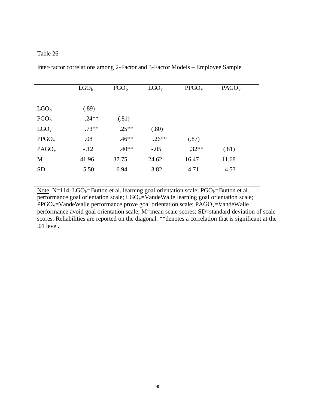|                   | LOGO <sub>b</sub> | PGO <sub>b</sub> | $LOGO_v$ | PPGO <sub>v</sub> | PAGO <sub>v</sub> |
|-------------------|-------------------|------------------|----------|-------------------|-------------------|
|                   |                   |                  |          |                   |                   |
|                   |                   |                  |          |                   |                   |
| $LGO_b$           | (.89)             |                  |          |                   |                   |
| PGO <sub>b</sub>  | $.24**$           | (.81)            |          |                   |                   |
| $LOGO_{v}$        | $.73**$           | $.25**$          | (.80)    |                   |                   |
| PPGO <sub>v</sub> | .08               | $.46**$          | $.26**$  | (.87)             |                   |
| PAGO <sub>v</sub> | $-.12$            | $.40**$          | $-.05$   | $.32**$           | (.81)             |
| M                 | 41.96             | 37.75            | 24.62    | 16.47             | 11.68             |
| <b>SD</b>         | 5.50              | 6.94             | 3.82     | 4.71              | 4.53              |
|                   |                   |                  |          |                   |                   |

Inter-factor correlations among 2-Factor and 3-Factor Models – Employee Sample

Note. N=114. LGO<sub>b</sub>=Button et al. learning goal orientation scale;  $PGO<sub>b</sub>=B$ utton et al. performance goal orientation scale;  $LOGO_v=V$ andeWalle learning goal orientation scale;  $PPGO<sub>v</sub>=V$ andeWalle performance prove goal orientation scale;  $PAGO<sub>v</sub>=V$ andeWalle performance avoid goal orientation scale; M=mean scale scores; SD=standard deviation of scale scores. Reliabilities are reported on the diagonal. \*\*denotes a correlation that is significant at the .01 level.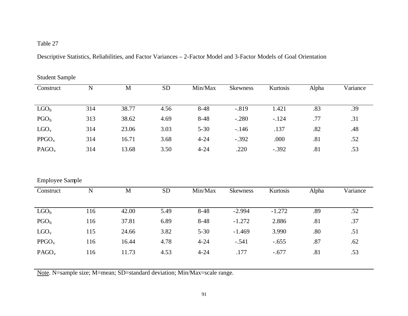Descriptive Statistics, Reliabilities, and Factor Variances – 2-Factor Model and 3-Factor Models of Goal Orientation

| Drugville Duille  |     |       |           |          |                 |          |       |          |
|-------------------|-----|-------|-----------|----------|-----------------|----------|-------|----------|
| Construct         | N   | M     | <b>SD</b> | Min/Max  | <b>Skewness</b> | Kurtosis | Alpha | Variance |
|                   |     |       |           |          |                 |          |       |          |
| $LGO_b$           | 314 | 38.77 | 4.56      | $8 - 48$ | $-.819$         | 1.421    | .83   | .39      |
| PGO <sub>b</sub>  | 313 | 38.62 | 4.69      | $8-48$   | $-.280$         | $-.124$  | .77   | .31      |
| $LGO_v$           | 314 | 23.06 | 3.03      | $5 - 30$ | $-.146$         | .137     | .82   | .48      |
| PPGO <sub>v</sub> | 314 | 16.71 | 3.68      | $4 - 24$ | $-.392$         | .000     | .81   | .52      |
| PAGO <sub>v</sub> | 314 | 13.68 | 3.50      | $4 - 24$ | .220            | $-.392$  | .81   | .53      |

Student Sample

| <b>Employee Sample</b> |     |       |           |          |                 |          |       |          |
|------------------------|-----|-------|-----------|----------|-----------------|----------|-------|----------|
| Construct              | N   | M     | <b>SD</b> | Min/Max  | <b>Skewness</b> | Kurtosis | Alpha | Variance |
| $LGO_b$                | 116 | 42.00 | 5.49      | $8 - 48$ | $-2.994$        | $-1.272$ | .89   | .52      |
| PGO <sub>b</sub>       | 116 | 37.81 | 6.89      | $8 - 48$ | $-1.272$        | 2.886    | .81   | .37      |
| $LOGO_{V}$             | 115 | 24.66 | 3.82      | $5 - 30$ | $-1.469$        | 3.990    | .80   | .51      |
| PPGO <sub>v</sub>      | 116 | 16.44 | 4.78      | $4 - 24$ | $-.541$         | $-.655$  | .87   | .62      |
| PAGO <sub>v</sub>      | 116 | 11.73 | 4.53      | $4 - 24$ | .177            | $-.677$  | .81   | .53      |

Note. N=sample size; M=mean; SD=standard deviation; Min/Max=scale range.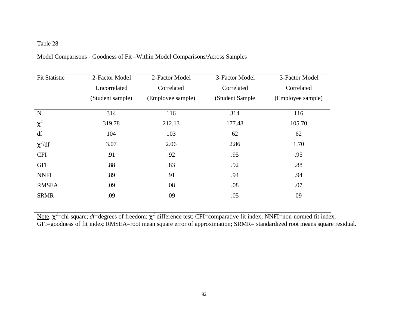| <b>Fit Statistic</b> | 2-Factor Model   | 2-Factor Model    | 3-Factor Model   | 3-Factor Model    |
|----------------------|------------------|-------------------|------------------|-------------------|
|                      | Uncorrelated     | Correlated        | Correlated       | Correlated        |
|                      | (Student sample) | (Employee sample) | (Student Sample) | (Employee sample) |
|                      |                  |                   |                  |                   |
| N                    | 314              | 116               | 314              | 116               |
| $\chi^2$             | 319.78           | 212.13            | 177.48           | 105.70            |
| df                   | 104              | 103               | 62               | 62                |
| $\chi^2/df$          | 3.07             | 2.06              | 2.86             | 1.70              |
| <b>CFI</b>           | .91              | .92               | .95              | .95               |
| <b>GFI</b>           | .88              | .83               | .92              | .88               |
| <b>NNFI</b>          | .89              | .91               | .94              | .94               |
| <b>RMSEA</b>         | .09              | .08               | .08              | .07               |
| <b>SRMR</b>          | .09              | .09               | .05              | 09                |

Model Comparisons - Goodness of Fit –Within Model Comparisons/Across Samples

Note.  $\chi^2$ =chi-square; *df*=degrees of freedom;  $\chi^2$  difference test; CFI=comparative fit index; NNFI=non-normed fit index; GFI=goodness of fit index; RMSEA=root mean square error of approximation; SRMR= standardized root means square residual.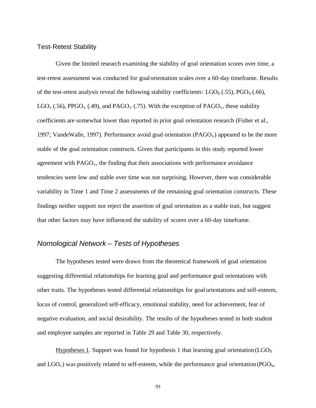#### Test-Retest Stability

Given the limited research examining the stability of goal orientation scores over time, a test-retest assessment was conducted for goal orientation scales over a 60-day timeframe. Results of the test-retest analysis reveal the following stability coefficients:  $LGO_b$  (.55),  $PGO_b$  (.66),  $LGO_v$  (.56), PPGO<sub>v</sub> (.49), and PAGO<sub>v</sub> (.75). With the exception of PAGO<sub>v</sub>, these stability coefficients are somewhat lower than reported in prior goal orientation research (Fisher et al., 1997; VandeWalle, 1997). Performance avoid goal orientation ( $PAGO<sub>v</sub>$ ) appeared to be the more stable of the goal orientation constructs. Given that participants in this study reported lower agreement with  $PAGO<sub>v</sub>$ , the finding that their associations with performance avoidance tendencies were low and stable over time was not surprising. However, there was considerable variability in Time 1 and Time 2 assessments of the remaining goal orientation constructs. These findings neither support nor reject the assertion of goal orientation as a stable trait, but suggest that other factors may have influenced the stability of scores over a 60-day timeframe.

# *Nomological Network – Tests of Hypotheses*

The hypotheses tested were drawn from the theoretical framework of goal orientation suggesting differential relationships for learning goal and performance goal orientations with other traits. The hypotheses tested differential relationships for goal orientations and self-esteem, locus of control, generalized self-efficacy, emotional stability, need for achievement, fear of negative evaluation, and social desirability. The results of the hypotheses tested in both student and employee samples are reported in Table 29 and Table 30, respectively.

Hypotheses 1. Support was found for hypothesis 1 that learning goal orientation  $(LGO_b)$ and  $LGO<sub>v</sub>$ ) was positively related to self-esteem, while the performance goal orientation (PGO<sub>b</sub>,

93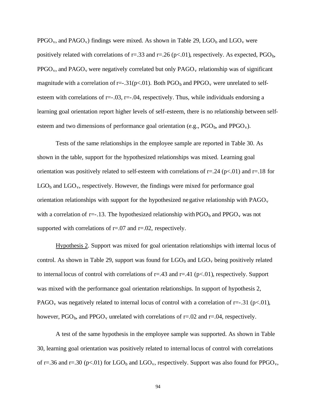$PPGO<sub>v</sub>$ , and  $PAGO<sub>v</sub>$ ) findings were mixed. As shown in Table 29, LGO<sub>b</sub> and LGO<sub>v</sub> were positively related with correlations of  $r=33$  and  $r=.26$  (p $\lt.01$ ), respectively. As expected, PGO<sub>b</sub>,  $PPGO_v$ , and  $PAGO_v$  were negatively correlated but only  $PAGO_v$  relationship was of significant magnitude with a correlation of r= $-0.31(p<0.01)$ . Both PGO<sub>b</sub> and PPGO<sub>v</sub> were unrelated to selfesteem with correlations of  $r=-.03$ ,  $r=-.04$ , respectively. Thus, while individuals endorsing a learning goal orientation report higher levels of self-esteem, there is no relationship between selfesteem and two dimensions of performance goal orientation (e.g.,  $PGO<sub>b</sub>$ , and  $PPGO<sub>v</sub>$ ).

Tests of the same relationships in the employee sample are reported in Table 30. As shown in the table, support for the hypothesized relationships was mixed. Learning goal orientation was positively related to self-esteem with correlations of  $r = .24$  (p<.01) and  $r = .18$  for  $LGO<sub>b</sub>$  and  $LGO<sub>v</sub>$ , respectively. However, the findings were mixed for performance goal orientation relationships with support for the hypothesized negative relationship with  $PAGO<sub>v</sub>$ with a correlation of r=-.13. The hypothesized relationship with  $PGO<sub>b</sub>$  and  $PPGO<sub>v</sub>$  was not supported with correlations of  $r=.07$  and  $r=.02$ , respectively.

Hypothesis 2. Support was mixed for goal orientation relationships with internal locus of control. As shown in Table 29, support was found for  $LGO_b$  and  $LGO_v$  being positively related to internal locus of control with correlations of  $r = .43$  and  $r = .41$  ( $p < .01$ ), respectively. Support was mixed with the performance goal orientation relationships. In support of hypothesis 2, PAGO<sub>v</sub> was negatively related to internal locus of control with a correlation of r=-.31 (p<.01), however,  $PGO_b$ , and  $PPGO_v$  unrelated with correlations of r=.02 and r=.04, respectively.

A test of the same hypothesis in the employee sample was supported. As shown in Table 30, learning goal orientation was positively related to internal locus of control with correlations of r=.36 and r=.30 (p<.01) for LGO<sub>b</sub> and LGO<sub>v</sub>, respectively. Support was also found for PPGO<sub>v</sub>,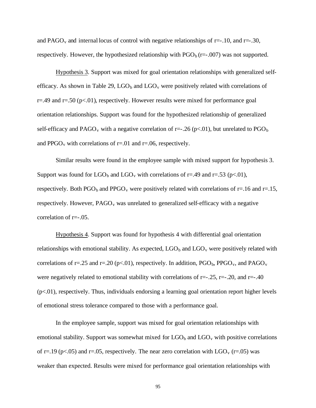and PAGO<sub>v</sub> and internal locus of control with negative relationships of  $r=-1.10$ , and  $r=-1.30$ , respectively. However, the hypothesized relationship with  $PGO<sub>b</sub>$  (r=-.007) was not supported.

Hypothesis 3. Support was mixed for goal orientation relationships with generalized selfefficacy. As shown in Table 29,  $LGO_b$  and  $LGO_v$  were positively related with correlations of r=.49 and r=.50 (p<.01), respectively. However results were mixed for performance goal orientation relationships. Support was found for the hypothesized relationship of generalized self-efficacy and PAGO<sub>v</sub> with a negative correlation of r=-.26 (p<.01), but unrelated to PGO<sub>b</sub> and PPGO<sub>v</sub> with correlations of  $r=0.01$  and  $r=0.06$ , respectively.

Similar results were found in the employee sample with mixed support for hypothesis 3. Support was found for  $LGO_b$  and  $LGO_v$  with correlations of r=.49 and r=.53 (p<.01), respectively. Both PGO<sub>b</sub> and PPGO<sub>v</sub> were positively related with correlations of r=.16 and r=.15, respectively. However,  $PAGO<sub>v</sub>$  was unrelated to generalized self-efficacy with a negative correlation of  $r=-.05$ .

Hypothesis 4. Support was found for hypothesis 4 with differential goal orientation relationships with emotional stability. As expected,  $LGO_b$  and  $LGO_v$  were positively related with correlations of r=.25 and r=.20 (p<.01), respectively. In addition,  $PGO_b$ ,  $PGO_v$ , and  $PAGO_v$ were negatively related to emotional stability with correlations of  $r=-.25$ ,  $r=-.20$ , and  $r=-.40$ (p<.01), respectively. Thus, individuals endorsing a learning goal orientation report higher levels of emotional stress tolerance compared to those with a performance goal.

In the employee sample, support was mixed for goal orientation relationships with emotional stability. Support was somewhat mixed for  $LGO_b$  and  $LGO_v$  with positive correlations of r=.19 (p<.05) and r=.05, respectively. The near zero correlation with  $LGO_v$  (r=.05) was weaker than expected. Results were mixed for performance goal orientation relationships with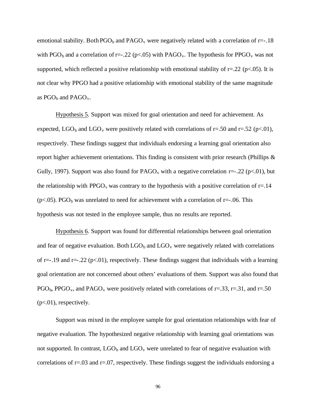emotional stability. Both  $PGO<sub>b</sub>$  and  $PAGO<sub>v</sub>$  were negatively related with a correlation of r=-.18 with PGO<sub>b</sub> and a correlation of r=-.22 (p<.05) with PAGO<sub>v</sub>. The hypothesis for PPGO<sub>v</sub> was not supported, which reflected a positive relationship with emotional stability of  $r=22$  (p<.05). It is not clear why PPGO had a positive relationship with emotional stability of the same magnitude as  $PGO<sub>b</sub>$  and  $PAGO<sub>v</sub>$ .

Hypothesis 5. Support was mixed for goal orientation and need for achievement. As expected, LGO<sub>b</sub> and LGO<sub>v</sub> were positively related with correlations of r=.50 and r=.52 (p<.01), respectively. These findings suggest that individuals endorsing a learning goal orientation also report higher achievement orientations. This finding is consistent with prior research (Phillips & Gully, 1997). Support was also found for  $PAGO<sub>v</sub>$  with a negative correlation r=-.22 (p<.01), but the relationship with PPGO<sub>v</sub> was contrary to the hypothesis with a positive correlation of  $r=14$ ( $p$ <.05). PGO<sub>b</sub> was unrelated to need for achievement with a correlation of  $r$ =-.06. This hypothesis was not tested in the employee sample, thus no results are reported.

Hypothesis 6. Support was found for differential relationships between goal orientation and fear of negative evaluation. Both  $LGO_b$  and  $LGO_v$  were negatively related with correlations of r=-.19 and r=-.22 (p<.01), respectively. These findings suggest that individuals with a learning goal orientation are not concerned about others' evaluations of them. Support was also found that  $PGO<sub>b</sub>$ , PPGO<sub>v</sub>, and PAGO<sub>v</sub> were positively related with correlations of r=.33, r=.31, and r=.50  $(p<.01)$ , respectively.

Support was mixed in the employee sample for goal orientation relationships with fear of negative evaluation. The hypothesized negative relationship with learning goal orientations was not supported. In contrast,  $LGO_b$  and  $LGO_v$  were unrelated to fear of negative evaluation with correlations of  $r=0.03$  and  $r=0.07$ , respectively. These findings suggest the individuals endorsing a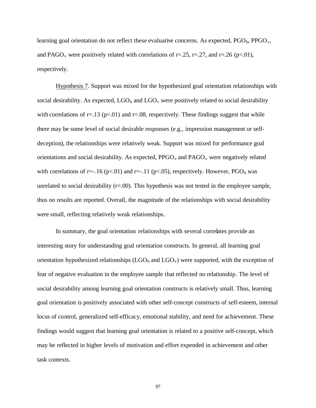learning goal orientation do not reflect these evaluative concerns. As expected,  $PGO<sub>b</sub>$ ,  $PGO<sub>v</sub>$ , and PAGO<sub>v</sub> were positively related with correlations of r=.25, r=.27, and r=.26 (p<.01), respectively.

Hypothesis 7. Support was mixed for the hypothesized goal orientation relationships with social desirability. As expected,  $LGO_b$  and  $LGO_v$  were positively related to social desirability with correlations of r=.13 ( $p<0$ ) and r=.08, respectively. These findings suggest that while there may be some level of social desirable responses (e.g., impression management or selfdeception), the relationships were relatively weak. Support was mixed for performance goal orientations and social desirability. As expected,  $PPGO<sub>v</sub>$  and  $PAGO<sub>v</sub>$  were negatively related with correlations of r= $-16$  (p<.01) and r= $-11$  (p<.05), respectively. However, PGO<sub>b</sub> was unrelated to social desirability  $(r=0.00)$ . This hypothesis was not tested in the employee sample, thus no results are reported. Overall, the magnitude of the relationships with social desirability were small, reflecting relatively weak relationships.

In summary, the goal orientation relationships with several correlates provide an interesting story for understanding goal orientation constructs. In general, all learning goal orientation hypothesized relationships (LGO<sub>b</sub> and LGO<sub>v</sub>) were supported, with the exception of fear of negative evaluation in the employee sample that reflected no relationship. The level of social desirability among learning goal orientation constructs is relatively small. Thus, learning goal orientation is positively associated with other self-concept constructs of self-esteem, internal locus of control, generalized self-efficacy, emotional stability, and need for achievement. These findings would suggest that learning goal orientation is related to a positive self-concept, which may be reflected in higher levels of motivation and effort expended in achievement and other task contexts.

97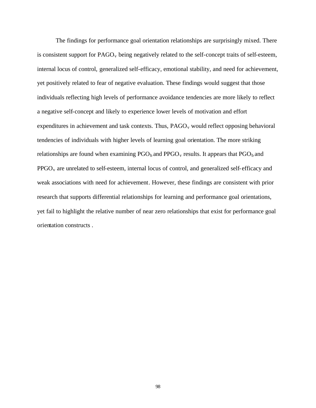The findings for performance goal orientation relationships are surprisingly mixed. There is consistent support for  $PAGO<sub>v</sub>$  being negatively related to the self-concept traits of self-esteem, internal locus of control, generalized self-efficacy, emotional stability, and need for achievement, yet positively related to fear of negative evaluation. These findings would suggest that those individuals reflecting high levels of performance avoidance tendencies are more likely to reflect a negative self-concept and likely to experience lower levels of motivation and effort expenditures in achievement and task contexts. Thus,  $PAGO<sub>v</sub>$  would reflect opposing behavioral tendencies of individuals with higher levels of learning goal orientation. The more striking relationships are found when examining  $PGO<sub>b</sub>$  and  $PPGO<sub>v</sub>$  results. It appears that  $PGO<sub>b</sub>$  and  $PPGO<sub>v</sub>$  are unrelated to self-esteem, internal locus of control, and generalized self-efficacy and weak associations with need for achievement. However, these findings are consistent with prior research that supports differential relationships for learning and performance goal orientations, yet fail to highlight the relative number of near zero relationships that exist for performance goal orientation constructs .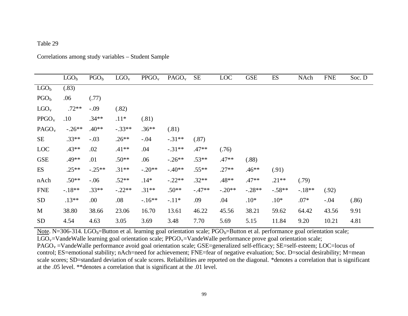#### Table 29

Correlations among study variables – Student Sample

|                   | LOGO <sub>b</sub> | PGO <sub>b</sub> | $LOGO_{v}$ | PPGO <sub>v</sub> | PAGO <sub>v</sub> | <b>SE</b> | <b>LOC</b> | <b>GSE</b> | ES       | NAch     | <b>FNE</b> | Soc. D |
|-------------------|-------------------|------------------|------------|-------------------|-------------------|-----------|------------|------------|----------|----------|------------|--------|
| $LGO_b$           | (.83)             |                  |            |                   |                   |           |            |            |          |          |            |        |
| PGO <sub>b</sub>  | .06               | (.77)            |            |                   |                   |           |            |            |          |          |            |        |
| $LGO_v$           | $.72**$           | $-0.09$          | (.82)      |                   |                   |           |            |            |          |          |            |        |
| PPGO <sub>v</sub> | .10               | $.34**$          | $.11*$     | (.81)             |                   |           |            |            |          |          |            |        |
| PAGO <sub>v</sub> | $-.26**$          | $.40**$          | $-.33**$   | $.36**$           | (.81)             |           |            |            |          |          |            |        |
| SE                | $.33**$           | $-.03$           | $.26**$    | $-.04$            | $-.31**$          | (.87)     |            |            |          |          |            |        |
| <b>LOC</b>        | $.43**$           | .02              | $.41**$    | .04               | $-.31**$          | $.47**$   | (.76)      |            |          |          |            |        |
| <b>GSE</b>        | .49**             | .01              | $.50**$    | .06               | $-.26**$          | $.53**$   | $.47**$    | (.88)      |          |          |            |        |
| ES                | $.25**$           | $-.25**$         | $.31**$    | $-.20**$          | $-.40**$          | $.55**$   | $.27**$    | $.46**$    | (.91)    |          |            |        |
| nAch              | $.50**$           | $-.06$           | $.52**$    | $.14*$            | $-.22**$          | $.32**$   | $.48**$    | $.47**$    | $.21**$  | (.79)    |            |        |
| <b>FNE</b>        | $-.18**$          | $.33**$          | $-.22**$   | $.31**$           | $.50**$           | $-.47**$  | $-.20**$   | $-.28**$   | $-.58**$ | $-.18**$ | (.92)      |        |
| <b>SD</b>         | $.13**$           | .00.             | .08        | $-.16**$          | $-.11*$           | .09       | .04        | $.10*$     | $.10*$   | $.07*$   | $-.04$     | (.86)  |
| M                 | 38.80             | 38.66            | 23.06      | 16.70             | 13.61             | 46.22     | 45.56      | 38.21      | 59.62    | 64.42    | 43.56      | 9.91   |
| <b>SD</b>         | 4.54              | 4.63             | 3.05       | 3.69              | 3.48              | 7.70      | 5.69       | 5.15       | 11.84    | 9.20     | 10.21      | 4.81   |

Note. N=306-314. LGO<sub>b</sub>=Button et al. learning goal orientation scale;  $PGO<sub>b</sub>=B$ utton et al. performance goal orientation scale;

 $LGO_v=V$ andeWalle learning goal orientation scale; PPGO<sub>v</sub>=VandeWalle performance prove goal orientation scale;

PAGO<sub>v</sub> =VandeWalle performance avoid goal orientation scale; GSE=generalized self-efficacy; SE=self-esteem; LOC=locus of control; ES=emotional stability; nAch=need for achievement; FNE=fear of negative evaluation; Soc. D=social desirability; M=mean scale scores; SD=standard deviation of scale scores. Reliabilities are reported on the diagonal. \*denotes a correlation that is significant at the .05 level. \*\*denotes a correlation that is significant at the .01 level.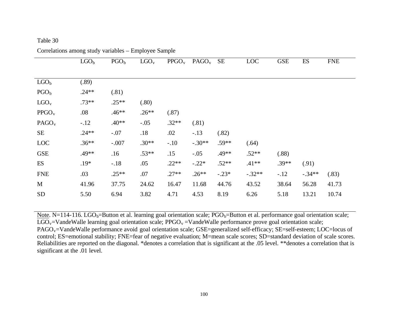#### Table 30

|                   | LGO <sub>b</sub> | PGO <sub>b</sub> | $LOGO_v$ | PPGO <sub>v</sub> | PAGO <sub>v</sub> | <b>SE</b> | <b>LOC</b> | <b>GSE</b> | ES       | <b>FNE</b> |  |
|-------------------|------------------|------------------|----------|-------------------|-------------------|-----------|------------|------------|----------|------------|--|
|                   |                  |                  |          |                   |                   |           |            |            |          |            |  |
| $LGO_b$           | (.89)            |                  |          |                   |                   |           |            |            |          |            |  |
| PGO <sub>b</sub>  | $.24**$          | (.81)            |          |                   |                   |           |            |            |          |            |  |
| $LOGO_{v}$        | $.73**$          | $.25**$          | (.80)    |                   |                   |           |            |            |          |            |  |
| PPGO <sub>v</sub> | .08              | $.46**$          | $.26**$  | (.87)             |                   |           |            |            |          |            |  |
| PAGO <sub>v</sub> | $-.12$           | $.40**$          | $-.05$   | $.32**$           | (.81)             |           |            |            |          |            |  |
| <b>SE</b>         | $.24**$          | $-.07$           | .18      | .02               | $-.13$            | (.82)     |            |            |          |            |  |
| <b>LOC</b>        | $.36**$          | $-.007$          | $.30**$  | $-.10$            | $-.30**$          | $.59**$   | (.64)      |            |          |            |  |
| <b>GSE</b>        | $.49**$          | .16              | $.53**$  | .15               | $-.05$            | $.49**$   | $.52**$    | (.88)      |          |            |  |
| ES                | $.19*$           | $-.18$           | .05      | $.22**$           | $-.22*$           | $.52**$   | $.41**$    | $.39**$    | (.91)    |            |  |
| <b>FNE</b>        | .03              | $.25**$          | .07      | $.27**$           | $.26**$           | $-.23*$   | $-.32**$   | $-.12$     | $-.34**$ | (.83)      |  |
| M                 | 41.96            | 37.75            | 24.62    | 16.47             | 11.68             | 44.76     | 43.52      | 38.64      | 56.28    | 41.73      |  |
| <b>SD</b>         | 5.50             | 6.94             | 3.82     | 4.71              | 4.53              | 8.19      | 6.26       | 5.18       | 13.21    | 10.74      |  |

Correlations among study variables – Employee Sample

Note. N=114-116. LGO<sub>b</sub>=Button et al. learning goal orientation scale;  $PGO<sub>b</sub>=B$ utton et al. performance goal orientation scale;  $LGO_v=V$ andeWalle learning goal orientation scale; PPGO<sub>v</sub> = VandeWalle performance prove goal orientation scale; PAGO<sub>v</sub>=VandeWalle performance avoid goal orientation scale; GSE=generalized self-efficacy; SE=self-esteem; LOC=locus of control; ES=emotional stability; FNE=fear of negative evaluation; M=mean scale scores; SD=standard deviation of scale scores. Reliabilities are reported on the diagonal. \*denotes a correlation that is significant at the .05 level. \*\*denotes a correlation that is significant at the .01 level.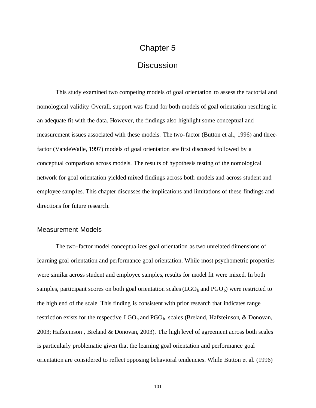# Chapter 5

# **Discussion**

This study examined two competing models of goal orientation to assess the factorial and nomological validity. Overall, support was found for both models of goal orientation resulting in an adequate fit with the data. However, the findings also highlight some conceptual and measurement issues associated with these models. The two-factor (Button et al., 1996) and threefactor (VandeWalle, 1997) models of goal orientation are first discussed followed by a conceptual comparison across models. The results of hypothesis testing of the nomological network for goal orientation yielded mixed findings across both models and across student and employee samples. This chapter discusses the implications and limitations of these findings and directions for future research.

#### Measurement Models

The two-factor model conceptualizes goal orientation as two unrelated dimensions of learning goal orientation and performance goal orientation. While most psychometric properties were similar across student and employee samples, results for model fit were mixed. In both samples, participant scores on both goal orientation scales  $(LGO_b)$  and  $PGO_b$ ) were restricted to the high end of the scale. This finding is consistent with prior research that indicates range restriction exists for the respective  $\text{LGO}_b$  and  $\text{PGO}_b$  scales (Breland, Hafsteinson, & Donovan, 2003; Hafsteinson , Breland & Donovan, 2003). The high level of agreement across both scales is particularly problematic given that the learning goal orientation and performance goal orientation are considered to reflect opposing behavioral tendencies. While Button et al. (1996)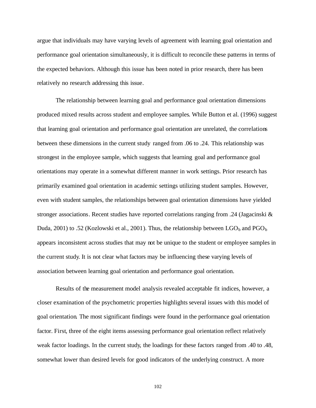argue that individuals may have varying levels of agreement with learning goal orientation and performance goal orientation simultaneously, it is difficult to reconcile these patterns in terms of the expected behaviors. Although this issue has been noted in prior research, there has been relatively no research addressing this issue.

The relationship between learning goal and performance goal orientation dimensions produced mixed results across student and employee samples. While Button et al. (1996) suggest that learning goal orientation and performance goal orientation are unrelated, the correlations between these dimensions in the current study ranged from .06 to .24. This relationship was strongest in the employee sample, which suggests that learning goal and performance goal orientations may operate in a somewhat different manner in work settings. Prior research has primarily examined goal orientation in academic settings utilizing student samples. However, even with student samples, the relationships between goal orientation dimensions have yielded stronger associations. Recent studies have reported correlations ranging from .24 (Jagacinski & Duda, 2001) to .52 (Kozlowski et al., 2001). Thus, the relationship between  $\text{LGO}_b$  and PGO<sub>b</sub> appears inconsistent across studies that may not be unique to the student or employee samples in the current study. It is not clear what factors may be influencing these varying levels of association between learning goal orientation and performance goal orientation.

Results of the measurement model analysis revealed acceptable fit indices, however, a closer examination of the psychometric properties highlights several issues with this model of goal orientation. The most significant findings were found in the performance goal orientation factor. First, three of the eight items assessing performance goal orientation reflect relatively weak factor loadings. In the current study, the loadings for these factors ranged from .40 to .48, somewhat lower than desired levels for good indicators of the underlying construct. A more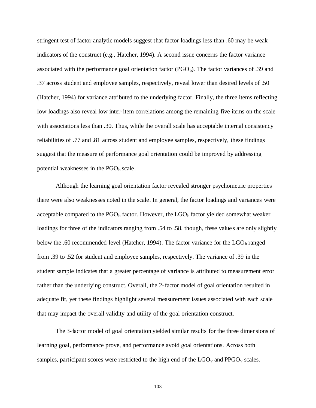stringent test of factor analytic models suggest that factor loadings less than .60 may be weak indicators of the construct (e.g., Hatcher, 1994). A second issue concerns the factor variance associated with the performance goal orientation factor ( $PGO<sub>b</sub>$ ). The factor variances of .39 and .37 across student and employee samples, respectively, reveal lower than desired levels of .50 (Hatcher, 1994) for variance attributed to the underlying factor. Finally, the three items reflecting low loadings also reveal low inter-item correlations among the remaining five items on the scale with associations less than .30. Thus, while the overall scale has acceptable internal consistency reliabilities of .77 and .81 across student and employee samples, respectively, these findings suggest that the measure of performance goal orientation could be improved by addressing potential weaknesses in the  $PGO<sub>b</sub>$  scale.

Although the learning goal orientation factor revealed stronger psychometric properties there were also weaknesses noted in the scale. In general, the factor loadings and variances were acceptable compared to the  $PGO<sub>b</sub>$  factor. However, the  $LGO<sub>b</sub>$  factor yielded somewhat weaker loadings for three of the indicators ranging from .54 to .58, though, these values are only slightly below the .60 recommended level (Hatcher, 1994). The factor variance for the  $\text{LGO}_b$  ranged from .39 to .52 for student and employee samples, respectively. The variance of .39 in the student sample indicates that a greater percentage of variance is attributed to measurement error rather than the underlying construct. Overall, the 2-factor model of goal orientation resulted in adequate fit, yet these findings highlight several measurement issues associated with each scale that may impact the overall validity and utility of the goal orientation construct.

The 3-factor model of goal orientation yielded similar results for the three dimensions of learning goal, performance prove, and performance avoid goal orientations. Across both samples, participant scores were restricted to the high end of the  $LGO_v$  and  $PPGO_v$  scales.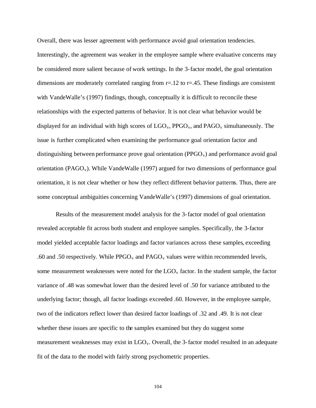Overall, there was lesser agreement with performance avoid goal orientation tendencies. Interestingly, the agreement was weaker in the employee sample where evaluative concerns may be considered more salient because of work settings. In the 3-factor model, the goal orientation dimensions are moderately correlated ranging from  $r=12$  to  $r=.45$ . These findings are consistent with VandeWalle's (1997) findings, though, conceptually it is difficult to reconcile these relationships with the expected patterns of behavior. It is not clear what behavior would be displayed for an individual with high scores of  $LGO_v$ ,  $PPGO_v$ , and  $PAGO_v$  simultaneously. The issue is further complicated when examining the performance goal orientation factor and distinguishing between performance prove goal orientation ( $PPGO_v$ ) and performance avoid goal orientation (PAGO<sub>v</sub>). While VandeWalle (1997) argued for two dimensions of performance goal orientation, it is not clear whether or how they reflect different behavior patterns. Thus, there are some conceptual ambiguities concerning VandeWalle's (1997) dimensions of goal orientation.

Results of the measurement model analysis for the 3-factor model of goal orientation revealed acceptable fit across both student and employee samples. Specifically, the 3-factor model yielded acceptable factor loadings and factor variances across these samples, exceeding .60 and .50 respectively. While  $PROO<sub>v</sub>$  and  $PAGO<sub>v</sub>$  values were within recommended levels, some measurement weaknesses were noted for the  $LOGO<sub>v</sub>$  factor. In the student sample, the factor variance of .48 was somewhat lower than the desired level of .50 for variance attributed to the underlying factor; though, all factor loadings exceeded .60. However, in the employee sample, two of the indicators reflect lower than desired factor loadings of .32 and .49. It is not clear whether these issues are specific to the samples examined but they do suggest some measurement weaknesses may exist in  $LOGO<sub>v</sub>$ . Overall, the 3-factor model resulted in an adequate fit of the data to the model with fairly strong psychometric properties.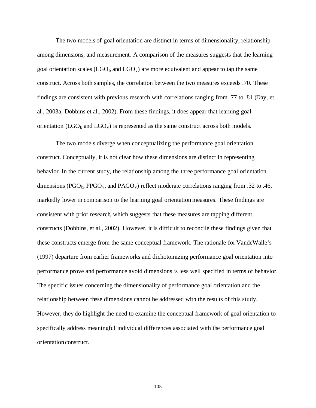The two models of goal orientation are distinct in terms of dimensionality, relationship among dimensions, and measurement. A comparison of the measures suggests that the learning goal orientation scales (LGO<sub>b</sub> and LGO<sub>v</sub>) are more equivalent and appear to tap the same construct. Across both samples, the correlation between the two measures exceeds .70. These findings are consistent with previous research with correlations ranging from .77 to .81 (Day, et al., 2003a; Dobbins et al., 2002). From these findings, it does appear that learning goal orientation (LGO<sub>b</sub> and LGO<sub>v</sub>) is represented as the same construct across both models.

The two models diverge when conceptualizing the performance goal orientation construct. Conceptually, it is not clear how these dimensions are distinct in representing behavior. In the current study, the relationship among the three performance goal orientation dimensions (PGO<sub>b</sub>, PPGO<sub>v</sub>, and PAGO<sub>v</sub>) reflect moderate correlations ranging from .32 to .46, markedly lower in comparison to the learning goal orientation measures. These findings are consistent with prior research, which suggests that these measures are tapping different constructs (Dobbins, et al., 2002). However, it is difficult to reconcile these findings given that these constructs emerge from the same conceptual framework. The rationale for VandeWalle's (1997) departure from earlier frameworks and dichotomizing performance goal orientation into performance prove and performance avoid dimensions is less well specified in terms of behavior. The specific issues concerning the dimensionality of performance goal orientation and the relationship between these dimensions cannot be addressed with the results of this study. However, they do highlight the need to examine the conceptual framework of goal orientation to specifically address meaningful individual differences associated with the performance goal orientation construct.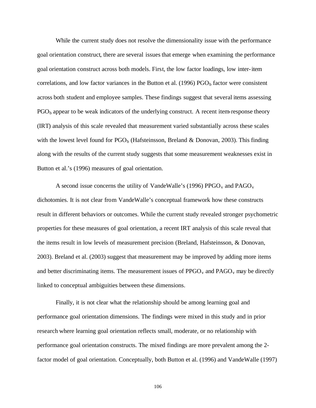While the current study does not resolve the dimensionality issue with the performance goal orientation construct, there are several issues that emerge when examining the performance goal orientation construct across both models. First, the low factor loadings, low inter-item correlations, and low factor variances in the Button et al.  $(1996)$  PGO<sub>b</sub> factor were consistent across both student and employee samples. These findings suggest that several items assessing  $PGO<sub>b</sub>$  appear to be weak indicators of the underlying construct. A recent item-response theory (IRT) analysis of this scale revealed that measurement varied substantially across these scales with the lowest level found for  $PGO<sub>b</sub>$  (Hafsteinsson, Breland & Donovan, 2003). This finding along with the results of the current study suggests that some measurement weaknesses exist in Button et al.'s (1996) measures of goal orientation.

A second issue concerns the utility of VandeWalle's (1996) PPGO<sub>v</sub> and PAGO<sub>v</sub> dichotomies. It is not clear from VandeWalle's conceptual framework how these constructs result in different behaviors or outcomes. While the current study revealed stronger psychometric properties for these measures of goal orientation, a recent IRT analysis of this scale reveal that the items result in low levels of measurement precision (Breland, Hafsteinsson, & Donovan, 2003). Breland et al. (2003) suggest that measurement may be improved by adding more items and better discriminating items. The measurement issues of  $PROO<sub>v</sub>$  and  $PAGO<sub>v</sub>$  may be directly linked to conceptual ambiguities between these dimensions.

Finally, it is not clear what the relationship should be among learning goal and performance goal orientation dimensions. The findings were mixed in this study and in prior research where learning goal orientation reflects small, moderate, or no relationship with performance goal orientation constructs. The mixed findings are more prevalent among the 2 factor model of goal orientation. Conceptually, both Button et al. (1996) and VandeWalle (1997)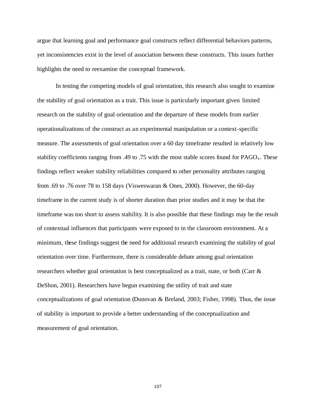argue that learning goal and performance goal constructs reflect differential behaviors patterns, yet inconsistencies exist in the level of association between these constructs. This issues further highlights the need to reexamine the conceptual framework.

In testing the competing models of goal orientation, this research also sought to examine the stability of goal orientation as a trait. This issue is particularly important given limited research on the stability of goal orientation and the departure of these models from earlier operationalizations of the construct as an experimental manipulation or a context-specific measure. The assessments of goal orientation over a 60 day timeframe resulted in relatively low stability coefficients ranging from .49 to .75 with the most stable scores found for  $PAGO<sub>v</sub>$ . These findings reflect weaker stability reliabilities compared to other personality attributes ranging from .69 to .76 over 78 to 158 days (Visweswaran & Ones, 2000). However, the 60-day timeframe in the current study is of shorter duration than prior studies and it may be that the timeframe was too short to assess stability. It is also possible that these findings may be the result of contextual influences that participants were exposed to in the classroom environment. At a minimum, these findings suggest the need for additional research examining the stability of goal orientation over time. Furthermore, there is considerable debate among goal orientation researchers whether goal orientation is best conceptualized as a trait, state, or both (Carr & DeShon, 2001). Researchers have begun examining the utility of trait and state conceptualizations of goal orientation (Donovan & Breland, 2003; Fisher, 1998). Thus, the issue of stability is important to provide a better understanding of the conceptualization and measurement of goal orientation.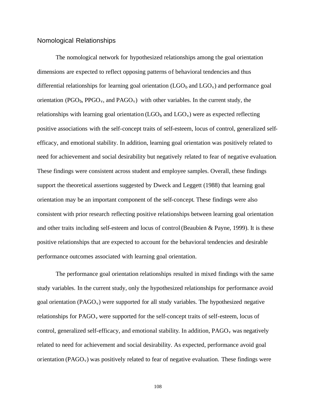## Nomological Relationships

The nomological network for hypothesized relationships among the goal orientation dimensions are expected to reflect opposing patterns of behavioral tendencies and thus differential relationships for learning goal orientation  $(LGO_b)$  and  $LGO_v$ ) and performance goal orientation (PGO<sub>b</sub>, PPGO<sub>v</sub>, and PAGO<sub>v</sub>) with other variables. In the current study, the relationships with learning goal orientation  $(LGO_b)$  and  $LGO_v$ ) were as expected reflecting positive associations with the self-concept traits of self-esteem, locus of control, generalized selfefficacy, and emotional stability. In addition, learning goal orientation was positively related to need for achievement and social desirability but negatively related to fear of negative evaluation. These findings were consistent across student and employee samples. Overall, these findings support the theoretical assertions suggested by Dweck and Leggett (1988) that learning goal orientation may be an important component of the self-concept. These findings were also consistent with prior research reflecting positive relationships between learning goal orientation and other traits including self-esteem and locus of control (Beaubien & Payne, 1999). It is these positive relationships that are expected to account for the behavioral tendencies and desirable performance outcomes associated with learning goal orientation.

The performance goal orientation relationships resulted in mixed findings with the same study variables. In the current study, only the hypothesized relationships for performance avoid goal orientation ( $PAGO<sub>v</sub>$ ) were supported for all study variables. The hypothesized negative relationships for  $PAGO<sub>v</sub>$  were supported for the self-concept traits of self-esteem, locus of control, generalized self-efficacy, and emotional stability. In addition,  $PAGO<sub>v</sub>$  was negatively related to need for achievement and social desirability. As expected, performance avoid goal orientation ( $PAGO<sub>v</sub>$ ) was positively related to fear of negative evaluation. These findings were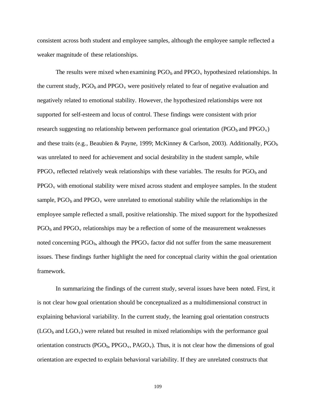consistent across both student and employee samples, although the employee sample reflected a weaker magnitude of these relationships.

The results were mixed when examining  $PGO<sub>b</sub>$  and  $PPGO<sub>v</sub>$  hypothesized relationships. In the current study,  $PGO<sub>b</sub>$  and  $PPGO<sub>v</sub>$  were positively related to fear of negative evaluation and negatively related to emotional stability. However, the hypothesized relationships were not supported for self-esteem and locus of control. These findings were consistent with prior research suggesting no relationship between performance goal orientation ( $PGO<sub>b</sub>$  and  $PPGO<sub>v</sub>$ ) and these traits (e.g., Beaubien & Payne, 1999; McKinney & Carlson, 2003). Additionally,  $PGO<sub>b</sub>$ was unrelated to need for achievement and social desirability in the student sample, while  $PPGO<sub>v</sub>$  reflected relatively weak relationships with these variables. The results for  $PGO<sub>b</sub>$  and  $PPGO<sub>v</sub>$  with emotional stability were mixed across student and employee samples. In the student sample,  $PGO<sub>b</sub>$  and  $PPGO<sub>v</sub>$  were unrelated to emotional stability while the relationships in the employee sample reflected a small, positive relationship. The mixed support for the hypothesized  $PGO<sub>b</sub>$  and PPGO<sub>v</sub> relationships may be a reflection of some of the measurement weaknesses noted concerning  $PGO<sub>b</sub>$ , although the  $PPGO<sub>v</sub>$  factor did not suffer from the same measurement issues. These findings further highlight the need for conceptual clarity within the goal orientation framework.

In summarizing the findings of the current study, several issues have been noted. First, it is not clear how goal orientation should be conceptualized as a multidimensional construct in explaining behavioral variability. In the current study, the learning goal orientation constructs  $(LGO<sub>b</sub>$  and  $LGO<sub>v</sub>$ ) were related but resulted in mixed relationships with the performance goal orientation constructs ( $PGO<sub>b</sub>$ ,  $PPGO<sub>v</sub>$ ,  $PAGO<sub>v</sub>$ ). Thus, it is not clear how the dimensions of goal orientation are expected to explain behavioral variability. If they are unrelated constructs that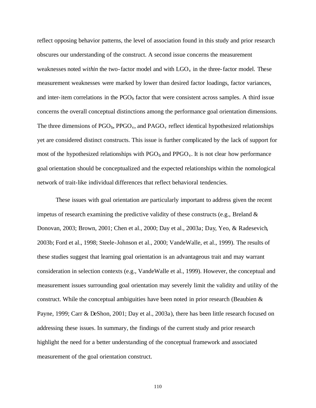reflect opposing behavior patterns, the level of association found in this study and prior research obscures our understanding of the construct. A second issue concerns the measurement weaknesses noted *within* the two-factor model and with  $LGO_v$  in the three-factor model. These measurement weaknesses were marked by lower than desired factor loadings, factor variances, and inter-item correlations in the  $PGO<sub>b</sub>$  factor that were consistent across samples. A third issue concerns the overall conceptual distinctions among the performance goal orientation dimensions. The three dimensions of  $PGO<sub>b</sub>$ ,  $PPGO<sub>v</sub>$ , and  $PAGO<sub>v</sub>$  reflect identical hypothesized relationships yet are considered distinct constructs. This issue is further complicated by the lack of support for most of the hypothesized relationships with  $PGO<sub>b</sub>$  and  $PPGO<sub>v</sub>$ . It is not clear how performance goal orientation should be conceptualized and the expected relationships within the nomological network of trait-like individual differences that reflect behavioral tendencies.

These issues with goal orientation are particularly important to address given the recent impetus of research examining the predictive validity of these constructs (e.g., Breland  $\&$ Donovan, 2003; Brown, 2001; Chen et al., 2000; Day et al., 2003a; Day, Yeo, & Radesevich, 2003b; Ford et al., 1998; Steele-Johnson et al., 2000; VandeWalle, et al., 1999). The results of these studies suggest that learning goal orientation is an advantageous trait and may warrant consideration in selection contexts (e.g., VandeWalle et al., 1999). However, the conceptual and measurement issues surrounding goal orientation may severely limit the validity and utility of the construct. While the conceptual ambiguities have been noted in prior research (Beaubien  $\&$ Payne, 1999; Carr & DeShon, 2001; Day et al., 2003a), there has been little research focused on addressing these issues. In summary, the findings of the current study and prior research highlight the need for a better understanding of the conceptual framework and associated measurement of the goal orientation construct.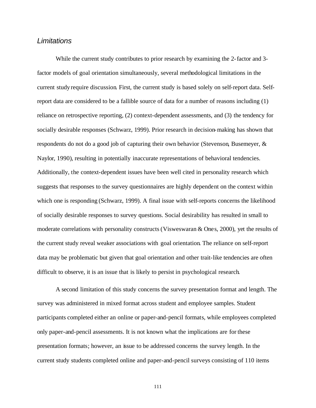# *Limitations*

While the current study contributes to prior research by examining the 2-factor and 3factor models of goal orientation simultaneously, several methodological limitations in the current study require discussion. First, the current study is based solely on self-report data. Selfreport data are considered to be a fallible source of data for a number of reasons including (1) reliance on retrospective reporting, (2) context-dependent assessments, and (3) the tendency for socially desirable responses (Schwarz, 1999). Prior research in decision-making has shown that respondents do not do a good job of capturing their own behavior (Stevenson, Busemeyer, & Naylor, 1990), resulting in potentially inaccurate representations of behavioral tendencies. Additionally, the context-dependent issues have been well cited in personality research which suggests that responses to the survey questionnaires are highly dependent on the context within which one is responding (Schwarz, 1999). A final issue with self-reports concerns the likelihood of socially desirable responses to survey questions. Social desirability has resulted in small to moderate correlations with personality constructs (Visweswaran & Ones, 2000), yet the results of the current study reveal weaker associations with goal orientation. The reliance on self-report data may be problematic but given that goal orientation and other trait-like tendencies are often difficult to observe, it is an issue that is likely to persist in psychological research.

A second limitation of this study concerns the survey presentation format and length. The survey was administered in mixed format across student and employee samples. Student participants completed either an online or paper-and-pencil formats, while employees completed only paper-and-pencil assessments. It is not known what the implications are for these presentation formats; however, an issue to be addressed concerns the survey length. In the current study students completed online and paper-and-pencil surveys consisting of 110 items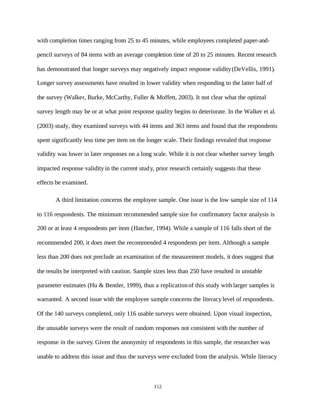with completion times ranging from 25 to 45 minutes, while employees completed paper-andpencil surveys of 84 items with an average completion time of 20 to 25 minutes. Recent research has demonstrated that longer surveys may negatively impact response validity (DeVellis, 1991). Longer survey assessments have resulted in lower validity when responding to the latter half of the survey (Walker, Burke, McCarthy, Fuller & Moffett, 2003). It not clear what the optimal survey length may be or at what point response quality begins to deteriorate. In the Walker et al. (2003) study, they examined surveys with 44 items and 363 items and found that the respondents spent significantly less time per item on the longer scale. Their findings revealed that response validity was lower in later responses on a long scale. While it is not clear whether survey length impacted response validity in the current study, prior research certainly suggests that these effects be examined.

A third limitation concerns the employee sample. One issue is the low sample size of 114 to 116 respondents. The minimum recommended sample size for confirmatory factor analysis is 200 or at least 4 respondents per item (Hatcher, 1994). While a sample of 116 falls short of the recommended 200, it does meet the recommended 4 respondents per item. Although a sample less than 200 does not preclude an examination of the measurement models, it does suggest that the results be interpreted with caution. Sample sizes less than 250 have resulted in unstable parameter estimates (Hu & Bentler, 1999), thus a replication of this study with larger samples is warranted. A second issue with the employee sample concerns the literacy level of respondents. Of the 140 surveys completed, only 116 usable surveys were obtained. Upon visual inspection, the unusable surveys were the result of random responses not consistent with the number of response in the survey. Given the anonymity of respondents in this sample, the researcher was unable to address this issue and thus the surveys were excluded from the analysis. While literacy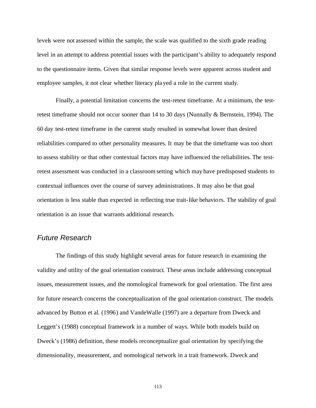levels were not assessed within the sample, the scale was qualified to the sixth grade reading level in an attempt to address potential issues with the participant's ability to adequately respond to the questionnaire items. Given that similar response levels were apparent across student and employee samples, it not clear whether literacy played a role in the current study.

Finally, a potential limitation concerns the test-retest timeframe. At a minimum, the testretest timeframe should not occur sooner than 14 to 30 days (Nunnally & Bernstein, 1994). The 60 day test-retest timeframe in the current study resulted in somewhat lower than desired reliabilities compared to other personality measures. It may be that the timeframe was too short to assess stability or that other contextual factors may have influenced the reliabilities. The testretest assessment was conducted in a classroom setting which may have predisposed students to contextual influences over the course of survey administrations. It may also be that goal orientation is less stable than expected in reflecting true trait-like behaviors. The stability of goal orientation is an issue that warrants additional research.

## *Future Research*

The findings of this study highlight several areas for future research in examining the validity and utility of the goal orientation construct. These areas include addressing conceptual issues, measurement issues, and the nomological framework for goal orientation. The first area for future research concerns the conceptualization of the goal orientation construct. The models advanced by Button et al. (1996) and VandeWalle (1997) are a departure from Dweck and Leggett's (1988) conceptual framework in a number of ways. While both models build on Dweck's (1986) definition, these models reconceptualize goal orientation by specifying the dimensionality, measurement, and nomological network in a trait framework. Dweck and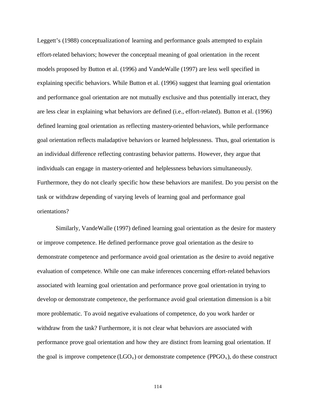Leggett's (1988) conceptualization of learning and performance goals attempted to explain effort-related behaviors; however the conceptual meaning of goal orientation in the recent models proposed by Button et al. (1996) and VandeWalle (1997) are less well specified in explaining specific behaviors. While Button et al. (1996) suggest that learning goal orientation and performance goal orientation are not mutually exclusive and thus potentially int eract, they are less clear in explaining what behaviors are defined (i.e., effort-related). Button et al. (1996) defined learning goal orientation as reflecting mastery-oriented behaviors, while performance goal orientation reflects maladaptive behaviors or learned helplessness. Thus, goal orientation is an individual difference reflecting contrasting behavior patterns. However, they argue that individuals can engage in mastery-oriented and helplessness behaviors simultaneously. Furthermore, they do not clearly specific how these behaviors are manifest. Do you persist on the task or withdraw depending of varying levels of learning goal and performance goal orientations?

Similarly, VandeWalle (1997) defined learning goal orientation as the desire for mastery or improve competence. He defined performance prove goal orientation as the desire to demonstrate competence and performance avoid goal orientation as the desire to avoid negative evaluation of competence. While one can make inferences concerning effort-related behaviors associated with learning goal orientation and performance prove goal orientation in trying to develop or demonstrate competence, the performance avoid goal orientation dimension is a bit more problematic. To avoid negative evaluations of competence, do you work harder or withdraw from the task? Furthermore, it is not clear what behaviors are associated with performance prove goal orientation and how they are distinct from learning goal orientation. If the goal is improve competence  $(LGO_v)$  or demonstrate competence  $(PPGO_v)$ , do these construct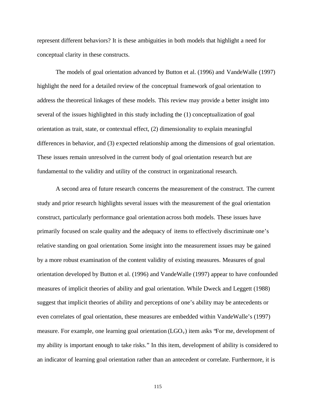represent different behaviors? It is these ambiguities in both models that highlight a need for conceptual clarity in these constructs.

The models of goal orientation advanced by Button et al. (1996) and VandeWalle (1997) highlight the need for a detailed review of the conceptual framework of goal orientation to address the theoretical linkages of these models. This review may provide a better insight into several of the issues highlighted in this study including the (1) conceptualization of goal orientation as trait, state, or contextual effect, (2) dimensionality to explain meaningful differences in behavior, and (3) expected relationship among the dimensions of goal orientation. These issues remain unresolved in the current body of goal orientation research but are fundamental to the validity and utility of the construct in organizational research.

A second area of future research concerns the measurement of the construct. The current study and prior research highlights several issues with the measurement of the goal orientation construct, particularly performance goal orientation across both models. These issues have primarily focused on scale quality and the adequacy of items to effectively discriminate one's relative standing on goal orientation. Some insight into the measurement issues may be gained by a more robust examination of the content validity of existing measures. Measures of goal orientation developed by Button et al. (1996) and VandeWalle (1997) appear to have confounded measures of implicit theories of ability and goal orientation. While Dweck and Leggett (1988) suggest that implicit theories of ability and perceptions of one's ability may be antecedents or even correlates of goal orientation, these measures are embedded within VandeWalle's (1997) measure. For example, one learning goal orientation  $(LGO_v)$  item asks 'For me, development of my ability is important enough to take risks." In this item, development of ability is considered to an indicator of learning goal orientation rather than an antecedent or correlate. Furthermore, it is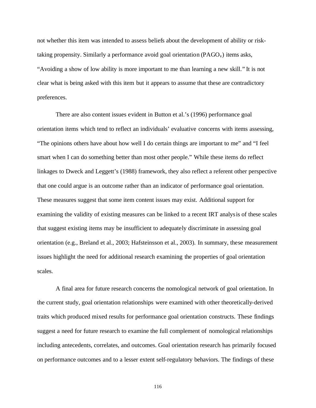not whether this item was intended to assess beliefs about the development of ability or risktaking propensity. Similarly a performance avoid goal orientation  $(PAGO<sub>v</sub>)$  items asks, "Avoiding a show of low ability is more important to me than learning a new skill." It is not clear what is being asked with this item but it appears to assume that these are contradictory preferences.

There are also content issues evident in Button et al.'s (1996) performance goal orientation items which tend to reflect an individuals' evaluative concerns with items assessing, "The opinions others have about how well I do certain things are important to me" and "I feel smart when I can do something better than most other people." While these items do reflect linkages to Dweck and Leggett's (1988) framework, they also reflect a referent other perspective that one could argue is an outcome rather than an indicator of performance goal orientation. These measures suggest that some item content issues may exist. Additional support for examining the validity of existing measures can be linked to a recent IRT analysis of these scales that suggest existing items may be insufficient to adequately discriminate in assessing goal orientation (e.g., Breland et al., 2003; Hafsteinsson et al., 2003). In summary, these measurement issues highlight the need for additional research examining the properties of goal orientation scales.

A final area for future research concerns the nomological network of goal orientation. In the current study, goal orientation relationships were examined with other theoretically-derived traits which produced mixed results for performance goal orientation constructs. These findings suggest a need for future research to examine the full complement of nomological relationships including antecedents, correlates, and outcomes. Goal orientation research has primarily focused on performance outcomes and to a lesser extent self-regulatory behaviors. The findings of these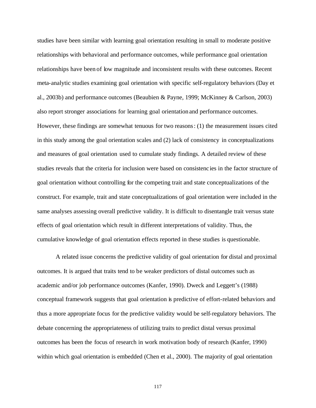studies have been similar with learning goal orientation resulting in small to moderate positive relationships with behavioral and performance outcomes, while performance goal orientation relationships have been of low magnitude and inconsistent results with these outcomes. Recent meta-analytic studies examining goal orientation with specific self-regulatory behaviors (Day et al., 2003b) and performance outcomes (Beaubien & Payne, 1999; McKinney & Carlson, 2003) also report stronger associations for learning goal orientation and performance outcomes. However, these findings are somewhat tenuous for two reasons: (1) the measurement issues cited in this study among the goal orientation scales and (2) lack of consistency in conceptualizations and measures of goal orientation used to cumulate study findings. A detailed review of these studies reveals that the criteria for inclusion were based on consistenc ies in the factor structure of goal orientation without controlling for the competing trait and state conceptualizations of the construct. For example, trait and state conceptualizations of goal orientation were included in the same analyses assessing overall predictive validity. It is difficult to disentangle trait versus state effects of goal orientation which result in different interpretations of validity. Thus, the cumulative knowledge of goal orientation effects reported in these studies is questionable.

A related issue concerns the predictive validity of goal orientation for distal and proximal outcomes. It is argued that traits tend to be weaker predictors of distal outcomes such as academic and/or job performance outcomes (Kanfer, 1990). Dweck and Leggett's (1988) conceptual framework suggests that goal orientation is predictive of effort-related behaviors and thus a more appropriate focus for the predictive validity would be self-regulatory behaviors. The debate concerning the appropriateness of utilizing traits to predict distal versus proximal outcomes has been the focus of research in work motivation body of research (Kanfer, 1990) within which goal orientation is embedded (Chen et al., 2000). The majority of goal orientation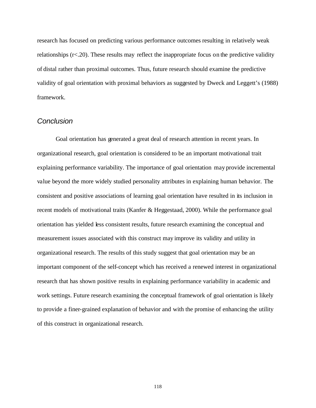research has focused on predicting various performance outcomes resulting in relatively weak relationships (r<.20). These results may reflect the inappropriate focus on the predictive validity of distal rather than proximal outcomes. Thus, future research should examine the predictive validity of goal orientation with proximal behaviors as suggested by Dweck and Leggett's (1988) framework.

## *Conclusion*

Goal orientation has generated a great deal of research attention in recent years. In organizational research, goal orientation is considered to be an important motivational trait explaining performance variability. The importance of goal orientation may provide incremental value beyond the more widely studied personality attributes in explaining human behavior. The consistent and positive associations of learning goal orientation have resulted in its inclusion in recent models of motivational traits (Kanfer & Heggestaad, 2000). While the performance goal orientation has yielded less consistent results, future research examining the conceptual and measurement issues associated with this construct may improve its validity and utility in organizational research. The results of this study suggest that goal orientation may be an important component of the self-concept which has received a renewed interest in organizational research that has shown positive results in explaining performance variability in academic and work settings. Future research examining the conceptual framework of goal orientation is likely to provide a finer-grained explanation of behavior and with the promise of enhancing the utility of this construct in organizational research.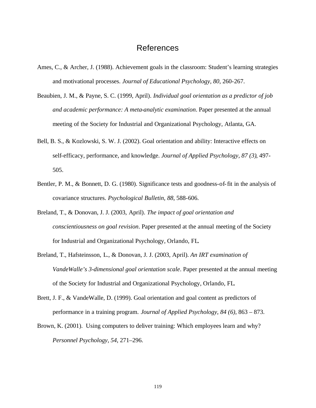# References

- Ames, C., & Archer, J. (1988). Achievement goals in the classroom: Student's learning strategies and motivational processes. *Journal of Educational Psychology, 80*, 260-267.
- Beaubien, J. M., & Payne, S. C. (1999, April). *Individual goal orientation as a predictor of job and academic performance: A meta-analytic examination*. Paper presented at the annual meeting of the Society for Industrial and Organizational Psychology, Atlanta, GA.
- Bell, B. S., & Kozlowski, S. W. J. (2002). Goal orientation and ability: Interactive effects on self-efficacy, performance, and knowledge. *Journal of Applied Psychology, 87 (3)*, 497- 505.
- Bentler, P. M., & Bonnett, D. G. (1980). Significance tests and goodness-of-fit in the analysis of covariance structures. *Psychological Bulletin, 88*, 588-606.
- Breland, T., & Donovan, J. J. (2003, April). *The impact of goal orientation and conscientiousness on goal revision*. Paper presented at the annual meeting of the Society for Industrial and Organizational Psychology, Orlando, FL.
- Breland, T., Hafsteinsson, L., & Donovan, J. J. (2003, April). *An IRT examination of VandeWalle's 3-dimensional goal orientation scale*. Paper presented at the annual meeting of the Society for Industrial and Organizational Psychology, Orlando, FL.
- Brett, J. F., & VandeWalle, D. (1999). Goal orientation and goal content as predictors of performance in a training program. *Journal of Applied Psychology, 84 (6)*, 863 – 873.
- Brown, K. (2001). Using computers to deliver training: Which employees learn and why? *Personnel Psychology, 54*, 271–296.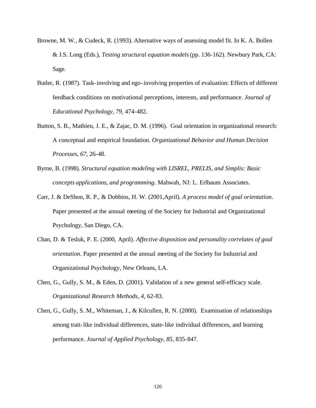- Browne, M. W., & Cudeck, R. (1993). Alternative ways of assessing model fit. In K. A. Bollen & J.S. Long (Eds.), *Testing structural equation models* (pp. 136-162). Newbury Park, CA: Sage.
- Butler, R. (1987). Task-involving and ego-involving properties of evaluation: Effects of different feedback conditions on motivational perceptions, interests, and performance. *Journal of Educational Psychology, 79*, 474-482.
- Button, S. B., Mathieu, J. E., & Zajac, D. M. (1996). Goal orientation in organizational research: A conceptual and empirical foundation. *Organizational Behavior and Human Decision Processes, 67*, 26-48.
- Byrne, B. (1998). *Structural equation modeling with LISREL, PRELIS, and Simplis: Basic concepts applications, and programming*. Mahwah, NJ: L. Erlbaum Associates.
- Carr, J. & DeShon, R. P., & Dobbins, H. W. (2001,April). *A process model of goal orientation*. Paper presented at the annual meeting of the Society for Industrial and Organizational Psychology, San Diego, CA.
- Chan, D. & Tesluk, P. E. (2000, April). *Affective disposition and personality correlates of goal orientation*. Paper presented at the annual meeting of the Society for Industrial and Organizational Psychology, New Orleans, LA.
- Chen, G., Gully, S. M., & Eden, D. (2001). Validation of a new general self-efficacy scale. *Organizational Research Methods, 4*, 62-83.
- Chen, G., Gully, S. M., Whiteman, J., & Kilcullen, R. N. (2000). Examination of relationships among trait-like individual differences, state-like individual differences, and learning performance. *Journal of Applied Psychology, 85*, 835-847.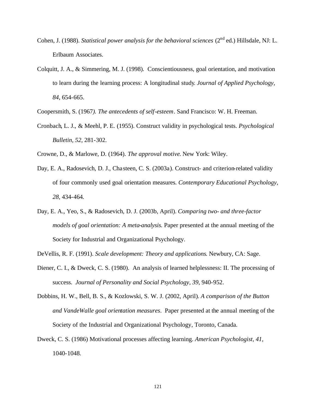- Cohen, J. (1988). *Statistical power analysis for the behavioral sciences* (2<sup>nd</sup> ed.) Hillsdale, NJ: L. Erlbaum Associates.
- Colquitt, J. A., & Simmering, M. J. (1998). Conscientiousness, goal orientation, and motivation to learn during the learning process: A longitudinal study. *Journal of Applied Psychology, 84*, 654-665.
- Coopersmith, S. (1967*). The antecedents of self-esteem*. Sand Francisco: W. H. Freeman.
- Cronbach, L. J., & Meehl, P. E. (1955). Construct validity in psychological tests. *Psychological Bulletin, 52*, 281-302.
- Crowne, D., & Marlowe, D. (1964). *The approval motive*. New York: Wiley.
- Day, E. A., Radosevich, D. J., Cha steen, C. S. (2003a). Construct- and criterion-related validity of four commonly used goal orientation measures. *Contemporary Educational Psychology, 28,* 434-464*.*
- Day, E. A., Yeo, S., & Radosevich, D. J. (2003b, April). *Comparing two- and three-factor models of goal orientation: A meta-analysis.* Paper presented at the annual meeting of the Society for Industrial and Organizational Psychology.
- DeVellis, R. F. (1991). *Scale development: Theory and applications*. Newbury, CA: Sage.
- Diener, C. I., & Dweck, C. S. (1980). An analysis of learned helplessness: II. The processing of success. *Journal of Personality and Social Psychology, 39*, 940-952.
- Dobbins, H. W., Bell, B. S., & Kozlowski, S. W. J. (2002, April). *A comparison of the Button and VandeWalle goal orientation measures*. Paper presented at the annual meeting of the Society of the Industrial and Organizational Psychology, Toronto, Canada.
- Dweck, C. S. (1986) Motivational processes affecting learning. *American Psychologist, 41*, 1040-1048.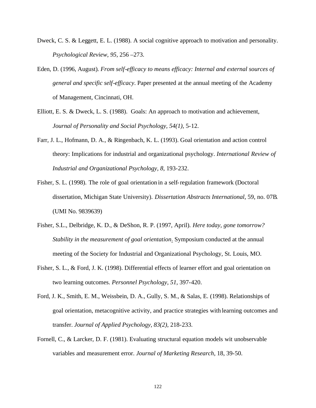- Dweck, C. S. & Leggett, E. L. (1988). A social cognitive approach to motivation and personality. *Psychological Review, 95,* 256 –273.
- Eden, D. (1996, August). *From self-efficacy to means efficacy: Internal and external sources of general and specific self-efficacy*. Paper presented at the annual meeting of the Academy of Management, Cincinnati, OH.
- Elliott, E. S. & Dweck, L. S. (1988). Goals: An approach to motivation and achievement, *Journal of Personality and Social Psychology, 54(1),* 5-12.
- Farr, J. L., Hofmann, D. A., & Ringenbach, K. L. (1993). Goal orientation and action control theory: Implications for industrial and organizational psychology. *International Review of Industrial and Organizational Psychology, 8,* 193-232.
- Fisher, S. L. (1998). The role of goal orientation in a self-regulation framework (Doctoral dissertation, Michigan State University). *Dissertation Abstracts International*, 59, no. 07B. (UMI No. 9839639)
- Fisher, S.L., Delbridge, K. D., & DeShon, R. P. (1997, April). *Here today, gone tomorrow? Stability in the measurement of goal orientation*. Symposium conducted at the annual meeting of the Society for Industrial and Organizational Psychology, St. Louis, MO.
- Fisher, S. L., & Ford, J. K. (1998). Differential effects of learner effort and goal orientation on two learning outcomes. *Personnel Psychology, 51*, 397-420.
- Ford, J. K., Smith, E. M., Weissbein, D. A., Gully, S. M., & Salas, E. (1998). Relationships of goal orientation, metacognitive activity, and practice strategies with learning outcomes and transfer. *Journal of Applied Psychology, 83(2)*, 218-233.
- Fornell, C., & Larcker, D. F. (1981). Evaluating structural equation models wit unobservable variables and measurement error. *Journal of Marketing Research*, 18, 39-50.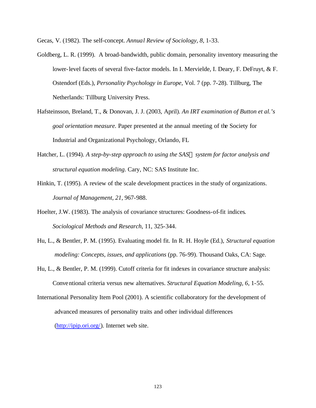Gecas, V. (1982). The self-concept. *Annual Review of Sociology, 8*, 1-33.

- Goldberg, L. R. (1999). A broad-bandwidth, public domain, personality inventory measuring the lower-level facets of several five-factor models. In I. Mervielde, I. Deary, F. DeFruyt, & F. Ostendorf (Eds.), *Personality Psychology in Europe*, Vol. 7 (pp. 7-28). Tillburg, The Netherlands: Tillburg University Press.
- Hafsteinsson, Breland, T., & Donovan, J. J. (2003, April). *An IRT examination of Button et al.'s goal orientation measure.* Paper presented at the annual meeting of the Society for Industrial and Organizational Psychology, Orlando, FL
- Hatcher, L. (1994). *A step-by-step approach to using the SASâ system for factor analysis and structural equation modeling*. Cary, NC: SAS Institute Inc.
- Hinkin, T. (1995). A review of the scale development practices in the study of organizations. *Journal of Management, 21,* 967-988.
- Hoelter, J.W. (1983). The analysis of covariance structures: Goodness-of-fit indices. *Sociological Methods and Research*, 11, 325-344.
- Hu, L., & Bentler, P. M. (1995). Evaluating model fit. In R. H. Hoyle (Ed.), *Structural equation modeling: Concepts, issues, and applications* (pp. 76-99). Thousand Oaks, CA: Sage.
- Hu, L., & Bentler, P. M. (1999). Cutoff criteria for fit indexes in covariance structure analysis: Conventional criteria versus new alternatives. *Structural Equation Modeling, 6*, 1-55.
- International Personality Item Pool (2001). A scientific collaboratory for the development of advanced measures of personality traits and other individual differences (http://ipip.ori.org/). Internet web site.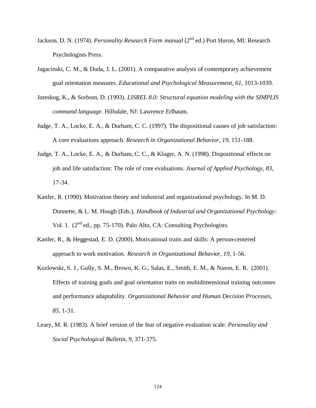- Jackson, D. N. (1974). *Personality Research Form manual* (2nd ed.) Port Huron, MI: Research Psychologists Press.
- Jagacinski, C. M., & Duda, J. L. (2001). A comparative analysis of contemporary achievement goal orientation measures. *Educational and Psychological Measurement, 61*, 1013-1039.
- Joreskog, K., & Sorbom, D. (1993). *LISREL 8.0: Structural equation modeling with the SIMPLIS command language.* Hillsdale, NJ: Lawrence Erlbaum.
- Judge, T. A., Locke, E. A., & Durham, C. C. (1997). The dispositional causes of job satisfaction: A core evaluations approach. *Research in Organizational Behavior, 19*, 151-188.
- Judge, T. A., Locke, E. A., & Durham, C. C., & Kluger, A. N. (1998). Dispositional effects on job and life satisfaction: The role of core evaluations. *Journal of Applied Psychology, 83*, 17-34.
- Kanfer, R. (1990). Motivation theory and industrial and organizational psychology. In M. D. Dunnette, & L. M. Hough (Eds.), *Handbook of Industrial and Organizational Psychology*: Vol. 1.  $(2^{nd}$  ed., pp. 75-170). Palo Alto, CA: Consulting Psychologists.
- Kanfer, R., & Heggestad, E. D. (2000). Motivational traits and skills: A person-centered approach to work motivation. *Research in Organizational Behavior, 19*, 1-56.
- Kozlowski, S. J., Gully, S. M., Brown, K. G., Salas, E., Smith, E. M., & Nason, E. R. (2001). Effects of training goals and goal orientation traits on multidimensional training outcomes and performance adaptability. *Organizational Behavior and Human Decision Processes, 85*, 1-31.
- Leary, M. R. (1983). A brief version of the fear of negative evaluation scale. *Personality and Social Psychological Bulletin, 9*, 371-375.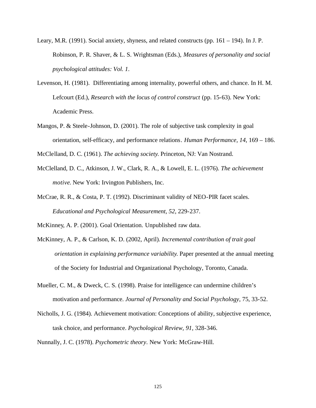- Leary, M.R. (1991). Social anxiety, shyness, and related constructs (pp. 161 194). In J. P. Robinson, P. R. Shaver, & L. S. Wrightsman (Eds.), *Measures of personality and social psychological attitudes: Vol. 1*.
- Levenson, H. (1981). Differentiating among internality, powerful others, and chance. In H. M. Lefcourt (Ed.), *Research with the locus of control construct* (pp. 15-63). New York: Academic Press.
- Mangos, P. & Steele-Johnson, D. (2001). The role of subjective task complexity in goal orientation, self-efficacy, and performance relations. *Human Performance, 14*, 169 – 186.

McClelland, D. C. (1961). *The achieving society*. Princeton, NJ: Van Nostrand.

- McClelland, D. C., Atkinson, J. W., Clark, R. A., & Lowell, E. L. (1976). *The achievement motive*. New York: Irvington Publishers, Inc.
- McCrae, R. R., & Costa, P. T. (1992). Discriminant validity of NEO-PIR facet scales. *Educational and Psychological Measurement, 52*, 229-237.

McKinney, A. P. (2001). Goal Orientation. Unpublished raw data.

- McKinney, A. P., & Carlson, K. D. (2002, April). *Incremental contribution of trait goal orientation in explaining performance variability*. Paper presented at the annual meeting of the Society for Industrial and Organizational Psychology, Toronto, Canada.
- Mueller, C. M., & Dweck, C. S. (1998). Praise for intelligence can undermine children's motivation and performance. *Journal of Personality and Social Psychology*, 75, 33-52.
- Nicholls, J. G. (1984). Achievement motivation: Conceptions of ability, subjective experience, task choice, and performance. *Psychological Review, 91*, 328-346.

Nunnally, J. C. (1978). *Psychometric theory*. New York: McGraw-Hill.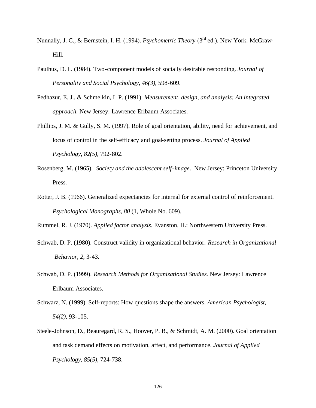- Nunnally, J. C., & Bernstein, I. H. (1994). *Psychometric Theory* (3<sup>rd</sup> ed.). New York: McGraw-Hill.
- Paulhus, D. L. (1984). Two-component models of socially desirable responding. *Journal of Personality and Social Psychology, 46(3)*, 598-609.
- Pedhazur, E. J., & Schmelkin, L P. (1991). *Measurement, design, and analysis: An integrated approach*. New Jersey: Lawrence Erlbaum Associates.
- Phillips, J. M. & Gully, S. M. (1997). Role of goal orientation, ability, need for achievement, and locus of control in the self-efficacy and goal-setting process. *Journal of Applied Psychology, 82(5)*, 792-802.
- Rosenberg, M. (1965). *Society and the adolescent self-image*. New Jersey: Princeton University Press.
- Rotter, J. B. (1966). Generalized expectancies for internal for external control of reinforcement. *Psychological Monographs, 80* (1, Whole No. 609).

Rummel, R. J. (1970). *Applied factor analysis*. Evanston, IL: Northwestern University Press.

- Schwab, D. P. (1980). Construct validity in organizational behavior. *Research in Organizational Behavior, 2*, 3-43.
- Schwab, D. P. (1999). *Research Methods for Organizational Studies*. New Jersey: Lawrence Erlbaum Associates.
- Schwarz, N. (1999). Self-reports: How questions shape the answers. *American Psychologist, 54(2)*, 93-105.
- Steele-Johnson, D., Beauregard, R. S., Hoover, P. B., & Schmidt, A. M. (2000). Goal orientation and task demand effects on motivation, affect, and performance. *Journal of Applied Psychology, 85(5)*, 724-738.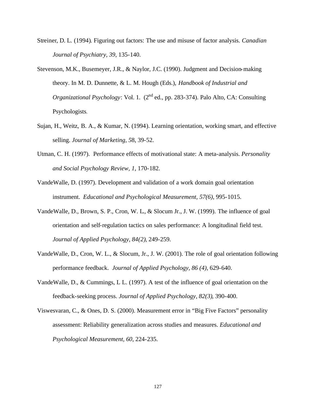- Streiner, D. L. (1994). Figuring out factors: The use and misuse of factor analysis. *Canadian Journal of Psychiatry, 39*, 135-140.
- Stevenson, M.K., Busemeyer, J.R., & Naylor, J.C. (1990). Judgment and Decision-making theory. In M. D. Dunnette, & L. M. Hough (Eds.), *Handbook of Industrial and Organizational Psychology:* Vol. 1. (2<sup>nd</sup> ed., pp. 283-374). Palo Alto, CA: Consulting Psychologists.
- Sujan, H., Weitz, B. A., & Kumar, N. (1994). Learning orientation, working smart, and effective selling. *Journal of Marketing, 5*8, 39-52.
- Utman, C. H. (1997). Performance effects of motivational state: A meta-analysis. *Personality and Social Psychology Review, 1*, 170-182.
- VandeWalle, D. (1997). Development and validation of a work domain goal orientation instrument. *Educational and Psychological Measurement, 57(6)*, 995-1015.
- VandeWalle, D., Brown, S. P., Cron, W. L., & Slocum Jr., J. W. (1999). The influence of goal orientation and self-regulation tactics on sales performance: A longitudinal field test. *Journal of Applied Psychology, 84(2)*, 249-259.
- VandeWalle, D., Cron, W. L., & Slocum, Jr., J. W. (2001). The role of goal orientation following performance feedback. *Journal of Applied Psychology, 86 (4)*, 629-640.
- VandeWalle, D., & Cummings, L L. (1997). A test of the influence of goal orientation on the feedback-seeking process. *Journal of Applied Psychology, 82(3)*, 390-400.
- Viswesvaran, C., & Ones, D. S. (2000). Measurement error in "Big Five Factors" personality assessment: Reliability generalization across studies and measures. *Educational and Psychological Measurement, 60*, 224-235.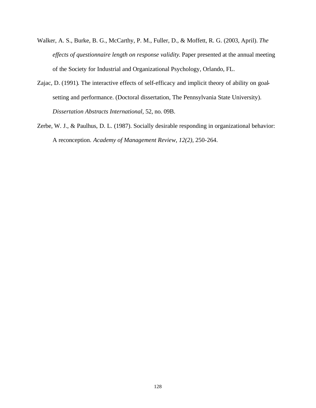- Walker, A. S., Burke, B. G., McCarthy, P. M., Fuller, D., & Moffett, R. G. (2003, April). *The effects of questionnaire length on response validity*. Paper presented at the annual meeting of the Society for Industrial and Organizational Psychology, Orlando, FL.
- Zajac, D. (1991). The interactive effects of self-efficacy and implicit theory of ability on goalsetting and performance. (Doctoral dissertation, The Pennsylvania State University). *Dissertation Abstracts International*, 52, no. 09B.
- Zerbe, W. J., & Paulhus, D. L. (1987). Socially desirable responding in organizational behavior: A reconception. *Academy of Management Review, 12(2)*, 250-264.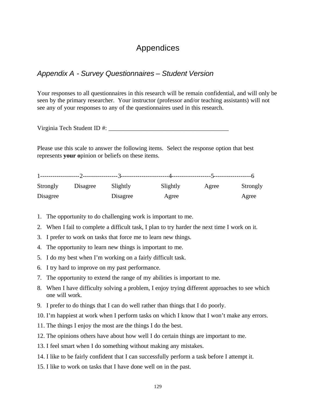# Appendices

# *Appendix A - Survey Questionnaires – Student Version*

Your responses to all questionnaires in this research will be remain confidential, and will only be seen by the primary researcher. Your instructor (professor and/or teaching assistants) will not see any of your responses to any of the questionnaires used in this research.

Virginia Tech Student ID #:

Please use this scale to answer the following items. Select the response option that best represents **your o**pinion or beliefs on these items.

| Strongly | Disagree | Slightly | Slightly | Agree | Strongly |
|----------|----------|----------|----------|-------|----------|
|          |          |          |          |       |          |
| Disagree |          | Disagree | Agree    |       | Agree    |

- 1. The opportunity to do challenging work is important to me.
- 2. When I fail to complete a difficult task, I plan to try harder the next time I work on it.
- 3. I prefer to work on tasks that force me to learn new things.
- 4. The opportunity to learn new things is important to me.
- 5. I do my best when I'm working on a fairly difficult task.
- 6. I try hard to improve on my past performance.
- 7. The opportunity to extend the range of my abilities is important to me.
- 8. When I have difficulty solving a problem, I enjoy trying different approaches to see which one will work.
- 9. I prefer to do things that I can do well rather than things that I do poorly.
- 10. I'm happiest at work when I perform tasks on which I know that I won't make any errors.
- 11. The things I enjoy the most are the things I do the best.
- 12. The opinions others have about how well I do certain things are important to me.
- 13. I feel smart when I do something without making any mistakes.
- 14. I like to be fairly confident that I can successfully perform a task before I attempt it.
- 15. I like to work on tasks that I have done well on in the past.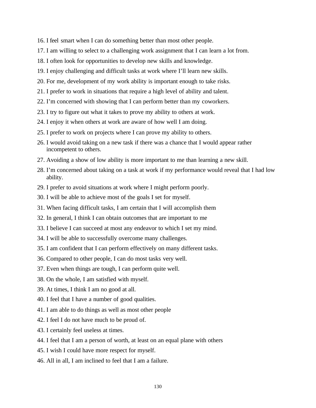- 16. I feel smart when I can do something better than most other people.
- 17. I am willing to select to a challenging work assignment that I can learn a lot from.
- 18. I often look for opportunities to develop new skills and knowledge.
- 19. I enjoy challenging and difficult tasks at work where I'll learn new skills.
- 20. For me, development of my work ability is important enough to take risks.
- 21. I prefer to work in situations that require a high level of ability and talent.
- 22. I'm concerned with showing that I can perform better than my coworkers.
- 23. I try to figure out what it takes to prove my ability to others at work.
- 24. I enjoy it when others at work are aware of how well I am doing.
- 25. I prefer to work on projects where I can prove my ability to others.
- 26. I would avoid taking on a new task if there was a chance that I would appear rather incompetent to others.
- 27. Avoiding a show of low ability is more important to me than learning a new skill.
- 28. I'm concerned about taking on a task at work if my performance would reveal that I had low ability.
- 29. I prefer to avoid situations at work where I might perform poorly.
- 30. I will be able to achieve most of the goals I set for myself.
- 31. When facing difficult tasks, I am certain that I will accomplish them
- 32. In general, I think I can obtain outcomes that are important to me
- 33. I believe I can succeed at most any endeavor to which I set my mind.
- 34. I will be able to successfully overcome many challenges.
- 35. I am confident that I can perform effectively on many different tasks.
- 36. Compared to other people, I can do most tasks very well.
- 37. Even when things are tough, I can perform quite well.
- 38. On the whole, I am satisfied with myself.
- 39. At times, I think I am no good at all.
- 40. I feel that I have a number of good qualities.
- 41. I am able to do things as well as most other people
- 42. I feel I do not have much to be proud of.
- 43. I certainly feel useless at times.
- 44. I feel that I am a person of worth, at least on an equal plane with others
- 45. I wish I could have more respect for myself.
- 46. All in all, I am inclined to feel that I am a failure.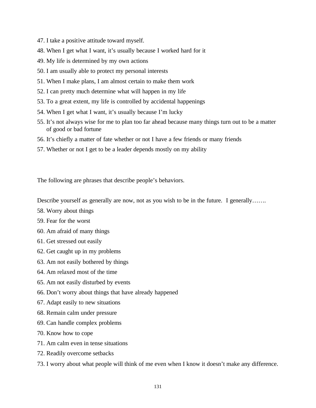- 47. I take a positive attitude toward myself.
- 48. When I get what I want, it's usually because I worked hard for it
- 49. My life is determined by my own actions
- 50. I am usually able to protect my personal interests
- 51. When I make plans, I am almost certain to make them work
- 52. I can pretty much determine what will happen in my life
- 53. To a great extent, my life is controlled by accidental happenings
- 54. When I get what I want, it's usually because I'm lucky
- 55. It's not always wise for me to plan too far ahead because many things turn out to be a matter of good or bad fortune
- 56. It's chiefly a matter of fate whether or not I have a few friends or many friends
- 57. Whether or not I get to be a leader depends mostly on my ability

The following are phrases that describe people's behaviors.

Describe yourself as generally are now, not as you wish to be in the future. I generally…….

- 58. Worry about things
- 59. Fear for the worst
- 60. Am afraid of many things
- 61. Get stressed out easily
- 62. Get caught up in my problems
- 63. Am not easily bothered by things
- 64. Am relaxed most of the time
- 65. Am not easily disturbed by events
- 66. Don't worry about things that have already happened
- 67. Adapt easily to new situations
- 68. Remain calm under pressure
- 69. Can handle complex problems
- 70. Know how to cope
- 71. Am calm even in tense situations
- 72. Readily overcome setbacks
- 73. I worry about what people will think of me even when I know it doesn't make any difference.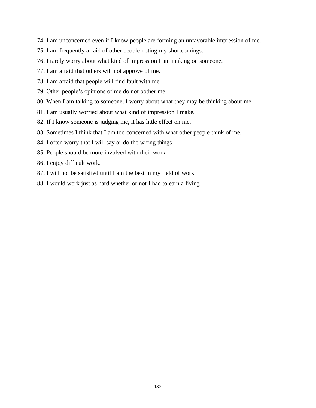- 74. I am unconcerned even if I know people are forming an unfavorable impression of me.
- 75. I am frequently afraid of other people noting my shortcomings.
- 76. I rarely worry about what kind of impression I am making on someone.
- 77. I am afraid that others will not approve of me.
- 78. I am afraid that people will find fault with me.
- 79. Other people's opinions of me do not bother me.
- 80. When I am talking to someone, I worry about what they may be thinking about me.
- 81. I am usually worried about what kind of impression I make.
- 82. If I know someone is judging me, it has little effect on me.
- 83. Sometimes I think that I am too concerned with what other people think of me.
- 84. I often worry that I will say or do the wrong things
- 85. People should be more involved with their work.
- 86. I enjoy difficult work.
- 87. I will not be satisfied until I am the best in my field of work.
- 88. I would work just as hard whether or not I had to earn a living.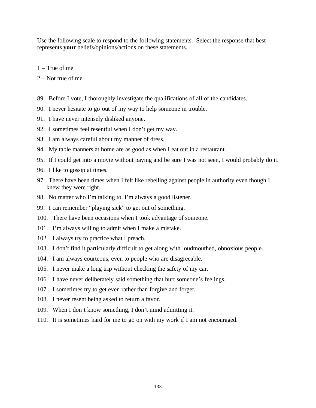Use the following scale to respond to the following statements. Select the response that best represents **your** beliefs/opinions/actions on these statements.

- 1 True of me
- 2 Not true of me
- 89. Before I vote, I thoroughly investigate the qualifications of all of the candidates.
- 90. I never hesitate to go out of my way to help someone in trouble.
- 91. I have never intensely disliked anyone.
- 92. I sometimes feel resentful when I don't get my way.
- 93. I am always careful about my manner of dress.
- 94. My table manners at home are as good as when I eat out in a restaurant.
- 95. If I could get into a movie without paying and be sure I was not seen, I would probably do it.
- 96. I like to gossip at times.
- 97. There have been times when I felt like rebelling against people in authority even though I knew they were right.
- 98. No matter who I'm talking to, I'm always a good listener.
- 99. I can remember "playing sick" to get out of something.
- 100. There have been occasions when I took advantage of someone.
- 101. I'm always willing to admit when I make a mistake.
- 102. I always try to practice what I preach.
- 103. I don't find it particularly difficult to get along with loudmouthed, obnoxious people.
- 104. I am always courteous, even to people who are disagreeable.
- 105. I never make a long trip without checking the safety of my car.
- 106. I have never deliberately said something that hurt someone's feelings.
- 107. I sometimes try to get even rather than forgive and forget.
- 108. I never resent being asked to return a favor.
- 109. When I don't know something, I don't mind admitting it.
- 110. It is sometimes hard for me to go on with my work if I am not encouraged.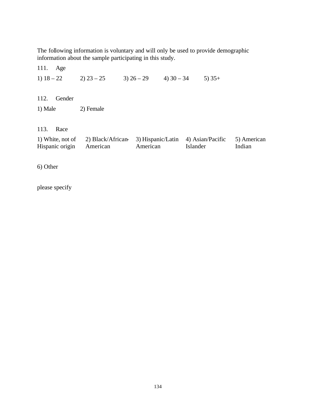The following information is voluntary and will only be used to provide demographic information about the sample participating in this study.

111. Age

1)  $18 - 22$  2)  $23 - 25$  3)  $26 - 29$  4)  $30 - 34$  5)  $35 +$ 

112. Gender

1) Male 2) Female

113. Race

|                          | 1) White, not of 2) Black/African-3) Hispanic/Latin 4) Asian/Pacific 5) American |          |                 |        |
|--------------------------|----------------------------------------------------------------------------------|----------|-----------------|--------|
| Hispanic origin American |                                                                                  | American | <b>Islander</b> | Indian |

6) Other

please specify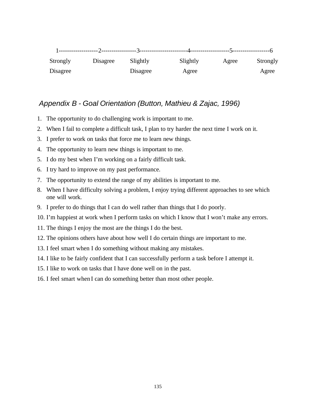| Strongly | Disagree | Slightly | Slightly | Agree | Strongly |
|----------|----------|----------|----------|-------|----------|
| Disagree |          | Disagree | Agree    |       | Agree    |

# *Appendix B - Goal Orientation (Button, Mathieu & Zajac, 1996)*

- 1. The opportunity to do challenging work is important to me.
- 2. When I fail to complete a difficult task, I plan to try harder the next time I work on it.
- 3. I prefer to work on tasks that force me to learn new things.
- 4. The opportunity to learn new things is important to me.
- 5. I do my best when I'm working on a fairly difficult task.
- 6. I try hard to improve on my past performance.
- 7. The opportunity to extend the range of my abilities is important to me.
- 8. When I have difficulty solving a problem, I enjoy trying different approaches to see which one will work.
- 9. I prefer to do things that I can do well rather than things that I do poorly.
- 10. I'm happiest at work when I perform tasks on which I know that I won't make any errors.
- 11. The things I enjoy the most are the things I do the best.
- 12. The opinions others have about how well I do certain things are important to me.
- 13. I feel smart when I do something without making any mistakes.
- 14. I like to be fairly confident that I can successfully perform a task before I attempt it.
- 15. I like to work on tasks that I have done well on in the past.
- 16. I feel smart when I can do something better than most other people.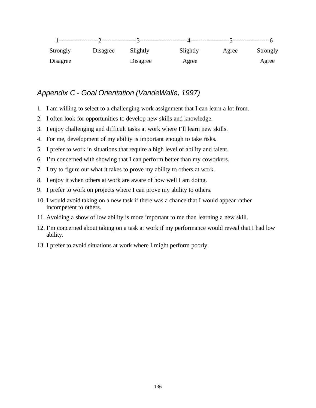| Strongly | Disagree | Slightly | Slightly | Agree | Strongly |
|----------|----------|----------|----------|-------|----------|
| Disagree |          | Disagree | Agree    |       | Agree    |

# *Appendix C - Goal Orientation (VandeWalle, 1997)*

- 1. I am willing to select to a challenging work assignment that I can learn a lot from.
- 2. I often look for opportunities to develop new skills and knowledge.
- 3. I enjoy challenging and difficult tasks at work where I'll learn new skills.
- 4. For me, development of my ability is important enough to take risks.
- 5. I prefer to work in situations that require a high level of ability and talent.
- 6. I'm concerned with showing that I can perform better than my coworkers.
- 7. I try to figure out what it takes to prove my ability to others at work.
- 8. I enjoy it when others at work are aware of how well I am doing.
- 9. I prefer to work on projects where I can prove my ability to others.
- 10. I would avoid taking on a new task if there was a chance that I would appear rather incompetent to others.
- 11. Avoiding a show of low ability is more important to me than learning a new skill.
- 12. I'm concerned about taking on a task at work if my performance would reveal that I had low ability.
- 13. I prefer to avoid situations at work where I might perform poorly.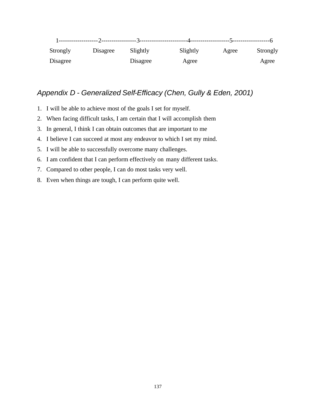| Strongly | Disagree | Slightly | Slightly | Agree | Strongly |
|----------|----------|----------|----------|-------|----------|
| Disagree |          | Disagree | Agree    |       | Agree    |

# *Appendix D - Generalized Self-Efficacy (Chen, Gully & Eden, 2001)*

- 1. I will be able to achieve most of the goals I set for myself.
- 2. When facing difficult tasks, I am certain that I will accomplish them
- 3. In general, I think I can obtain outcomes that are important to me
- 4. I believe I can succeed at most any endeavor to which I set my mind.
- 5. I will be able to successfully overcome many challenges.
- 6. I am confident that I can perform effectively on many different tasks.
- 7. Compared to other people, I can do most tasks very well.
- 8. Even when things are tough, I can perform quite well.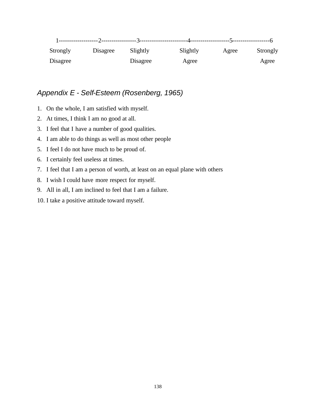| Strongly | Disagree | Slightly | Slightly | Agree | Strongly |
|----------|----------|----------|----------|-------|----------|
| Disagree |          | Disagree | Agree    |       | Agree    |

# *Appendix E - Self-Esteem (Rosenberg, 1965)*

- 1. On the whole, I am satisfied with myself.
- 2. At times, I think I am no good at all.
- 3. I feel that I have a number of good qualities.
- 4. I am able to do things as well as most other people
- 5. I feel I do not have much to be proud of.
- 6. I certainly feel useless at times.
- 7. I feel that I am a person of worth, at least on an equal plane with others
- 8. I wish I could have more respect for myself.
- 9. All in all, I am inclined to feel that I am a failure.
- 10. I take a positive attitude toward myself.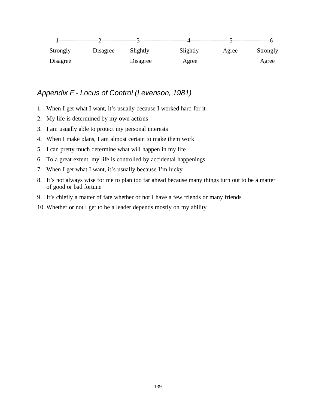| Strongly | Disagree | Slightly | Slightly | Agree | Strongly |
|----------|----------|----------|----------|-------|----------|
| Disagree |          | Disagree | Agree    |       | Agree    |

# *Appendix F - Locus of Control (Levenson, 1981)*

- 1. When I get what I want, it's usually because I worked hard for it
- 2. My life is determined by my own actions
- 3. I am usually able to protect my personal interests
- 4. When I make plans, I am almost certain to make them work
- 5. I can pretty much determine what will happen in my life
- 6. To a great extent, my life is controlled by accidental happenings
- 7. When I get what I want, it's usually because I'm lucky
- 8. It's not always wise for me to plan too far ahead because many things turn out to be a matter of good or bad fortune
- 9. It's chiefly a matter of fate whether or not I have a few friends or many friends
- 10. Whether or not I get to be a leader depends mostly on my ability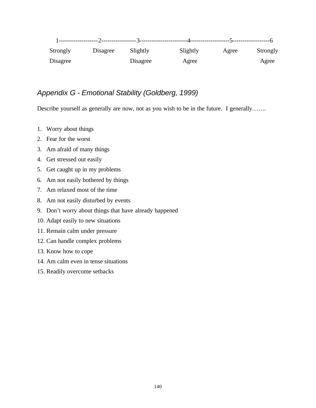| Strongly | Disagree | Slightly | Slightly | Agree | Strongly |
|----------|----------|----------|----------|-------|----------|
| Disagree |          | Disagree | Agree    |       | Agree    |

# *Appendix G - Emotional Stability (Goldberg, 1999)*

Describe yourself as generally are now, not as you wish to be in the future. I generally…….

- 1. Worry about things
- 2. Fear for the worst
- 3. Am afraid of many things
- 4. Get stressed out easily
- 5. Get caught up in my problems
- 6. Am not easily bothered by things
- 7. Am relaxed most of the time
- 8. Am not easily disturbed by events
- 9. Don't worry about things that have already happened
- 10. Adapt easily to new situations
- 11. Remain calm under pressure
- 12. Can handle complex problems
- 13. Know how to cope
- 14. Am calm even in tense situations
- 15. Readily overcome setbacks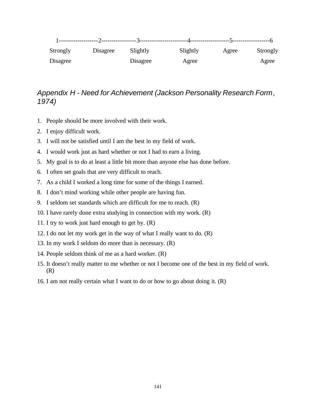| Strongly | Disagree | Slightly | Slightly | Agree | Strongly |
|----------|----------|----------|----------|-------|----------|
| Disagree |          | Disagree | Agree    |       | Agree    |

# *Appendix H - Need for Achievement (Jackson Personality Research Form, 1974)*

- 1. People should be more involved with their work.
- 2. I enjoy difficult work.
- 3. I will not be satisfied until I am the best in my field of work.
- 4. I would work just as hard whether or not I had to earn a living.
- 5. My goal is to do at least a little bit more than anyone else has done before.
- 6. I often set goals that are very difficult to reach.
- 7. As a child I worked a long time for some of the things I earned.
- 8. I don't mind working while other people are having fun.
- 9. I seldom set standards which are difficult for me to reach. (R)
- 10. I have rarely done extra studying in connection with my work. (R)
- 11. I try to work just hard enough to get by. (R)
- 12. I do not let my work get in the way of what I really want to do. (R)
- 13. In my work I seldom do more than is necessary. (R)
- 14. People seldom think of me as a hard worker. (R)
- 15. It doesn't really matter to me whether or not I become one of the best in my field of work. (R)
- 16. I am not really certain what I want to do or how to go about doing it. (R)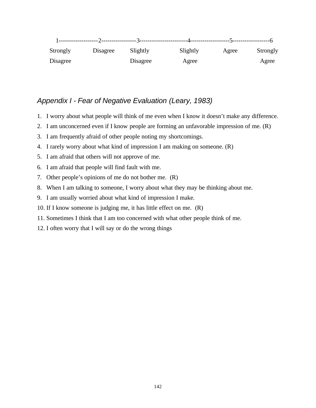| Strongly | Disagree | Slightly | Slightly | Agree | Strongly |
|----------|----------|----------|----------|-------|----------|
| Disagree |          | Disagree | Agree    |       | Agree    |

# *Appendix I - Fear of Negative Evaluation (Leary, 1983)*

- 1. I worry about what people will think of me even when I know it doesn't make any difference.
- 2. I am unconcerned even if I know people are forming an unfavorable impression of me. (R)
- 3. I am frequently afraid of other people noting my shortcomings.
- 4. I rarely worry about what kind of impression I am making on someone. (R)
- 5. I am afraid that others will not approve of me.
- 6. I am afraid that people will find fault with me.
- 7. Other people's opinions of me do not bother me. (R)
- 8. When I am talking to someone, I worry about what they may be thinking about me.
- 9. I am usually worried about what kind of impression I make.
- 10. If I know someone is judging me, it has little effect on me. (R)
- 11. Sometimes I think that I am too concerned with what other people think of me.
- 12. I often worry that I will say or do the wrong things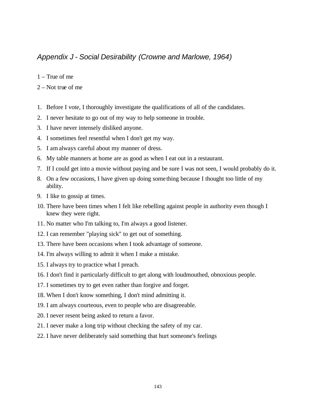# *Appendix J - Social Desirability (Crowne and Marlowe, 1964)*

1 – True of me

2 – Not true of me

- 1. Before I vote, I thoroughly investigate the qualifications of all of the candidates.
- 2. I never hesitate to go out of my way to help someone in trouble.
- 3. I have never intensely disliked anyone.
- 4. I sometimes feel resentful when I don't get my way.
- 5. I am always careful about my manner of dress.
- 6. My table manners at home are as good as when I eat out in a restaurant.
- 7. If I could get into a movie without paying and be sure I was not seen, I would probably do it.
- 8. On a few occasions, I have given up doing some thing because I thought too little of my ability.
- 9. I like to gossip at times.
- 10. There have been times when I felt like rebelling against people in authority even though I knew they were right.
- 11. No matter who I'm talking to, I'm always a good listener.
- 12. I can remember "playing sick" to get out of something.
- 13. There have been occasions when I took advantage of someone.
- 14. I'm always willing to admit it when I make a mistake.
- 15. I always try to practice what I preach.
- 16. I don't find it particularly difficult to get along with loudmouthed, obnoxious people.
- 17. I sometimes try to get even rather than forgive and forget.
- 18. When I don't know something, I don't mind admitting it.
- 19. I am always courteous, even to people who are disagreeable.
- 20. I never resent being asked to return a favor.
- 21. I never make a long trip without checking the safety of my car.
- 22. I have never deliberately said something that hurt someone's feelings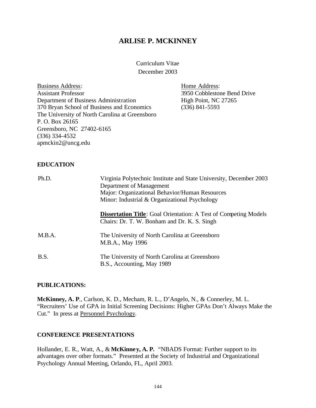### **ARLISE P. MCKINNEY**

Curriculum Vitae December 2003

Business Address: Assistant Professor Department of Business Administration 370 Bryan School of Business and Economics The University of North Carolina at Greensboro P. O. Box 26165 Greensboro, NC 27402-6165 (336) 334-4532 apmckin2@uncg.edu

Home Address: 3950 Cobblestone Bend Drive High Point, NC 27265 (336) 841-5593

### **EDUCATION**

| Ph.D.  | Virginia Polytechnic Institute and State University, December 2003<br>Department of Management<br>Major: Organizational Behavior/Human Resources<br>Minor: Industrial & Organizational Psychology |
|--------|---------------------------------------------------------------------------------------------------------------------------------------------------------------------------------------------------|
|        | <b>Dissertation Title:</b> Goal Orientation: A Test of Competing Models<br>Chairs: Dr. T. W. Bonham and Dr. K. S. Singh                                                                           |
| M.B.A. | The University of North Carolina at Greensboro<br>M.B.A., May 1996                                                                                                                                |
| B.S.   | The University of North Carolina at Greensboro<br>B.S., Accounting, May 1989                                                                                                                      |

#### **PUBLICATIONS:**

**McKinney, A. P**., Carlson, K. D., Mecham, R. L., D'Angelo, N., & Connerley, M. L. "Recruiters' Use of GPA in Initial Screening Decisions: Higher GPAs Don't Always Make the Cut." In press at Personnel Psychology.

#### **CONFERENCE PRESENTATIONS**

Hollander, E. R., Watt, A., & **McKinney, A. P.** "NBADS Format: Further support to its advantages over other formats." Presented at the Society of Industrial and Organizational Psychology Annual Meeting, Orlando, FL, April 2003.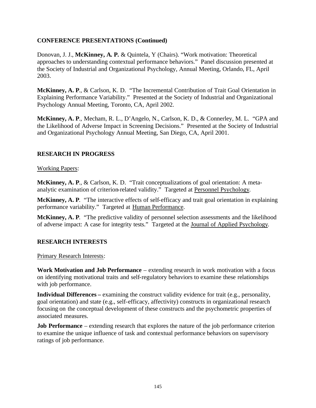### **CONFERENCE PRESENTATIONS (Continued)**

Donovan, J. J., **McKinney, A. P.** & Quintela, Y (Chairs). "Work motivation: Theoretical approaches to understanding contextual performance behaviors." Panel discussion presented at the Society of Industrial and Organizational Psychology, Annual Meeting, Orlando, FL, April 2003.

**McKinney, A. P**., & Carlson, K. D. "The Incremental Contribution of Trait Goal Orientation in Explaining Performance Variability." Presented at the Society of Industrial and Organizational Psychology Annual Meeting, Toronto, CA, April 2002.

**McKinney, A. P**., Mecham, R. L., D'Angelo, N., Carlson, K. D., & Connerley, M. L. "GPA and the Likelihood of Adverse Impact in Screening Decisions." Presented at the Society of Industrial and Organizational Psychology Annual Meeting, San Diego, CA, April 2001.

### **RESEARCH IN PROGRESS**

Working Papers:

**McKinney, A. P**., & Carlson, K. D. "Trait conceptualizations of goal orientation: A metaanalytic examination of criterion-related validity." Targeted at Personnel Psychology.

**McKinney, A. P**. "The interactive effects of self-efficacy and trait goal orientation in explaining performance variability." Targeted at Human Performance.

**McKinney, A. P**. "The predictive validity of personnel selection assessments and the likelihood of adverse impact: A case for integrity tests." Targeted at the Journal of Applied Psychology.

#### **RESEARCH INTERESTS**

Primary Research Interests:

**Work Motivation and Job Performance** – extending research in work motivation with a focus on identifying motivational traits and self-regulatory behaviors to examine these relationships with job performance.

**Individual Differences –** examining the construct validity evidence for trait (e.g., personality, goal orientation) and state (e.g., self-efficacy, affectivity) constructs in organizational research focusing on the conceptual development of these constructs and the psychometric properties of associated measures.

**Job Performance** – extending research that explores the nature of the job performance criterion to examine the unique influence of task and contextual performance behaviors on supervisory ratings of job performance.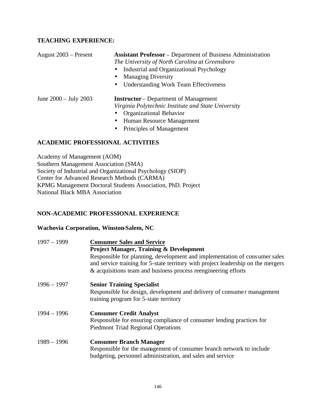### **TEACHING EXPERIENCE:**

| August $2003$ – Present   | <b>Assistant Professor</b> – Department of Business Administration<br>The University of North Carolina at Greensboro<br>Industrial and Organizational Psychology<br><b>Managing Diversity</b><br>$\bullet$<br><b>Understanding Work Team Effectiveness</b><br>$\bullet$ |
|---------------------------|-------------------------------------------------------------------------------------------------------------------------------------------------------------------------------------------------------------------------------------------------------------------------|
| June $2000 -$ July $2003$ | <b>Instructor</b> – Department of Management<br>Virginia Polytechnic Institute and State University<br>Organizational Behavior<br>Human Resource Management<br>$\bullet$<br>Principles of Management                                                                    |

### **ACADEMIC PROFESSIONAL ACTIVITIES**

Academy of Management (AOM) Southern Management Association (SMA) Society of Industrial and Organizational Psychology (SIOP) Center for Advanced Research Methods (CARMA) KPMG Management Doctoral Students Association, PhD. Project National Black MBA Association

### **NON-ACADEMIC PROFESSIONAL EXPERIENCE**

### **Wachovia Corporation, Winston-Salem, NC**

| $1997 - 1999$ | <b>Consumer Sales and Service</b><br><b>Project Manager, Training &amp; Development</b><br>Responsible for planning, development and implementation of consumer sales<br>and service training for 5-state territory with project leadership on the mergers<br>& acquisitions team and business process reengineering efforts |
|---------------|------------------------------------------------------------------------------------------------------------------------------------------------------------------------------------------------------------------------------------------------------------------------------------------------------------------------------|
| $1996 - 1997$ | <b>Senior Training Specialist</b><br>Responsible for design, development and delivery of consumer management<br>training program for 5-state territory                                                                                                                                                                       |
| $1994 - 1996$ | <b>Consumer Credit Analyst</b><br>Responsible for ensuring compliance of consumer lending practices for<br><b>Piedmont Triad Regional Operations</b>                                                                                                                                                                         |
| $1989 - 1996$ | <b>Consumer Branch Manager</b><br>Responsible for the management of consumer branch network to include<br>budgeting, personnel administration, and sales and service                                                                                                                                                         |